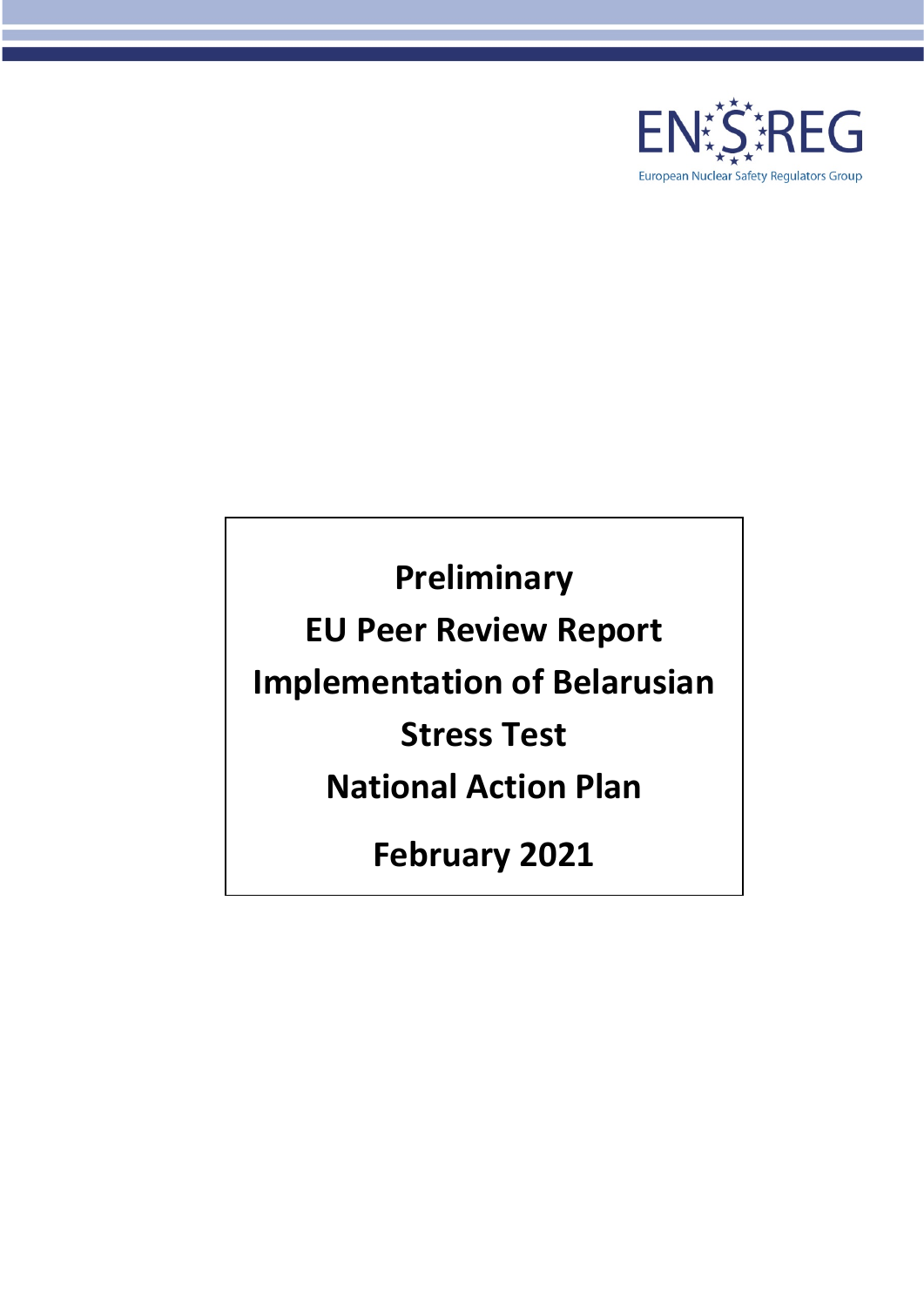

**Preliminary EU Peer Review Report Implementation of Belarusian Stress Test National Action Plan February 2021**

2021-02-18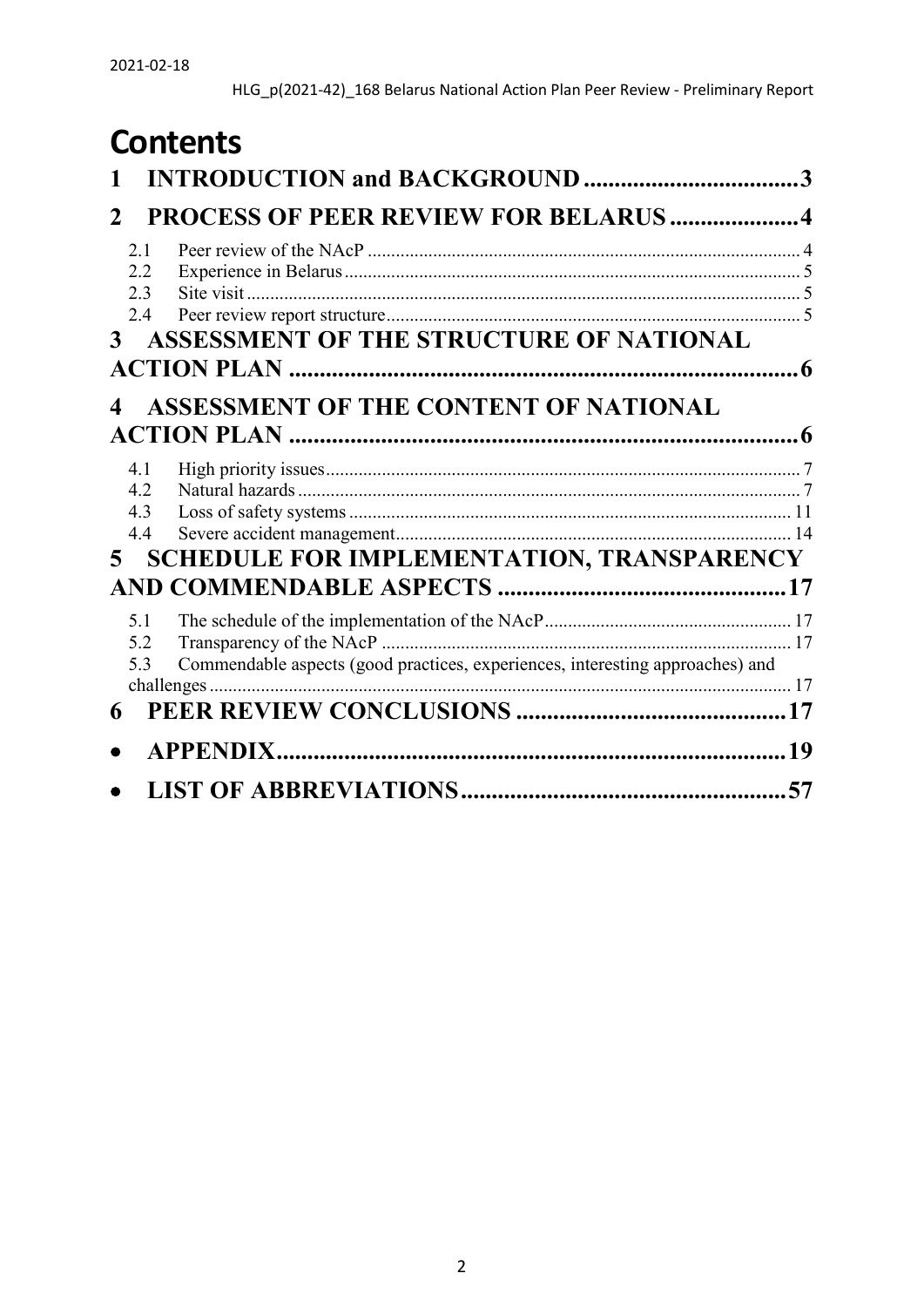# **Contents**

| 2                        | <b>PROCESS OF PEER REVIEW FOR BELARUS 4</b>                                   |  |
|--------------------------|-------------------------------------------------------------------------------|--|
| 2.1<br>2.2<br>2.3        |                                                                               |  |
| 2.4<br>3 <sup>1</sup>    | ASSESSMENT OF THE STRUCTURE OF NATIONAL                                       |  |
|                          | <b>ASSESSMENT OF THE CONTENT OF NATIONAL</b>                                  |  |
| 4.1<br>4.2<br>4.3<br>4.4 |                                                                               |  |
| $5 -$                    | <b>SCHEDULE FOR IMPLEMENTATION, TRANSPARENCY</b>                              |  |
| 5.1<br>5.2<br>5.3        | Commendable aspects (good practices, experiences, interesting approaches) and |  |
| 6                        |                                                                               |  |
|                          |                                                                               |  |
|                          |                                                                               |  |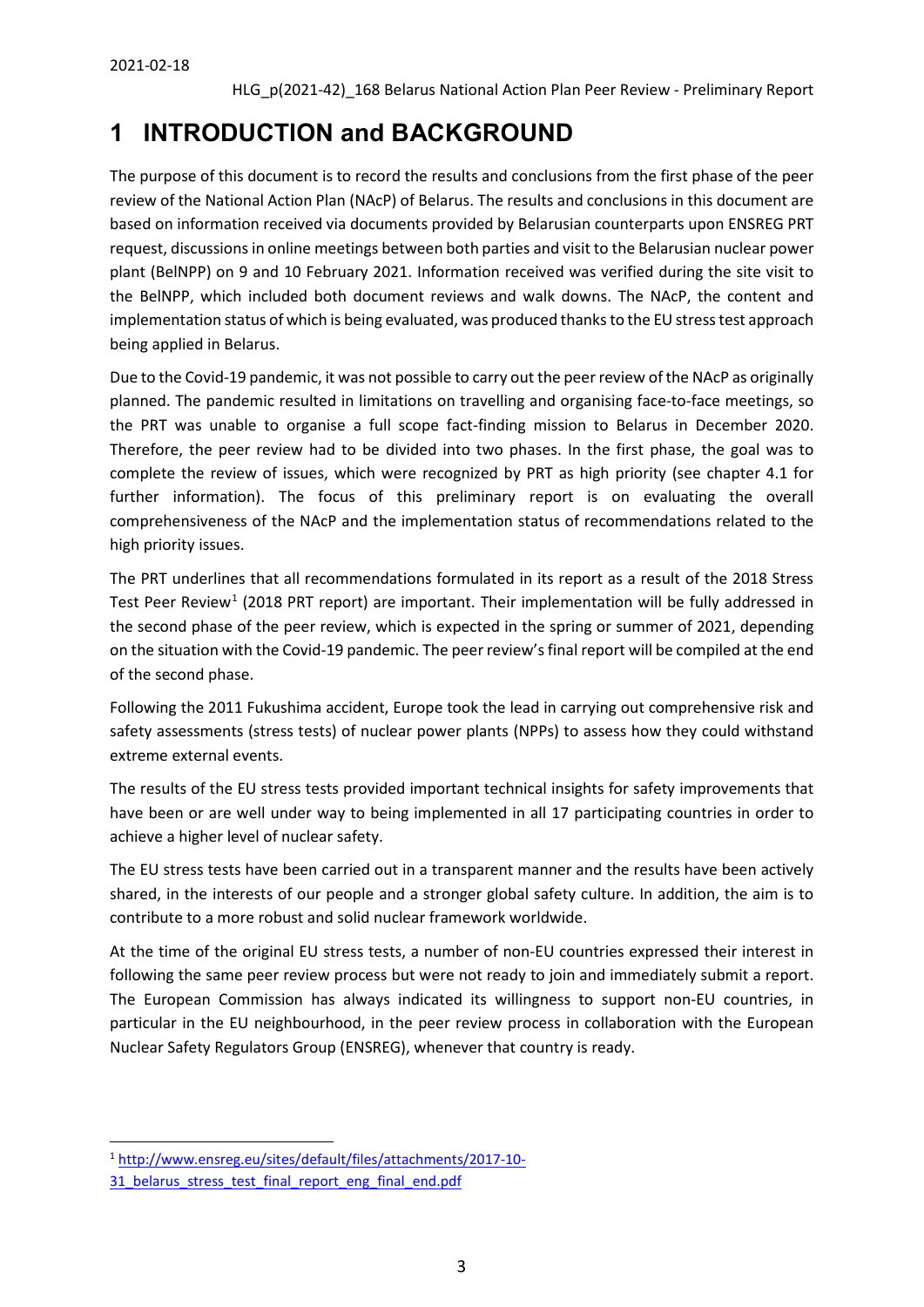# <span id="page-2-0"></span>**1 INTRODUCTION and BACKGROUND**

The purpose of this document is to record the results and conclusions from the first phase of the peer review of the National Action Plan (NAcP) of Belarus. The results and conclusions in this document are based on information received via documents provided by Belarusian counterparts upon ENSREG PRT request, discussions in online meetings between both parties and visit to the Belarusian nuclear power plant (BelNPP) on 9 and 10 February 2021. Information received was verified during the site visit to the BelNPP, which included both document reviews and walk downs. The NAcP, the content and implementation status of which is being evaluated, was produced thanks to the EU stress test approach being applied in Belarus.

Due to the Covid-19 pandemic, it was not possible to carry out the peer review of the NAcP as originally planned. The pandemic resulted in limitations on travelling and organising face-to-face meetings, so the PRT was unable to organise a full scope fact-finding mission to Belarus in December 2020. Therefore, the peer review had to be divided into two phases. In the first phase, the goal was to complete the review of issues, which were recognized by PRT as high priority (see chapter 4.1 for further information). The focus of this preliminary report is on evaluating the overall comprehensiveness of the NAcP and the implementation status of recommendations related to the high priority issues.

The PRT underlines that all recommendations formulated in its report as a result of the 2018 Stress Test Peer Review<sup>[1](#page-2-1)</sup> (2018 PRT report) are important. Their implementation will be fully addressed in the second phase of the peer review, which is expected in the spring or summer of 2021, depending on the situation with the Covid-19 pandemic. The peer review's final report will be compiled at the end of the second phase.

Following the 2011 Fukushima accident, Europe took the lead in carrying out comprehensive risk and safety assessments (stress tests) of nuclear power plants (NPPs) to assess how they could withstand extreme external events.

The results of the EU stress tests provided important technical insights for safety improvements that have been or are well under way to being implemented in all 17 participating countries in order to achieve a higher level of nuclear safety.

The EU stress tests have been carried out in a transparent manner and the results have been actively shared, in the interests of our people and a stronger global safety culture. In addition, the aim is to contribute to a more robust and solid nuclear framework worldwide.

At the time of the original EU stress tests, a number of non-EU countries expressed their interest in following the same peer review process but were not ready to join and immediately submit a report. The European Commission has always indicated its willingness to support non-EU countries, in particular in the EU neighbourhood, in the peer review process in collaboration with the European Nuclear Safety Regulators Group (ENSREG), whenever that country is ready.

<span id="page-2-1"></span> <sup>1</sup> [http://www.ensreg.eu/sites/default/files/attachments/2017-10-](http://www.ensreg.eu/sites/default/files/attachments/2017-10-31_belarus_stress_test_final_report_eng_final_end.pdf)

<sup>31</sup> belarus stress test final report eng final end.pdf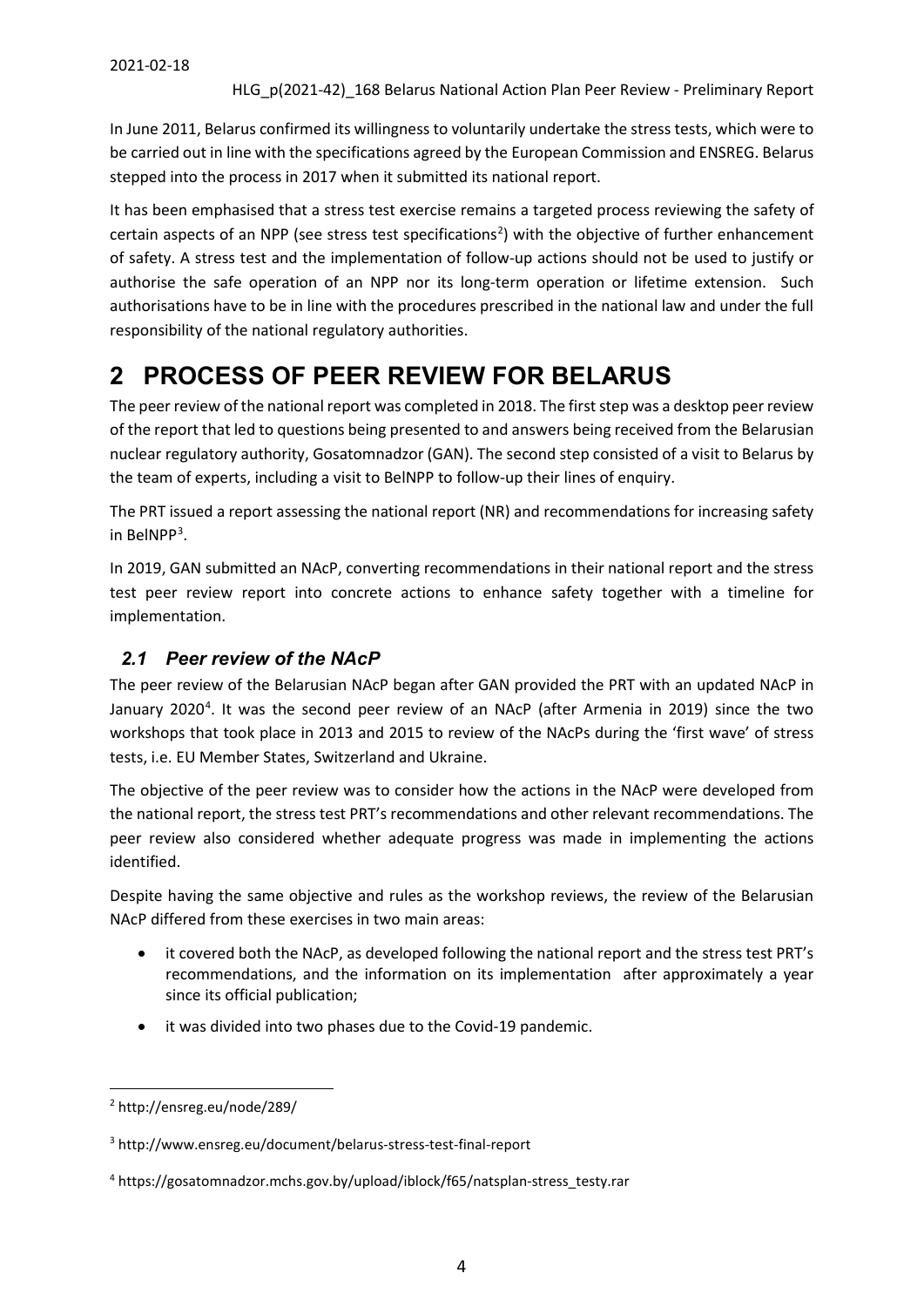In June 2011, Belarus confirmed its willingness to voluntarily undertake the stress tests, which were to be carried out in line with the specifications agreed by the European Commission and ENSREG. Belarus stepped into the process in 2017 when it submitted its national report.

It has been emphasised that a stress test exercise remains a targeted process reviewing the safety of certain aspects of an NPP (see stress test specifications<sup>[2](#page-3-2)</sup>) with the objective of further enhancement of safety. A stress test and the implementation of follow-up actions should not be used to justify or authorise the safe operation of an NPP nor its long-term operation or lifetime extension. Such authorisations have to be in line with the procedures prescribed in the national law and under the full responsibility of the national regulatory authorities.

# <span id="page-3-0"></span>**2 PROCESS OF PEER REVIEW FOR BELARUS**

The peer review of the national report was completed in 2018. The first step was a desktop peer review of the report that led to questions being presented to and answers being received from the Belarusian nuclear regulatory authority, Gosatomnadzor (GAN). The second step consisted of a visit to Belarus by the team of experts, including a visit to BelNPP to follow-up their lines of enquiry.

The PRT issued a report assessing the national report (NR) and recommendations for increasing safety in BelNPP[3](#page-3-3) .

In 2019, GAN submitted an NAcP, converting recommendations in their national report and the stress test peer review report into concrete actions to enhance safety together with a timeline for implementation.

# <span id="page-3-1"></span>*2.1 Peer review of the NAcP*

The peer review of the Belarusian NAcP began after GAN provided the PRT with an updated NAcP in January 2020<sup>[4](#page-3-4)</sup>. It was the second peer review of an NAcP (after Armenia in 2019) since the two workshops that took place in 2013 and 2015 to review of the NAcPs during the 'first wave' of stress tests, i.e. EU Member States, Switzerland and Ukraine.

The objective of the peer review was to consider how the actions in the NAcP were developed from the national report, the stress test PRT's recommendations and other relevant recommendations. The peer review also considered whether adequate progress was made in implementing the actions identified.

Despite having the same objective and rules as the workshop reviews, the review of the Belarusian NAcP differed from these exercises in two main areas:

- it covered both the NAcP, as developed following the national report and the stress test PRT's recommendations, and the information on its implementation after approximately a year since its official publication;
- it was divided into two phases due to the Covid-19 pandemic.

<span id="page-3-2"></span> <sup>2</sup> http://ensreg.eu/node/289/

<span id="page-3-3"></span><sup>3</sup> http://www.ensreg.eu/document/belarus-stress-test-final-report

<span id="page-3-4"></span><sup>4</sup> https://gosatomnadzor.mchs.gov.by/upload/iblock/f65/natsplan-stress\_testy.rar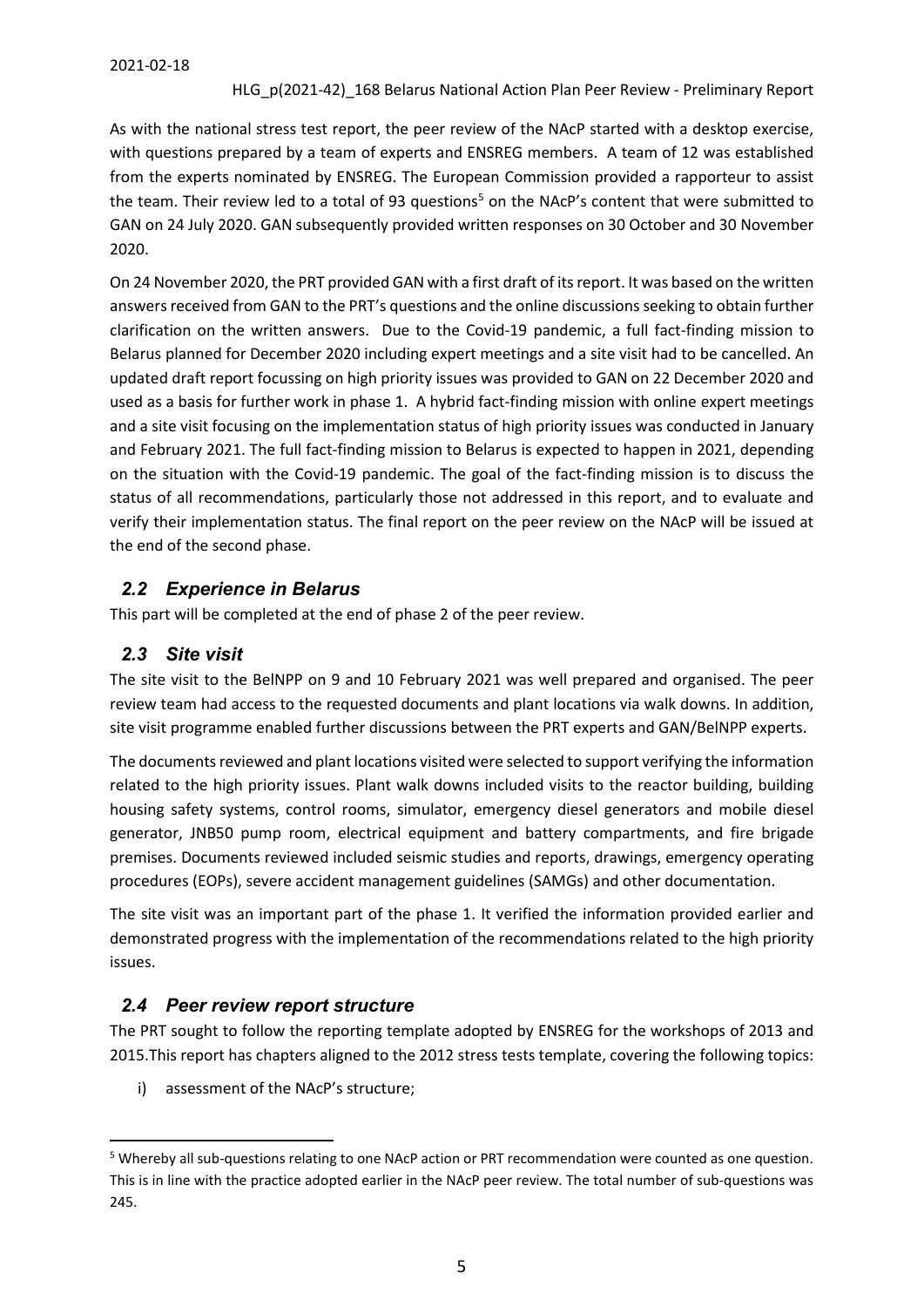As with the national stress test report, the peer review of the NAcP started with a desktop exercise, with questions prepared by a team of experts and ENSREG members. A team of 12 was established from the experts nominated by ENSREG. The European Commission provided a rapporteur to assist the team. Their review led to a total of 93 questions<sup>5</sup> on the NAcP's content that were submitted to GAN on 24 July 2020. GAN subsequently provided written responses on 30 October and 30 November 2020.

On 24 November 2020, the PRT provided GAN with a first draft of its report. It was based on the written answers received from GAN to the PRT's questions and the online discussions seeking to obtain further clarification on the written answers. Due to the Covid-19 pandemic, a full fact-finding mission to Belarus planned for December 2020 including expert meetings and a site visit had to be cancelled. An updated draft report focussing on high priority issues was provided to GAN on 22 December 2020 and used as a basis for further work in phase 1. A hybrid fact-finding mission with online expert meetings and a site visit focusing on the implementation status of high priority issues was conducted in January and February 2021. The full fact-finding mission to Belarus is expected to happen in 2021, depending on the situation with the Covid-19 pandemic. The goal of the fact-finding mission is to discuss the status of all recommendations, particularly those not addressed in this report, and to evaluate and verify their implementation status. The final report on the peer review on the NAcP will be issued at the end of the second phase.

## <span id="page-4-0"></span>*2.2 Experience in Belarus*

This part will be completed at the end of phase 2 of the peer review.

## <span id="page-4-1"></span>*2.3 Site visit*

The site visit to the BelNPP on 9 and 10 February 2021 was well prepared and organised. The peer review team had access to the requested documents and plant locations via walk downs. In addition, site visit programme enabled further discussions between the PRT experts and GAN/BelNPP experts.

The documents reviewed and plant locations visited were selected to support verifying the information related to the high priority issues. Plant walk downs included visits to the reactor building, building housing safety systems, control rooms, simulator, emergency diesel generators and mobile diesel generator, JNB50 pump room, electrical equipment and battery compartments, and fire brigade premises. Documents reviewed included seismic studies and reports, drawings, emergency operating procedures (EOPs), severe accident management guidelines (SAMGs) and other documentation.

The site visit was an important part of the phase 1. It verified the information provided earlier and demonstrated progress with the implementation of the recommendations related to the high priority issues.

### <span id="page-4-2"></span>*2.4 Peer review report structure*

The PRT sought to follow the reporting template adopted by ENSREG for the workshops of 2013 and 2015.This report has chapters aligned to the 2012 stress tests template, covering the following topics:

i) assessment of the NAcP's structure;

<span id="page-4-3"></span> <sup>5</sup> Whereby all sub-questions relating to one NAcP action or PRT recommendation were counted as one question. This is in line with the practice adopted earlier in the NAcP peer review. The total number of sub-questions was 245.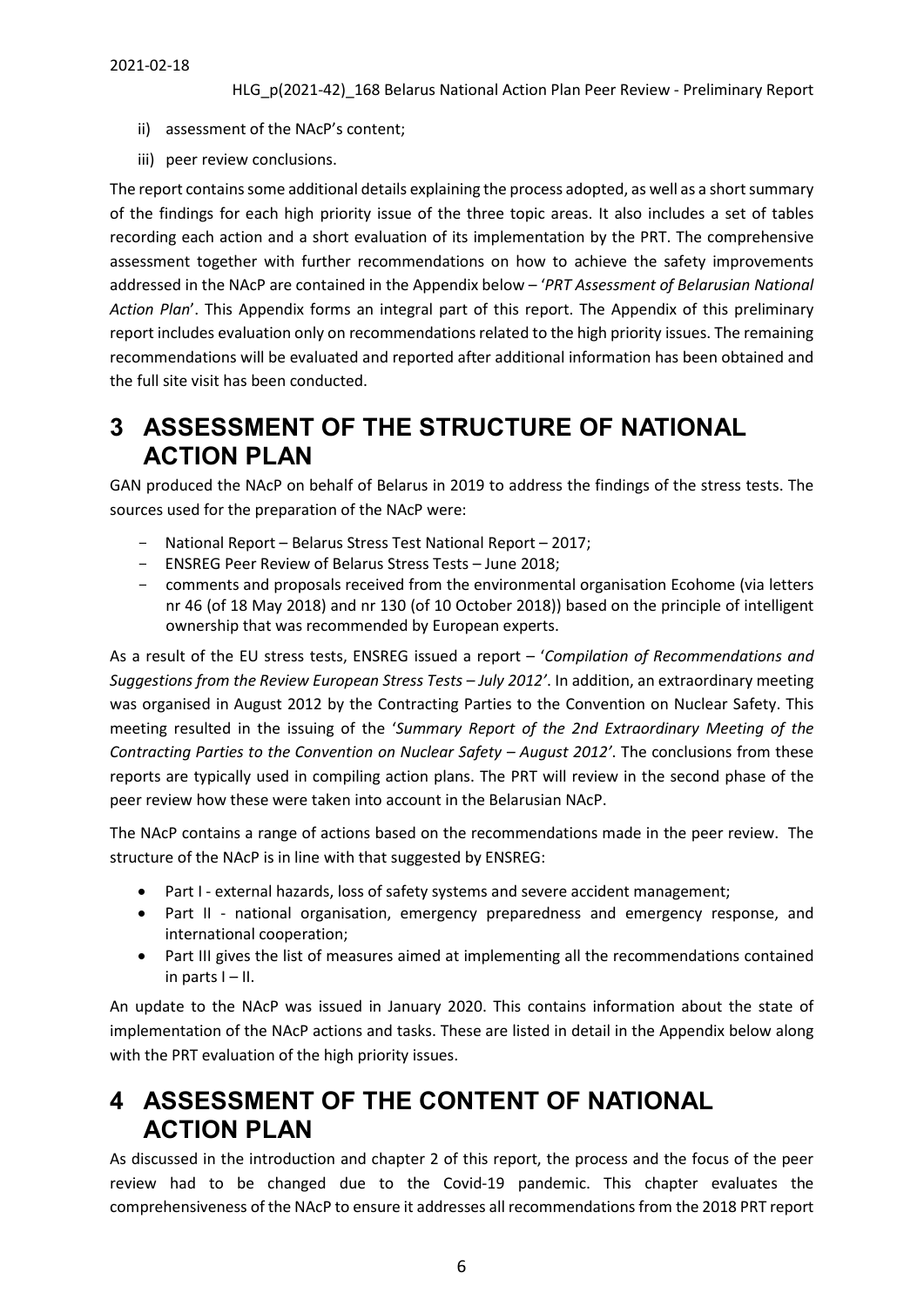- ii) assessment of the NAcP's content;
- iii) peer review conclusions.

The report contains some additional details explaining the process adopted, as well as a short summary of the findings for each high priority issue of the three topic areas. It also includes a set of tables recording each action and a short evaluation of its implementation by the PRT. The comprehensive assessment together with further recommendations on how to achieve the safety improvements addressed in the NAcP are contained in the Appendix below – '*PRT Assessment of Belarusian National Action Plan*'. This Appendix forms an integral part of this report. The Appendix of this preliminary report includes evaluation only on recommendations related to the high priority issues. The remaining recommendations will be evaluated and reported after additional information has been obtained and the full site visit has been conducted.

# <span id="page-5-0"></span>**3 ASSESSMENT OF THE STRUCTURE OF NATIONAL ACTION PLAN**

GAN produced the NAcP on behalf of Belarus in 2019 to address the findings of the stress tests. The sources used for the preparation of the NAcP were:

- National Report Belarus Stress Test National Report 2017;
- ENSREG Peer Review of Belarus Stress Tests June 2018;
- comments and proposals received from the environmental organisation Ecohome (via letters nr 46 (of 18 May 2018) and nr 130 (of 10 October 2018)) based on the principle of intelligent ownership that was recommended by European experts.

As a result of the EU stress tests, ENSREG issued a report – '*Compilation of Recommendations and Suggestions from the Review European Stress Tests – July 2012'*. In addition, an extraordinary meeting was organised in August 2012 by the Contracting Parties to the Convention on Nuclear Safety. This meeting resulted in the issuing of the '*Summary Report of the 2nd Extraordinary Meeting of the Contracting Parties to the Convention on Nuclear Safety – August 2012'*. The conclusions from these reports are typically used in compiling action plans. The PRT will review in the second phase of the peer review how these were taken into account in the Belarusian NAcP.

The NAcP contains a range of actions based on the recommendations made in the peer review. The structure of the NAcP is in line with that suggested by ENSREG:

- Part I external hazards, loss of safety systems and severe accident management;
- Part II national organisation, emergency preparedness and emergency response, and international cooperation;
- Part III gives the list of measures aimed at implementing all the recommendations contained in parts  $I - II$ .

An update to the NAcP was issued in January 2020. This contains information about the state of implementation of the NAcP actions and tasks. These are listed in detail in the Appendix below along with the PRT evaluation of the high priority issues.

# <span id="page-5-1"></span>**4 ASSESSMENT OF THE CONTENT OF NATIONAL ACTION PLAN**

As discussed in the introduction and chapter 2 of this report, the process and the focus of the peer review had to be changed due to the Covid-19 pandemic. This chapter evaluates the comprehensiveness of the NAcP to ensure it addresses all recommendations from the 2018 PRT report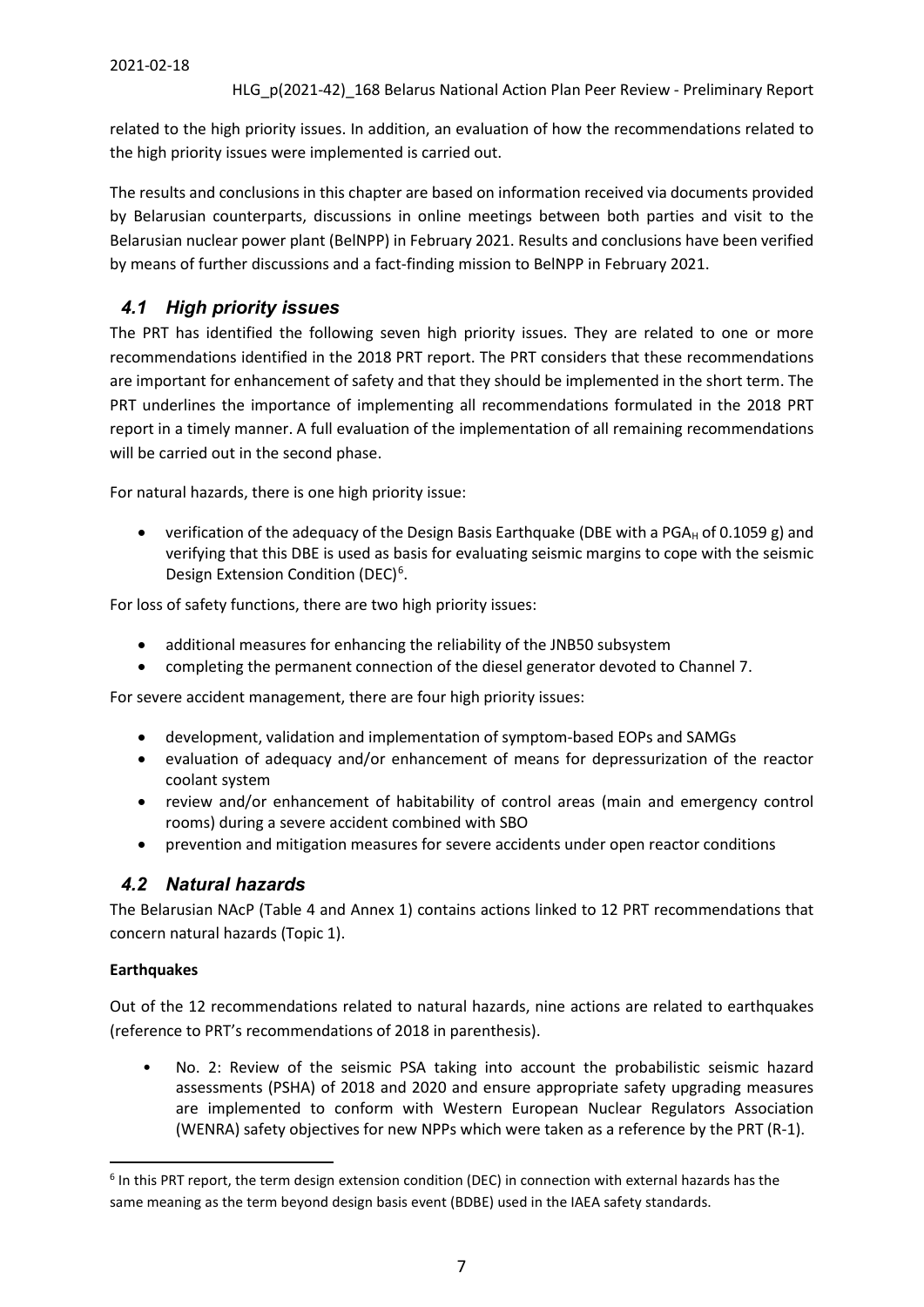related to the high priority issues. In addition, an evaluation of how the recommendations related to the high priority issues were implemented is carried out.

The results and conclusions in this chapter are based on information received via documents provided by Belarusian counterparts, discussions in online meetings between both parties and visit to the Belarusian nuclear power plant (BelNPP) in February 2021. Results and conclusions have been verified by means of further discussions and a fact-finding mission to BelNPP in February 2021.

# <span id="page-6-0"></span>*4.1 High priority issues*

The PRT has identified the following seven high priority issues. They are related to one or more recommendations identified in the 2018 PRT report. The PRT considers that these recommendations are important for enhancement of safety and that they should be implemented in the short term. The PRT underlines the importance of implementing all recommendations formulated in the 2018 PRT report in a timely manner. A full evaluation of the implementation of all remaining recommendations will be carried out in the second phase.

For natural hazards, there is one high priority issue:

• verification of the adequacy of the Design Basis Earthquake (DBE with a PGA $_H$  of 0.1059 g) and verifying that this DBE is used as basis for evaluating seismic margins to cope with the seismic Design Extension Condition (DEC)<sup>[6](#page-6-2)</sup>.

For loss of safety functions, there are two high priority issues:

- additional measures for enhancing the reliability of the JNB50 subsystem
- completing the permanent connection of the diesel generator devoted to Channel 7.

For severe accident management, there are four high priority issues:

- development, validation and implementation of symptom-based EOPs and SAMGs
- evaluation of adequacy and/or enhancement of means for depressurization of the reactor coolant system
- review and/or enhancement of habitability of control areas (main and emergency control rooms) during a severe accident combined with SBO
- prevention and mitigation measures for severe accidents under open reactor conditions

## <span id="page-6-1"></span>*4.2 Natural hazards*

The Belarusian NAcP (Table 4 and Annex 1) contains actions linked to 12 PRT recommendations that concern natural hazards (Topic 1).

#### **Earthquakes**

Out of the 12 recommendations related to natural hazards, nine actions are related to earthquakes (reference to PRT's recommendations of 2018 in parenthesis).

No. 2: Review of the seismic PSA taking into account the probabilistic seismic hazard assessments (PSHA) of 2018 and 2020 and ensure appropriate safety upgrading measures are implemented to conform with Western European Nuclear Regulators Association (WENRA) safety objectives for new NPPs which were taken as a reference by the PRT (R-1).

<span id="page-6-2"></span> $6$  In this PRT report, the term design extension condition (DEC) in connection with external hazards has the same meaning as the term beyond design basis event (BDBE) used in the IAEA safety standards.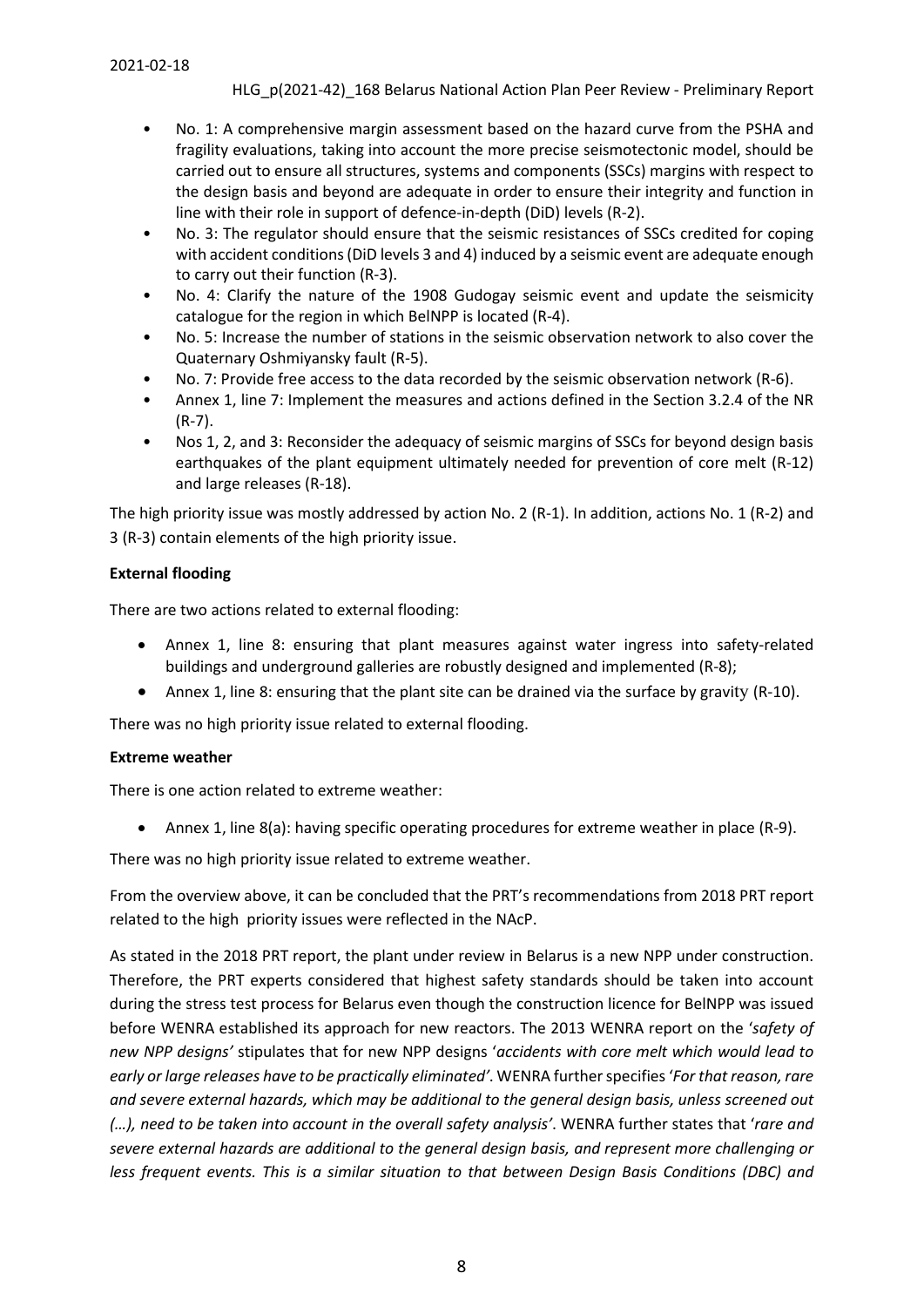- No. 1: A comprehensive margin assessment based on the hazard curve from the PSHA and fragility evaluations, taking into account the more precise seismotectonic model, should be carried out to ensure all structures, systems and components (SSCs) margins with respect to the design basis and beyond are adequate in order to ensure their integrity and function in line with their role in support of defence-in-depth (DiD) levels (R-2).
- No. 3: The regulator should ensure that the seismic resistances of SSCs credited for coping with accident conditions (DiD levels 3 and 4) induced by a seismic event are adequate enough to carry out their function (R-3).
- No. 4: Clarify the nature of the 1908 Gudogay seismic event and update the seismicity catalogue for the region in which BelNPP is located (R-4).
- No. 5: Increase the number of stations in the seismic observation network to also cover the Quaternary Oshmiyansky fault (R-5).
- No. 7: Provide free access to the data recorded by the seismic observation network (R-6).
- Annex 1, line 7: Implement the measures and actions defined in the Section 3.2.4 of the NR (R-7).
- Nos 1, 2, and 3: Reconsider the adequacy of seismic margins of SSCs for beyond design basis earthquakes of the plant equipment ultimately needed for prevention of core melt (R-12) and large releases (R-18).

The high priority issue was mostly addressed by action No. 2 (R-1). In addition, actions No. 1 (R-2) and 3 (R-3) contain elements of the high priority issue.

### **External flooding**

There are two actions related to external flooding:

- Annex 1, line 8: ensuring that plant measures against water ingress into safety-related buildings and underground galleries are robustly designed and implemented (R-8);
- Annex 1, line 8: ensuring that the plant site can be drained via the surface by gravity (R-10).

There was no high priority issue related to external flooding.

#### **Extreme weather**

There is one action related to extreme weather:

• Annex 1, line 8(a): having specific operating procedures for extreme weather in place (R-9).

There was no high priority issue related to extreme weather.

From the overview above, it can be concluded that the PRT's recommendations from 2018 PRT report related to the high priority issues were reflected in the NAcP.

As stated in the 2018 PRT report, the plant under review in Belarus is a new NPP under construction. Therefore, the PRT experts considered that highest safety standards should be taken into account during the stress test process for Belarus even though the construction licence for BelNPP was issued before WENRA established its approach for new reactors. The 2013 WENRA report on the '*safety of new NPP designs'* stipulates that for new NPP designs '*accidents with core melt which would lead to early or large releases have to be practically eliminated'*. WENRA further specifies '*For that reason, rare and severe external hazards, which may be additional to the general design basis, unless screened out (…), need to be taken into account in the overall safety analysis'*. WENRA further states that '*rare and severe external hazards are additional to the general design basis, and represent more challenging or less frequent events. This is a similar situation to that between Design Basis Conditions (DBC) and*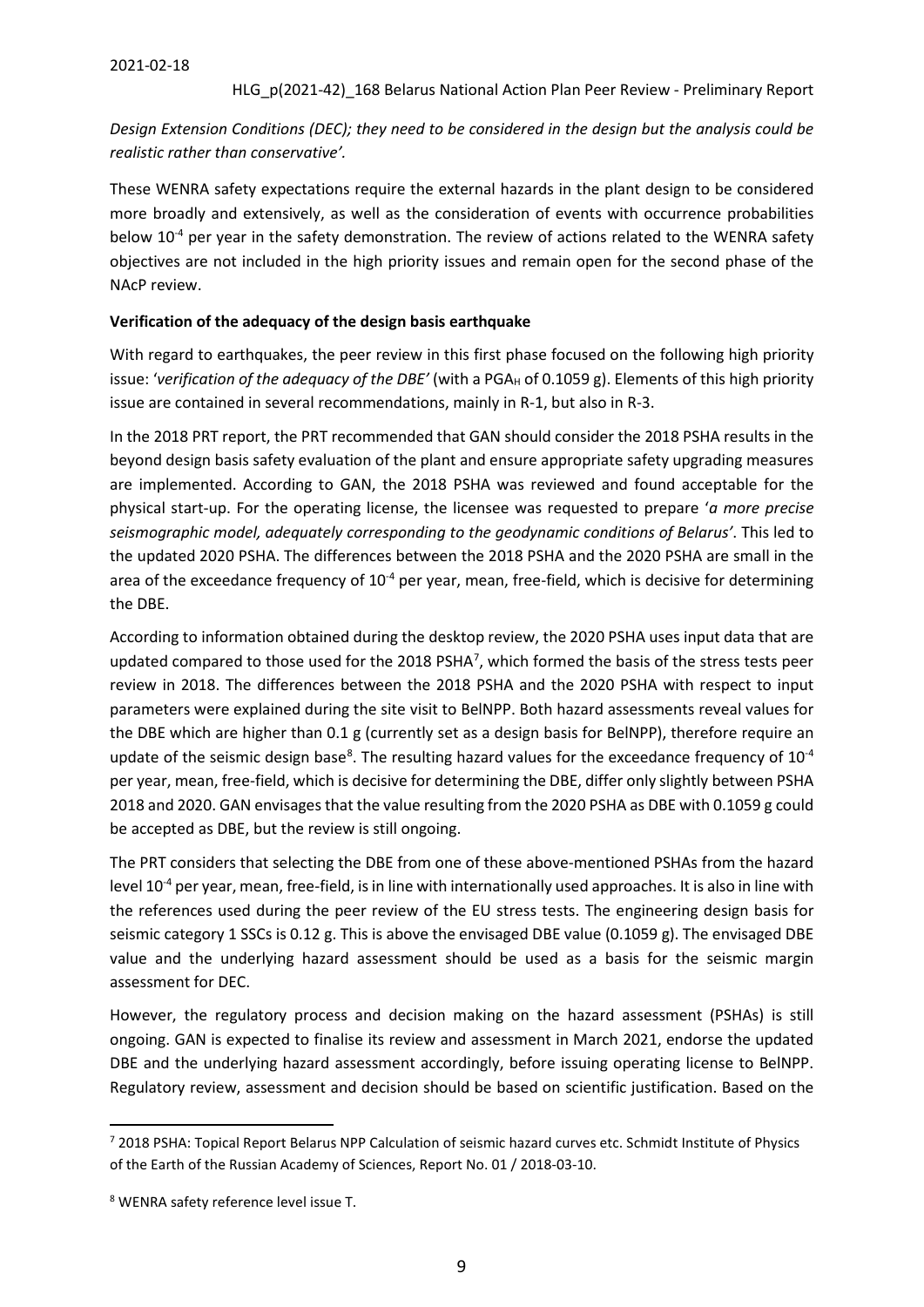*Design Extension Conditions (DEC); they need to be considered in the design but the analysis could be realistic rather than conservative'.*

These WENRA safety expectations require the external hazards in the plant design to be considered more broadly and extensively, as well as the consideration of events with occurrence probabilities below 10<sup>-4</sup> per year in the safety demonstration. The review of actions related to the WENRA safety objectives are not included in the high priority issues and remain open for the second phase of the NAcP review.

#### **Verification of the adequacy of the design basis earthquake**

With regard to earthquakes, the peer review in this first phase focused on the following high priority issue: 'verification of the adequacy of the DBE' (with a PGA<sub>H</sub> of 0.1059 g). Elements of this high priority issue are contained in several recommendations, mainly in R-1, but also in R-3.

In the 2018 PRT report, the PRT recommended that GAN should consider the 2018 PSHA results in the beyond design basis safety evaluation of the plant and ensure appropriate safety upgrading measures are implemented. According to GAN, the 2018 PSHA was reviewed and found acceptable for the physical start-up. For the operating license, the licensee was requested to prepare '*a more precise seismographic model, adequately corresponding to the geodynamic conditions of Belarus'*. This led to the updated 2020 PSHA. The differences between the 2018 PSHA and the 2020 PSHA are small in the area of the exceedance frequency of 10<sup>-4</sup> per year, mean, free-field, which is decisive for determining the DBE.

According to information obtained during the desktop review, the 2020 PSHA uses input data that are updated compared to those used for the 2018 PSHA<sup>7</sup>, which formed the basis of the stress tests peer review in 2018. The differences between the 2018 PSHA and the 2020 PSHA with respect to input parameters were explained during the site visit to BelNPP. Both hazard assessments reveal values for the DBE which are higher than 0.1 g (currently set as a design basis for BelNPP), therefore require an update of the seismic design base<sup>[8](#page-8-1)</sup>. The resulting hazard values for the exceedance frequency of  $10^{-4}$ per year, mean, free-field, which is decisive for determining the DBE, differ only slightly between PSHA 2018 and 2020. GAN envisages that the value resulting from the 2020 PSHA as DBE with 0.1059 g could be accepted as DBE, but the review is still ongoing.

The PRT considers that selecting the DBE from one of these above-mentioned PSHAs from the hazard level 10<sup>-4</sup> per year, mean, free-field, is in line with internationally used approaches. It is also in line with the references used during the peer review of the EU stress tests. The engineering design basis for seismic category 1 SSCs is 0.12 g. This is above the envisaged DBE value (0.1059 g). The envisaged DBE value and the underlying hazard assessment should be used as a basis for the seismic margin assessment for DEC.

However, the regulatory process and decision making on the hazard assessment (PSHAs) is still ongoing. GAN is expected to finalise its review and assessment in March 2021, endorse the updated DBE and the underlying hazard assessment accordingly, before issuing operating license to BelNPP. Regulatory review, assessment and decision should be based on scientific justification. Based on the

<span id="page-8-0"></span> <sup>7</sup> <sup>2018</sup> PSHA: Topical Report Belarus NPP Calculation of seismic hazard curves etc. Schmidt Institute of Physics of the Earth of the Russian Academy of Sciences, Report No. 01 / 2018-03-10.

<span id="page-8-1"></span><sup>8</sup> WENRA safety reference level issue T.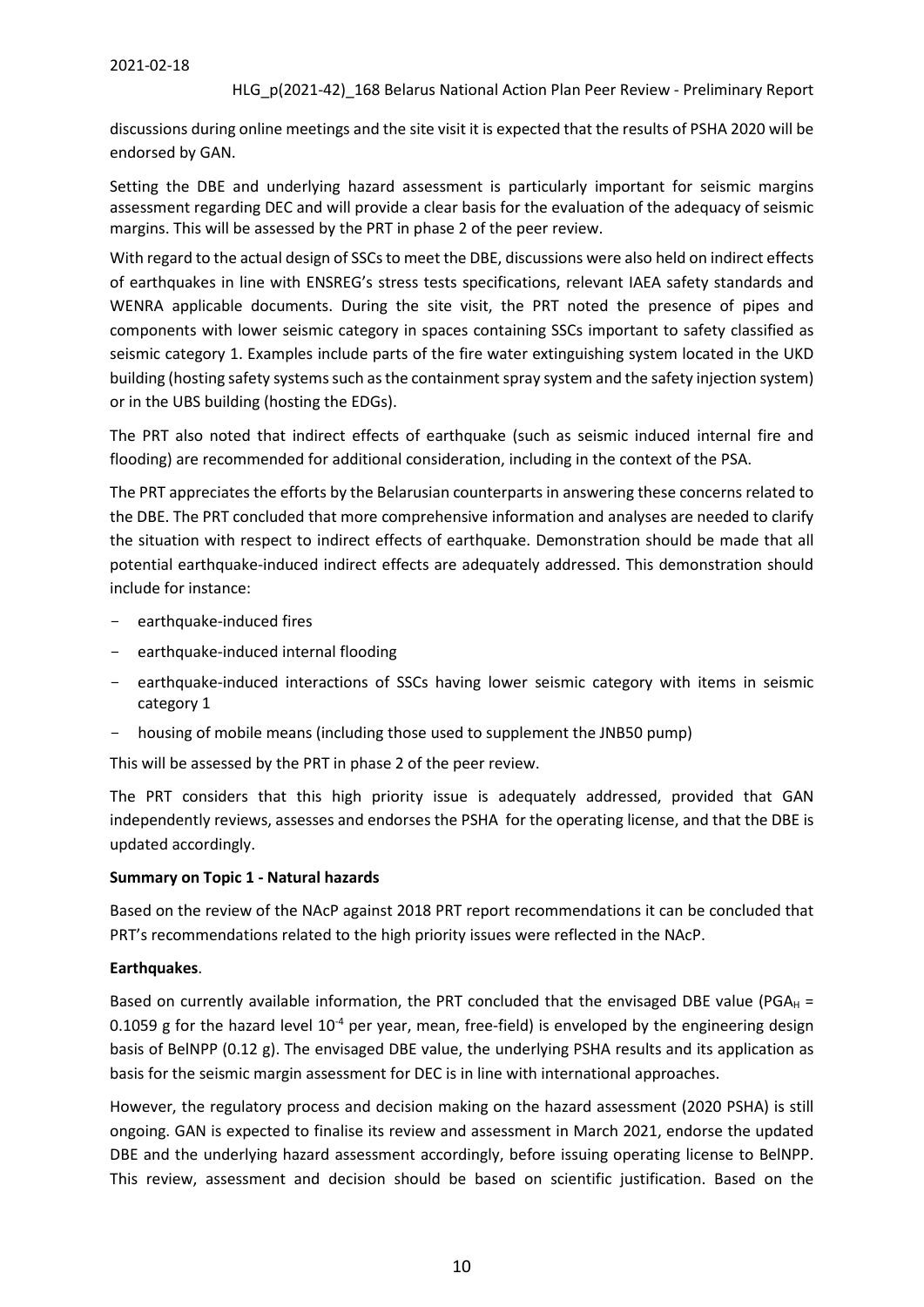#### 2021-02-18

#### HLG\_p(2021-42)\_168 Belarus National Action Plan Peer Review - Preliminary Report

discussions during online meetings and the site visit it is expected that the results of PSHA 2020 will be endorsed by GAN.

Setting the DBE and underlying hazard assessment is particularly important for seismic margins assessment regarding DEC and will provide a clear basis for the evaluation of the adequacy of seismic margins. This will be assessed by the PRT in phase 2 of the peer review.

With regard to the actual design of SSCs to meet the DBE, discussions were also held on indirect effects of earthquakes in line with ENSREG's stress tests specifications, relevant IAEA safety standards and WENRA applicable documents. During the site visit, the PRT noted the presence of pipes and components with lower seismic category in spaces containing SSCs important to safety classified as seismic category 1. Examples include parts of the fire water extinguishing system located in the UKD building (hosting safety systems such as the containment spray system and the safety injection system) or in the UBS building (hosting the EDGs).

The PRT also noted that indirect effects of earthquake (such as seismic induced internal fire and flooding) are recommended for additional consideration, including in the context of the PSA.

The PRT appreciates the efforts by the Belarusian counterparts in answering these concerns related to the DBE. The PRT concluded that more comprehensive information and analyses are needed to clarify the situation with respect to indirect effects of earthquake. Demonstration should be made that all potential earthquake-induced indirect effects are adequately addressed. This demonstration should include for instance:

- earthquake-induced fires
- earthquake-induced internal flooding
- earthquake-induced interactions of SSCs having lower seismic category with items in seismic category 1
- housing of mobile means (including those used to supplement the JNB50 pump)

This will be assessed by the PRT in phase 2 of the peer review.

The PRT considers that this high priority issue is adequately addressed, provided that GAN independently reviews, assesses and endorses the PSHA for the operating license, and that the DBE is updated accordingly.

#### **Summary on Topic 1 - Natural hazards**

Based on the review of the NAcP against 2018 PRT report recommendations it can be concluded that PRT's recommendations related to the high priority issues were reflected in the NAcP.

#### **Earthquakes**.

Based on currently available information, the PRT concluded that the envisaged DBE value (PGAH = 0.1059 g for the hazard level  $10^{-4}$  per year, mean, free-field) is enveloped by the engineering design basis of BelNPP (0.12 g). The envisaged DBE value, the underlying PSHA results and its application as basis for the seismic margin assessment for DEC is in line with international approaches.

However, the regulatory process and decision making on the hazard assessment (2020 PSHA) is still ongoing. GAN is expected to finalise its review and assessment in March 2021, endorse the updated DBE and the underlying hazard assessment accordingly, before issuing operating license to BelNPP. This review, assessment and decision should be based on scientific justification. Based on the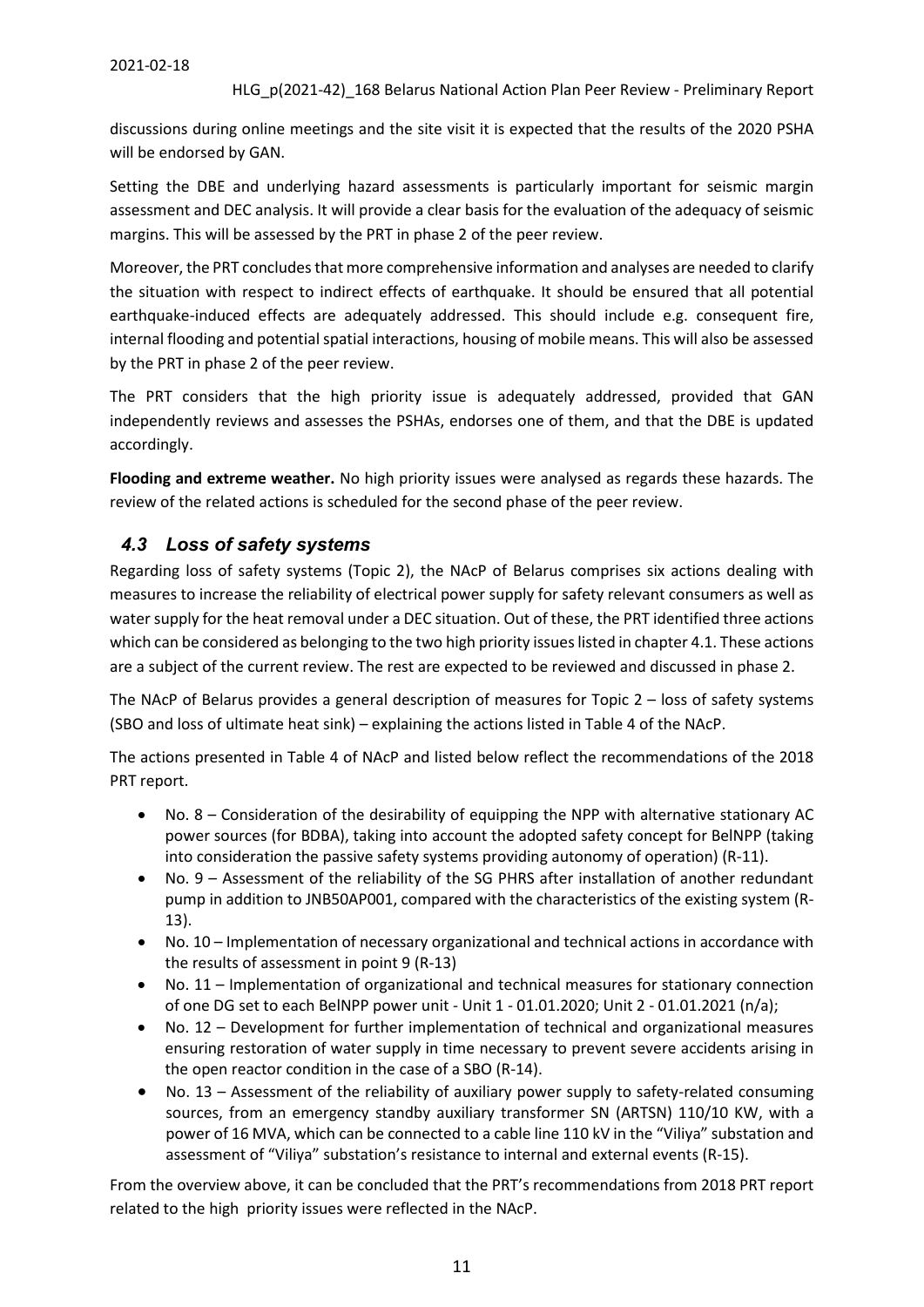discussions during online meetings and the site visit it is expected that the results of the 2020 PSHA will be endorsed by GAN.

Setting the DBE and underlying hazard assessments is particularly important for seismic margin assessment and DEC analysis. It will provide a clear basis for the evaluation of the adequacy of seismic margins. This will be assessed by the PRT in phase 2 of the peer review.

Moreover, the PRT concludes that more comprehensive information and analyses are needed to clarify the situation with respect to indirect effects of earthquake. It should be ensured that all potential earthquake-induced effects are adequately addressed. This should include e.g. consequent fire, internal flooding and potential spatial interactions, housing of mobile means. This will also be assessed by the PRT in phase 2 of the peer review.

The PRT considers that the high priority issue is adequately addressed, provided that GAN independently reviews and assesses the PSHAs, endorses one of them, and that the DBE is updated accordingly.

**Flooding and extreme weather.** No high priority issues were analysed as regards these hazards. The review of the related actions is scheduled for the second phase of the peer review.

#### <span id="page-10-0"></span>*4.3 Loss of safety systems*

Regarding loss of safety systems (Topic 2), the NAcP of Belarus comprises six actions dealing with measures to increase the reliability of electrical power supply for safety relevant consumers as well as water supply for the heat removal under a DEC situation. Out of these, the PRT identified three actions which can be considered as belonging to the two high priority issues listed in chapter 4.1. These actions are a subject of the current review. The rest are expected to be reviewed and discussed in phase 2.

The NAcP of Belarus provides a general description of measures for Topic  $2 -$  loss of safety systems (SBO and loss of ultimate heat sink) – explaining the actions listed in Table 4 of the NAcP.

The actions presented in Table 4 of NAcP and listed below reflect the recommendations of the 2018 PRT report.

- No. 8 Consideration of the desirability of equipping the NPP with alternative stationary AC power sources (for BDBA), taking into account the adopted safety concept for BelNPP (taking into consideration the passive safety systems providing autonomy of operation) (R-11).
- No. 9 Assessment of the reliability of the SG PHRS after installation of another redundant pump in addition to JNB50AP001, compared with the characteristics of the existing system (R-13).
- No. 10 Implementation of necessary organizational and technical actions in accordance with the results of assessment in point 9 (R-13)
- No. 11 Implementation of organizational and technical measures for stationary connection of one DG set to each BelNPP power unit - Unit 1 - 01.01.2020; Unit 2 - 01.01.2021 (n/a);
- No. 12 Development for further implementation of technical and organizational measures ensuring restoration of water supply in time necessary to prevent severe accidents arising in the open reactor condition in the case of a SBO (R-14).
- No. 13 Assessment of the reliability of auxiliary power supply to safety-related consuming sources, from an emergency standby auxiliary transformer SN (ARTSN) 110/10 KW, with a power of 16 MVA, which can be connected to a cable line 110 kV in the "Viliya" substation and assessment of "Viliya" substation's resistance to internal and external events (R-15).

From the overview above, it can be concluded that the PRT's recommendations from 2018 PRT report related to the high priority issues were reflected in the NAcP.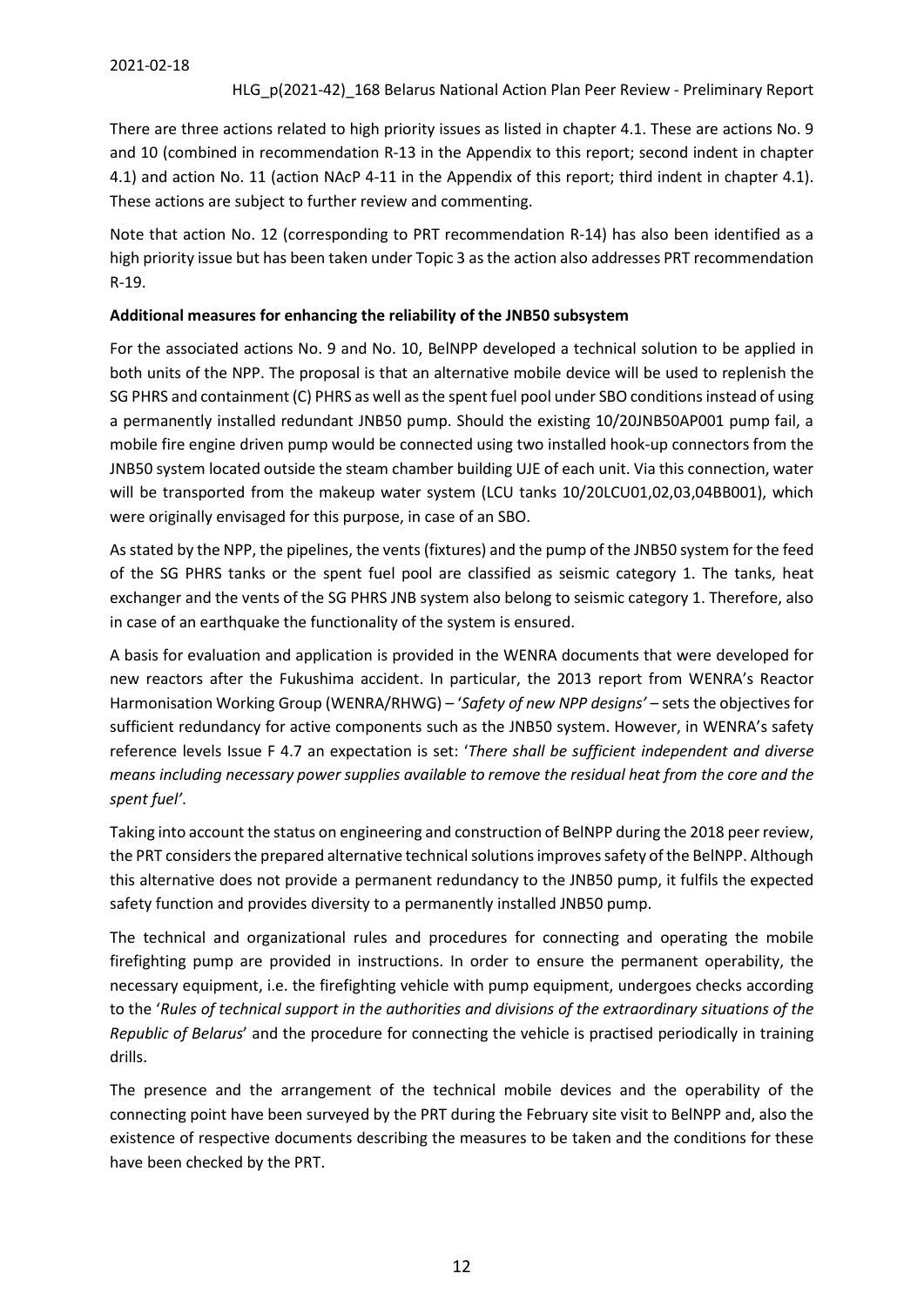There are three actions related to high priority issues as listed in chapter 4.1. These are actions No. 9 and 10 (combined in recommendation R-13 in the Appendix to this report; second indent in chapter 4.1) and action No. 11 (action NAcP 4-11 in the Appendix of this report; third indent in chapter 4.1). These actions are subject to further review and commenting.

Note that action No. 12 (corresponding to PRT recommendation R-14) has also been identified as a high priority issue but has been taken under Topic 3 as the action also addresses PRT recommendation R-19.

#### **Additional measures for enhancing the reliability of the JNB50 subsystem**

For the associated actions No. 9 and No. 10, BelNPP developed a technical solution to be applied in both units of the NPP. The proposal is that an alternative mobile device will be used to replenish the SG PHRS and containment (C) PHRS as well as the spent fuel pool under SBO conditions instead of using a permanently installed redundant JNB50 pump. Should the existing 10/20JNB50AP001 pump fail, a mobile fire engine driven pump would be connected using two installed hook-up connectors from the JNB50 system located outside the steam chamber building UJE of each unit. Via this connection, water will be transported from the makeup water system (LCU tanks 10/20LCU01,02,03,04BB001), which were originally envisaged for this purpose, in case of an SBO.

As stated by the NPP, the pipelines, the vents (fixtures) and the pump of the JNB50 system for the feed of the SG PHRS tanks or the spent fuel pool are classified as seismic category 1. The tanks, heat exchanger and the vents of the SG PHRS JNB system also belong to seismic category 1. Therefore, also in case of an earthquake the functionality of the system is ensured.

A basis for evaluation and application is provided in the WENRA documents that were developed for new reactors after the Fukushima accident. In particular, the 2013 report from WENRA's Reactor Harmonisation Working Group (WENRA/RHWG) – '*Safety of new NPP designs'* – sets the objectives for sufficient redundancy for active components such as the JNB50 system. However, in WENRA's safety reference levels Issue F 4.7 an expectation is set: '*There shall be sufficient independent and diverse means including necessary power supplies available to remove the residual heat from the core and the spent fuel'*.

Taking into account the status on engineering and construction of BelNPP during the 2018 peer review, the PRT considers the prepared alternative technical solutions improves safety of the BelNPP. Although this alternative does not provide a permanent redundancy to the JNB50 pump, it fulfils the expected safety function and provides diversity to a permanently installed JNB50 pump.

The technical and organizational rules and procedures for connecting and operating the mobile firefighting pump are provided in instructions. In order to ensure the permanent operability, the necessary equipment, i.e. the firefighting vehicle with pump equipment, undergoes checks according to the '*Rules of technical support in the authorities and divisions of the extraordinary situations of the Republic of Belarus*' and the procedure for connecting the vehicle is practised periodically in training drills.

The presence and the arrangement of the technical mobile devices and the operability of the connecting point have been surveyed by the PRT during the February site visit to BelNPP and, also the existence of respective documents describing the measures to be taken and the conditions for these have been checked by the PRT.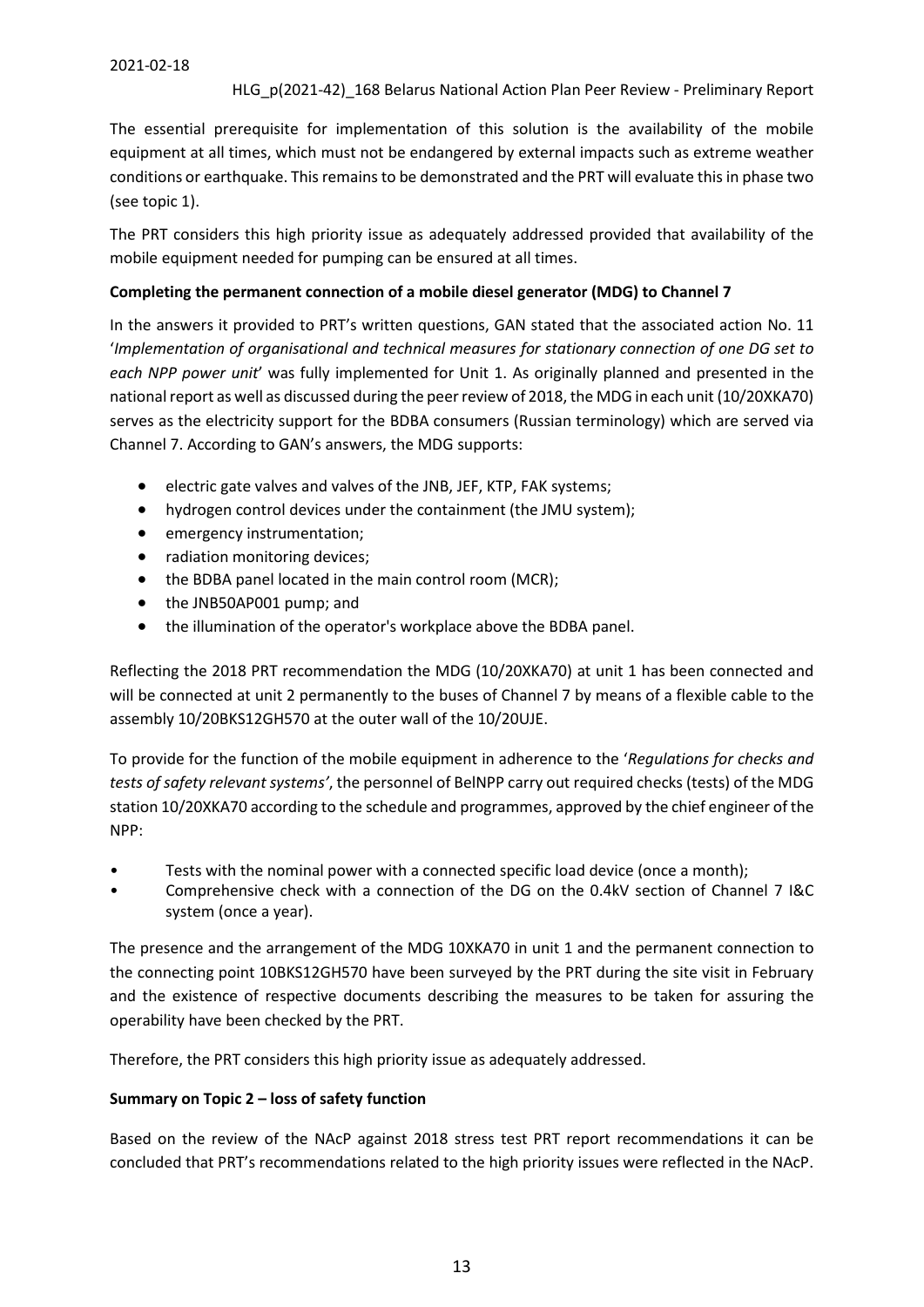The essential prerequisite for implementation of this solution is the availability of the mobile equipment at all times, which must not be endangered by external impacts such as extreme weather conditions or earthquake. This remains to be demonstrated and the PRT will evaluate this in phase two (see topic 1).

The PRT considers this high priority issue as adequately addressed provided that availability of the mobile equipment needed for pumping can be ensured at all times.

#### **Completing the permanent connection of a mobile diesel generator (MDG) to Channel 7**

In the answers it provided to PRT's written questions, GAN stated that the associated action No. 11 '*Implementation of organisational and technical measures for stationary connection of one DG set to each NPP power unit*' was fully implemented for Unit 1. As originally planned and presented in the national report as well as discussed during the peer review of 2018, the MDG in each unit (10/20XKA70) serves as the electricity support for the BDBA consumers (Russian terminology) which are served via Channel 7. According to GAN's answers, the MDG supports:

- electric gate valves and valves of the JNB, JEF, KTP, FAK systems;
- hydrogen control devices under the containment (the JMU system);
- emergency instrumentation;
- radiation monitoring devices;
- the BDBA panel located in the main control room (MCR);
- the JNB50AP001 pump; and
- the illumination of the operator's workplace above the BDBA panel.

Reflecting the 2018 PRT recommendation the MDG (10/20XKA70) at unit 1 has been connected and will be connected at unit 2 permanently to the buses of Channel 7 by means of a flexible cable to the assembly 10/20BKS12GH570 at the outer wall of the 10/20UJE.

To provide for the function of the mobile equipment in adherence to the '*Regulations for checks and tests of safety relevant systems'*, the personnel of BelNPP carry out required checks (tests) of the MDG station 10/20XKA70 according to the schedule and programmes, approved by the chief engineer of the NPP:

- Tests with the nominal power with a connected specific load device (once a month);
- Comprehensive check with a connection of the DG on the 0.4kV section of Channel 7 I&C system (once a year).

The presence and the arrangement of the MDG 10XKA70 in unit 1 and the permanent connection to the connecting point 10BKS12GH570 have been surveyed by the PRT during the site visit in February and the existence of respective documents describing the measures to be taken for assuring the operability have been checked by the PRT.

Therefore, the PRT considers this high priority issue as adequately addressed.

#### **Summary on Topic 2 – loss of safety function**

Based on the review of the NAcP against 2018 stress test PRT report recommendations it can be concluded that PRT's recommendations related to the high priority issues were reflected in the NAcP.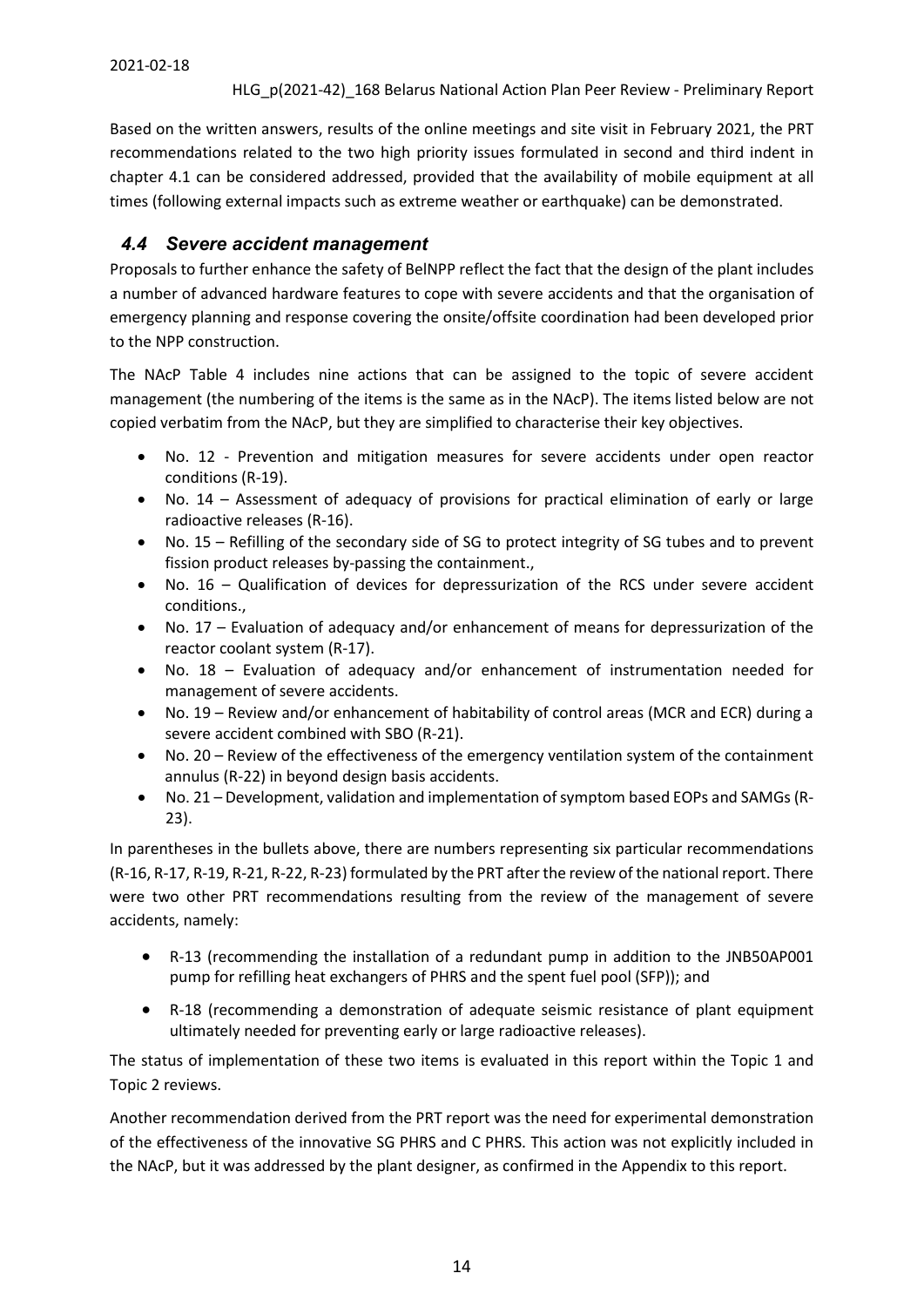Based on the written answers, results of the online meetings and site visit in February 2021, the PRT recommendations related to the two high priority issues formulated in second and third indent in chapter 4.1 can be considered addressed, provided that the availability of mobile equipment at all times (following external impacts such as extreme weather or earthquake) can be demonstrated.

### <span id="page-13-0"></span>*4.4 Severe accident management*

Proposals to further enhance the safety of BelNPP reflect the fact that the design of the plant includes a number of advanced hardware features to cope with severe accidents and that the organisation of emergency planning and response covering the onsite/offsite coordination had been developed prior to the NPP construction.

The NAcP Table 4 includes nine actions that can be assigned to the topic of severe accident management (the numbering of the items is the same as in the NAcP). The items listed below are not copied verbatim from the NAcP, but they are simplified to characterise their key objectives.

- No. 12 Prevention and mitigation measures for severe accidents under open reactor conditions (R-19).
- No. 14 Assessment of adequacy of provisions for practical elimination of early or large radioactive releases (R-16).
- No. 15 Refilling of the secondary side of SG to protect integrity of SG tubes and to prevent fission product releases by-passing the containment.,
- No. 16 Qualification of devices for depressurization of the RCS under severe accident conditions.,
- No. 17 Evaluation of adequacy and/or enhancement of means for depressurization of the reactor coolant system (R-17).
- No. 18 Evaluation of adequacy and/or enhancement of instrumentation needed for management of severe accidents.
- No. 19 Review and/or enhancement of habitability of control areas (MCR and ECR) during a severe accident combined with SBO (R-21).
- No. 20 Review of the effectiveness of the emergency ventilation system of the containment annulus (R-22) in beyond design basis accidents.
- No. 21 Development, validation and implementation of symptom based EOPs and SAMGs (R-23).

In parentheses in the bullets above, there are numbers representing six particular recommendations (R-16, R-17, R-19, R-21, R-22, R-23) formulated by the PRT after the review of the national report. There were two other PRT recommendations resulting from the review of the management of severe accidents, namely:

- R-13 (recommending the installation of a redundant pump in addition to the JNB50AP001 pump for refilling heat exchangers of PHRS and the spent fuel pool (SFP)); and
- R-18 (recommending a demonstration of adequate seismic resistance of plant equipment ultimately needed for preventing early or large radioactive releases).

The status of implementation of these two items is evaluated in this report within the Topic 1 and Topic 2 reviews.

Another recommendation derived from the PRT report was the need for experimental demonstration of the effectiveness of the innovative SG PHRS and C PHRS. This action was not explicitly included in the NAcP, but it was addressed by the plant designer, as confirmed in the Appendix to this report.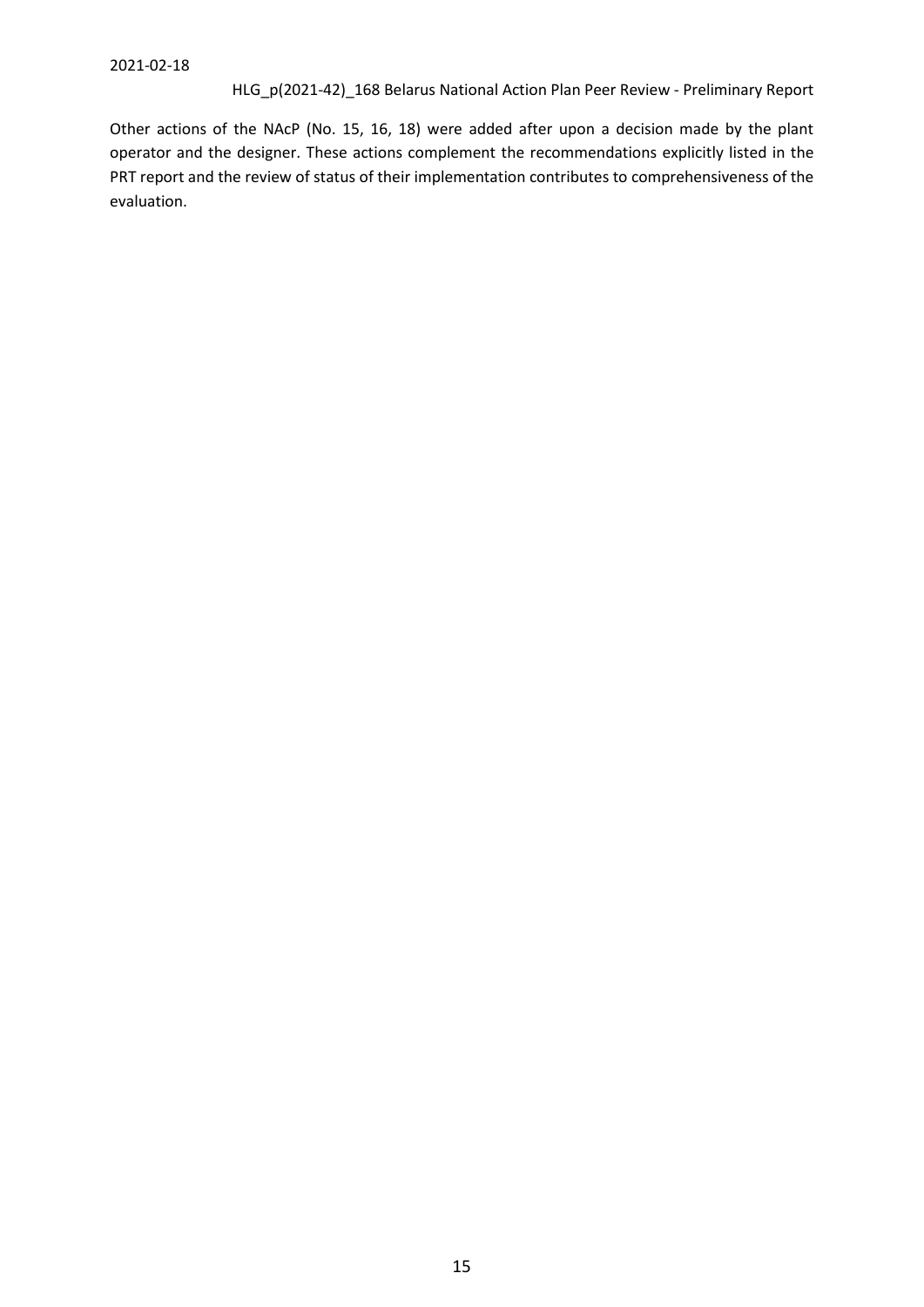Other actions of the NAcP (No. 15, 16, 18) were added after upon a decision made by the plant operator and the designer. These actions complement the recommendations explicitly listed in the PRT report and the review of status of their implementation contributes to comprehensiveness of the evaluation.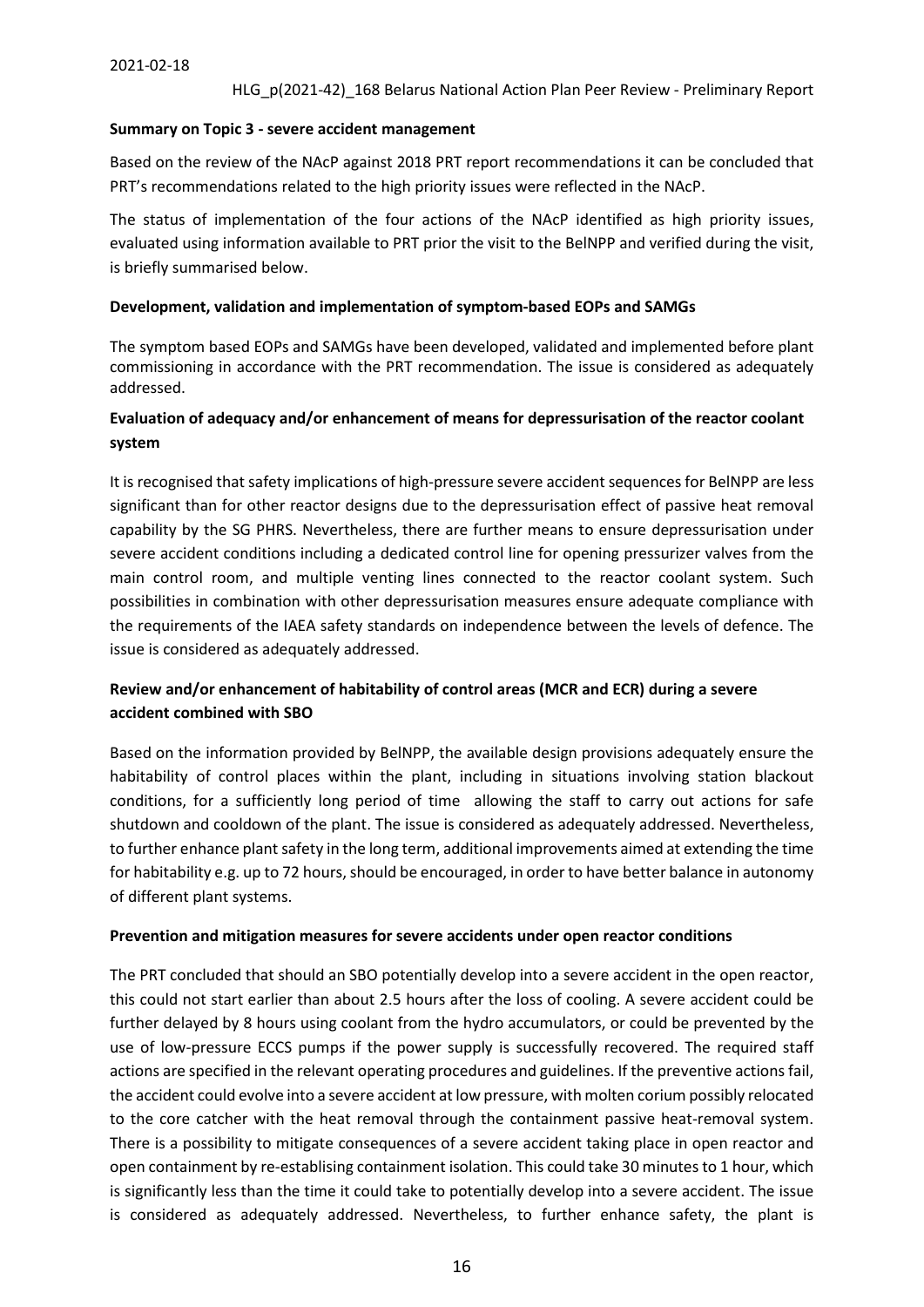#### **Summary on Topic 3 - severe accident management**

Based on the review of the NAcP against 2018 PRT report recommendations it can be concluded that PRT's recommendations related to the high priority issues were reflected in the NAcP.

The status of implementation of the four actions of the NAcP identified as high priority issues, evaluated using information available to PRT prior the visit to the BelNPP and verified during the visit, is briefly summarised below.

#### **Development, validation and implementation of symptom-based EOPs and SAMGs**

The symptom based EOPs and SAMGs have been developed, validated and implemented before plant commissioning in accordance with the PRT recommendation. The issue is considered as adequately addressed.

#### **Evaluation of adequacy and/or enhancement of means for depressurisation of the reactor coolant system**

It is recognised that safety implications of high-pressure severe accident sequences for BelNPP are less significant than for other reactor designs due to the depressurisation effect of passive heat removal capability by the SG PHRS. Nevertheless, there are further means to ensure depressurisation under severe accident conditions including a dedicated control line for opening pressurizer valves from the main control room, and multiple venting lines connected to the reactor coolant system. Such possibilities in combination with other depressurisation measures ensure adequate compliance with the requirements of the IAEA safety standards on independence between the levels of defence. The issue is considered as adequately addressed.

#### **Review and/or enhancement of habitability of control areas (MCR and ECR) during a severe accident combined with SBO**

Based on the information provided by BelNPP, the available design provisions adequately ensure the habitability of control places within the plant, including in situations involving station blackout conditions, for a sufficiently long period of time allowing the staff to carry out actions for safe shutdown and cooldown of the plant. The issue is considered as adequately addressed. Nevertheless, to further enhance plant safety in the long term, additional improvements aimed at extending the time for habitability e.g. up to 72 hours, should be encouraged, in order to have better balance in autonomy of different plant systems.

#### **Prevention and mitigation measures for severe accidents under open reactor conditions**

The PRT concluded that should an SBO potentially develop into a severe accident in the open reactor, this could not start earlier than about 2.5 hours after the loss of cooling. A severe accident could be further delayed by 8 hours using coolant from the hydro accumulators, or could be prevented by the use of low-pressure ECCS pumps if the power supply is successfully recovered. The required staff actions are specified in the relevant operating procedures and guidelines. If the preventive actions fail, the accident could evolve into a severe accident at low pressure, with molten corium possibly relocated to the core catcher with the heat removal through the containment passive heat-removal system. There is a possibility to mitigate consequences of a severe accident taking place in open reactor and open containment by re-establising containment isolation. This could take 30 minutes to 1 hour, which is significantly less than the time it could take to potentially develop into a severe accident. The issue is considered as adequately addressed. Nevertheless, to further enhance safety, the plant is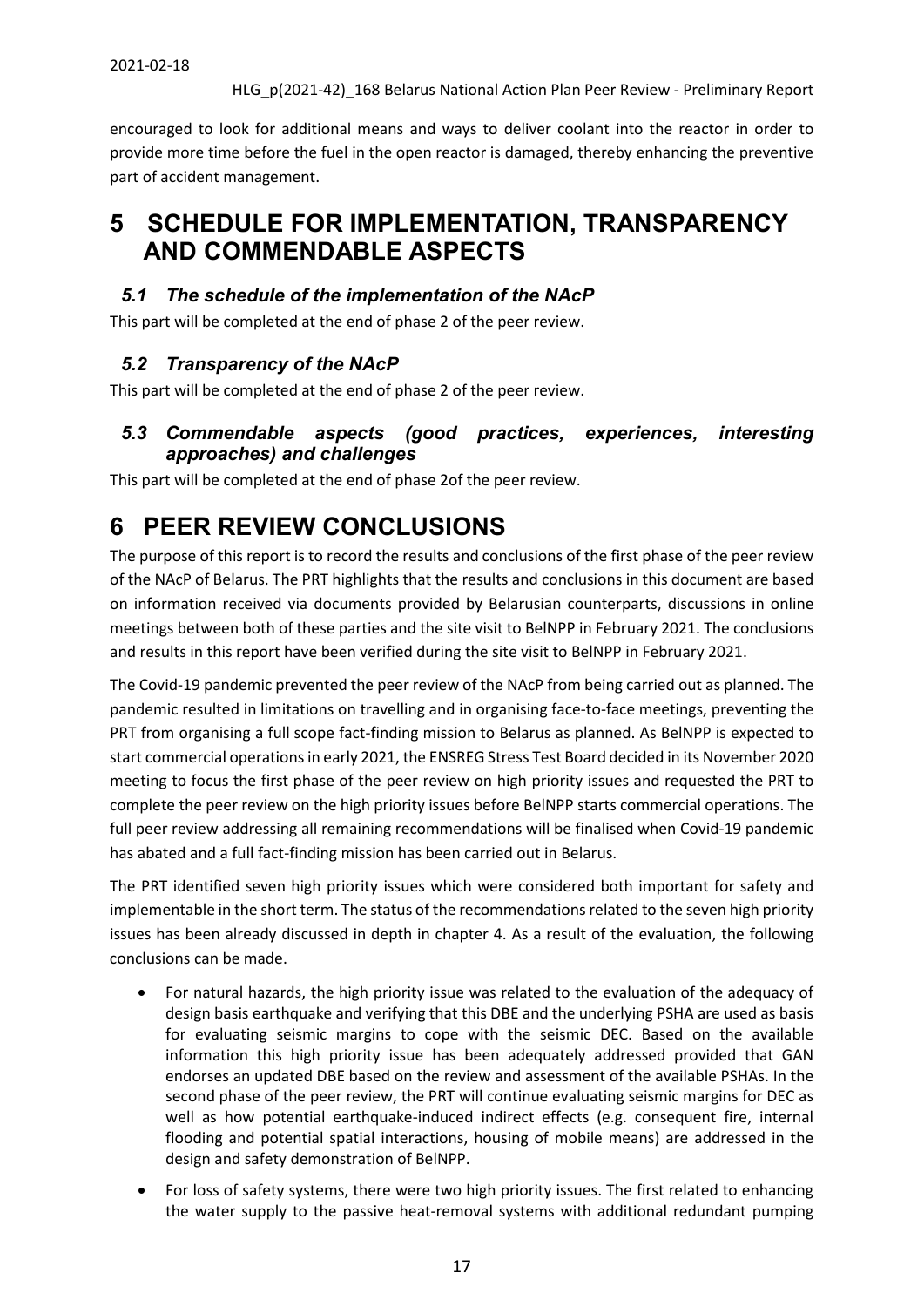encouraged to look for additional means and ways to deliver coolant into the reactor in order to provide more time before the fuel in the open reactor is damaged, thereby enhancing the preventive part of accident management.

# <span id="page-16-0"></span>**5 SCHEDULE FOR IMPLEMENTATION, TRANSPARENCY AND COMMENDABLE ASPECTS**

## <span id="page-16-1"></span>*5.1 The schedule of the implementation of the NAcP*

This part will be completed at the end of phase 2 of the peer review.

# <span id="page-16-2"></span>*5.2 Transparency of the NAcP*

This part will be completed at the end of phase 2 of the peer review.

## <span id="page-16-3"></span>*5.3 Commendable aspects (good practices, experiences, interesting approaches) and challenges*

This part will be completed at the end of phase 2of the peer review.

# <span id="page-16-4"></span>**6 PEER REVIEW CONCLUSIONS**

The purpose of this report is to record the results and conclusions of the first phase of the peer review of the NAcP of Belarus. The PRT highlights that the results and conclusions in this document are based on information received via documents provided by Belarusian counterparts, discussions in online meetings between both of these parties and the site visit to BelNPP in February 2021. The conclusions and results in this report have been verified during the site visit to BelNPP in February 2021.

The Covid-19 pandemic prevented the peer review of the NAcP from being carried out as planned. The pandemic resulted in limitations on travelling and in organising face-to-face meetings, preventing the PRT from organising a full scope fact-finding mission to Belarus as planned. As BelNPP is expected to start commercial operations in early 2021, the ENSREG Stress Test Board decided in its November 2020 meeting to focus the first phase of the peer review on high priority issues and requested the PRT to complete the peer review on the high priority issues before BelNPP starts commercial operations. The full peer review addressing all remaining recommendations will be finalised when Covid-19 pandemic has abated and a full fact-finding mission has been carried out in Belarus.

The PRT identified seven high priority issues which were considered both important for safety and implementable in the short term. The status of the recommendations related to the seven high priority issues has been already discussed in depth in chapter 4. As a result of the evaluation, the following conclusions can be made.

- For natural hazards, the high priority issue was related to the evaluation of the adequacy of design basis earthquake and verifying that this DBE and the underlying PSHA are used as basis for evaluating seismic margins to cope with the seismic DEC. Based on the available information this high priority issue has been adequately addressed provided that GAN endorses an updated DBE based on the review and assessment of the available PSHAs. In the second phase of the peer review, the PRT will continue evaluating seismic margins for DEC as well as how potential earthquake-induced indirect effects (e.g. consequent fire, internal flooding and potential spatial interactions, housing of mobile means) are addressed in the design and safety demonstration of BelNPP.
- For loss of safety systems, there were two high priority issues. The first related to enhancing the water supply to the passive heat-removal systems with additional redundant pumping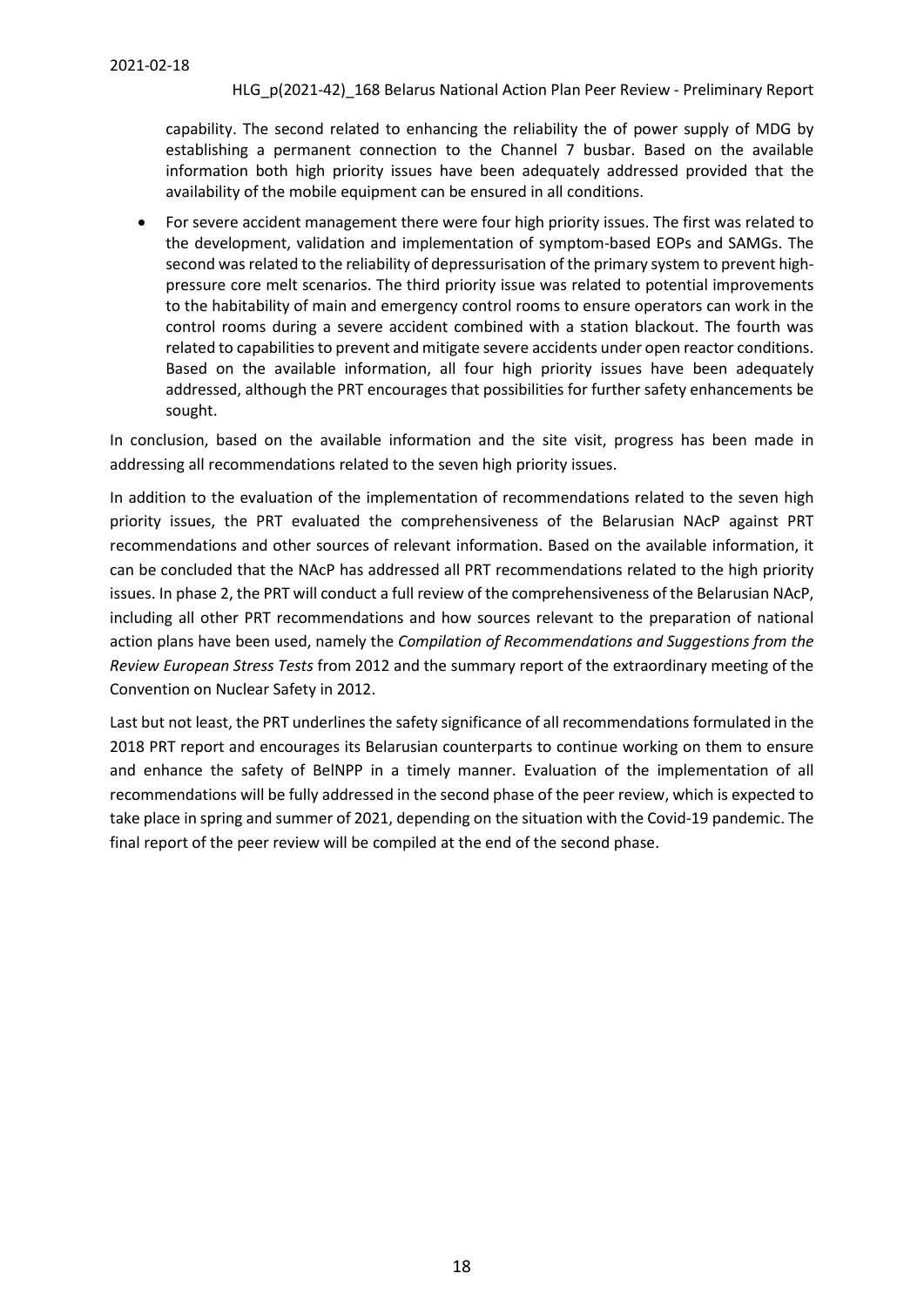capability. The second related to enhancing the reliability the of power supply of MDG by establishing a permanent connection to the Channel 7 busbar. Based on the available information both high priority issues have been adequately addressed provided that the availability of the mobile equipment can be ensured in all conditions.

• For severe accident management there were four high priority issues. The first was related to the development, validation and implementation of symptom-based EOPs and SAMGs. The second was related to the reliability of depressurisation of the primary system to prevent highpressure core melt scenarios. The third priority issue was related to potential improvements to the habitability of main and emergency control rooms to ensure operators can work in the control rooms during a severe accident combined with a station blackout. The fourth was related to capabilities to prevent and mitigate severe accidents under open reactor conditions. Based on the available information, all four high priority issues have been adequately addressed, although the PRT encourages that possibilities for further safety enhancements be sought.

In conclusion, based on the available information and the site visit, progress has been made in addressing all recommendations related to the seven high priority issues.

In addition to the evaluation of the implementation of recommendations related to the seven high priority issues, the PRT evaluated the comprehensiveness of the Belarusian NAcP against PRT recommendations and other sources of relevant information. Based on the available information, it can be concluded that the NAcP has addressed all PRT recommendations related to the high priority issues. In phase 2, the PRT will conduct a full review of the comprehensiveness of the Belarusian NAcP, including all other PRT recommendations and how sources relevant to the preparation of national action plans have been used, namely the *Compilation of Recommendations and Suggestions from the Review European Stress Tests* from 2012 and the summary report of the extraordinary meeting of the Convention on Nuclear Safety in 2012.

Last but not least, the PRT underlines the safety significance of all recommendations formulated in the 2018 PRT report and encourages its Belarusian counterparts to continue working on them to ensure and enhance the safety of BelNPP in a timely manner. Evaluation of the implementation of all recommendations will be fully addressed in the second phase of the peer review, which is expected to take place in spring and summer of 2021, depending on the situation with the Covid-19 pandemic. The final report of the peer review will be compiled at the end of the second phase.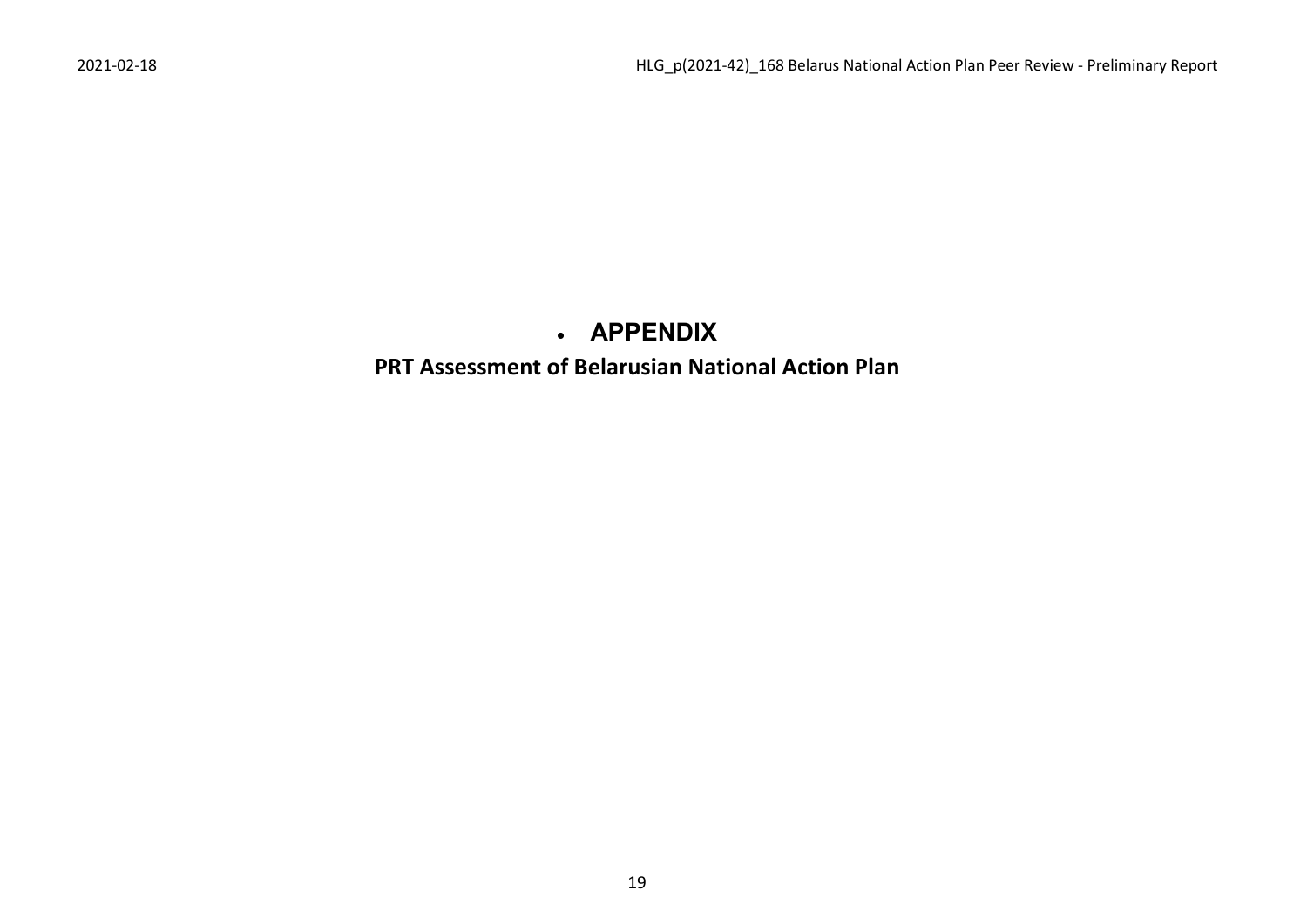# • **APPENDIX**

# <span id="page-18-0"></span>**PRT Assessment of Belarusian National Action Plan**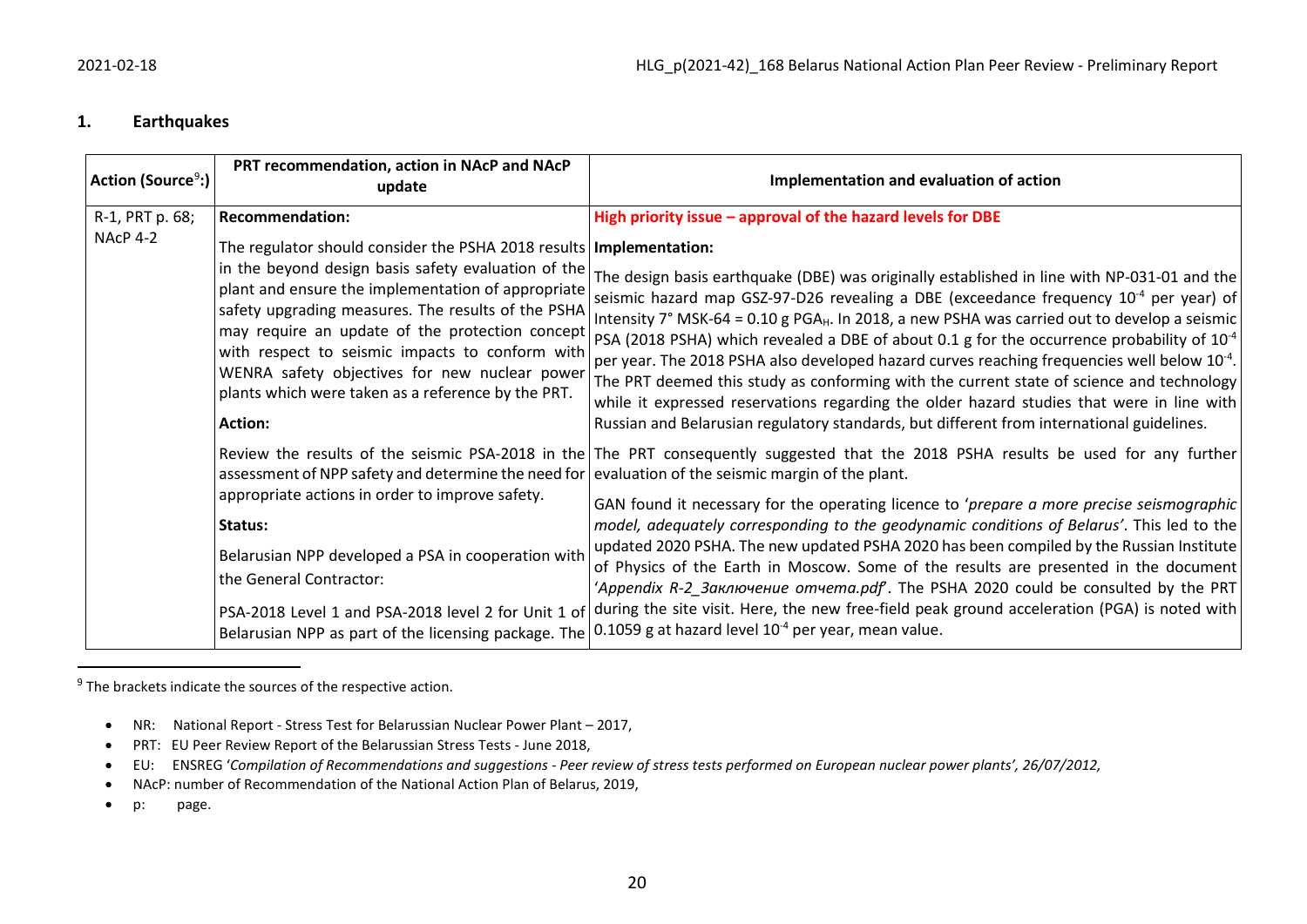#### <span id="page-19-0"></span>**1. Earthquakes**

| Action (Source <sup>9</sup> :) | PRT recommendation, action in NAcP and NAcP<br>update                                                                                                                                                                                                                                                                                                                                                                                                                   | Implementation and evaluation of action                                                                                                                                                                                                                                                                                                                                                                                                                                                                                                                                                                                                                                                                                                                                                                                   |
|--------------------------------|-------------------------------------------------------------------------------------------------------------------------------------------------------------------------------------------------------------------------------------------------------------------------------------------------------------------------------------------------------------------------------------------------------------------------------------------------------------------------|---------------------------------------------------------------------------------------------------------------------------------------------------------------------------------------------------------------------------------------------------------------------------------------------------------------------------------------------------------------------------------------------------------------------------------------------------------------------------------------------------------------------------------------------------------------------------------------------------------------------------------------------------------------------------------------------------------------------------------------------------------------------------------------------------------------------------|
| R-1, PRT p. 68;                | <b>Recommendation:</b>                                                                                                                                                                                                                                                                                                                                                                                                                                                  | High priority issue - approval of the hazard levels for DBE                                                                                                                                                                                                                                                                                                                                                                                                                                                                                                                                                                                                                                                                                                                                                               |
| NAcP 4-2                       | The regulator should consider the PSHA 2018 results   Implementation:<br>in the beyond design basis safety evaluation of the<br>plant and ensure the implementation of appropriate<br>safety upgrading measures. The results of the PSHA<br>may require an update of the protection concept<br>with respect to seismic impacts to conform with<br>WENRA safety objectives for new nuclear power<br>plants which were taken as a reference by the PRT.<br><b>Action:</b> | The design basis earthquake (DBE) was originally established in line with NP-031-01 and the<br>seismic hazard map GSZ-97-D26 revealing a DBE (exceedance frequency 10 <sup>-4</sup> per year) of<br>Intensity $7^{\circ}$ MSK-64 = 0.10 g PGA <sub>H</sub> . In 2018, a new PSHA was carried out to develop a seismic<br>PSA (2018 PSHA) which revealed a DBE of about 0.1 g for the occurrence probability of 10 <sup>-4</sup><br>per year. The 2018 PSHA also developed hazard curves reaching frequencies well below $10^{-4}$ .<br>The PRT deemed this study as conforming with the current state of science and technology<br>while it expressed reservations regarding the older hazard studies that were in line with<br>Russian and Belarusian regulatory standards, but different from international guidelines. |
|                                | assessment of NPP safety and determine the need for<br>appropriate actions in order to improve safety.<br>Status:<br>Belarusian NPP developed a PSA in cooperation with<br>the General Contractor:<br>PSA-2018 Level 1 and PSA-2018 level 2 for Unit 1 of<br>Belarusian NPP as part of the licensing package. The                                                                                                                                                       | Review the results of the seismic PSA-2018 in the The PRT consequently suggested that the 2018 PSHA results be used for any further<br>evaluation of the seismic margin of the plant.<br>GAN found it necessary for the operating licence to 'prepare a more precise seismographic<br>model, adequately corresponding to the geodynamic conditions of Belarus'. This led to the<br>updated 2020 PSHA. The new updated PSHA 2020 has been compiled by the Russian Institute<br>of Physics of the Earth in Moscow. Some of the results are presented in the document<br>'Appendix R-2 Заключение отчета.pdf'. The PSHA 2020 could be consulted by the PRT<br>during the site visit. Here, the new free-field peak ground acceleration (PGA) is noted with<br>0.1059 g at hazard level $10^{-4}$ per year, mean value.       |

 $9$  The brackets indicate the sources of the respective action.

- NR: National Report Stress Test for Belarussian Nuclear Power Plant 2017,
- PRT: EU Peer Review Report of the Belarussian Stress Tests June 2018,
- EU: ENSREG '*Compilation of Recommendations and suggestions - Peer review of stress tests performed on European nuclear power plants', 26/07/2012,*
- NAcP: number of Recommendation of the National Action Plan of Belarus, 2019,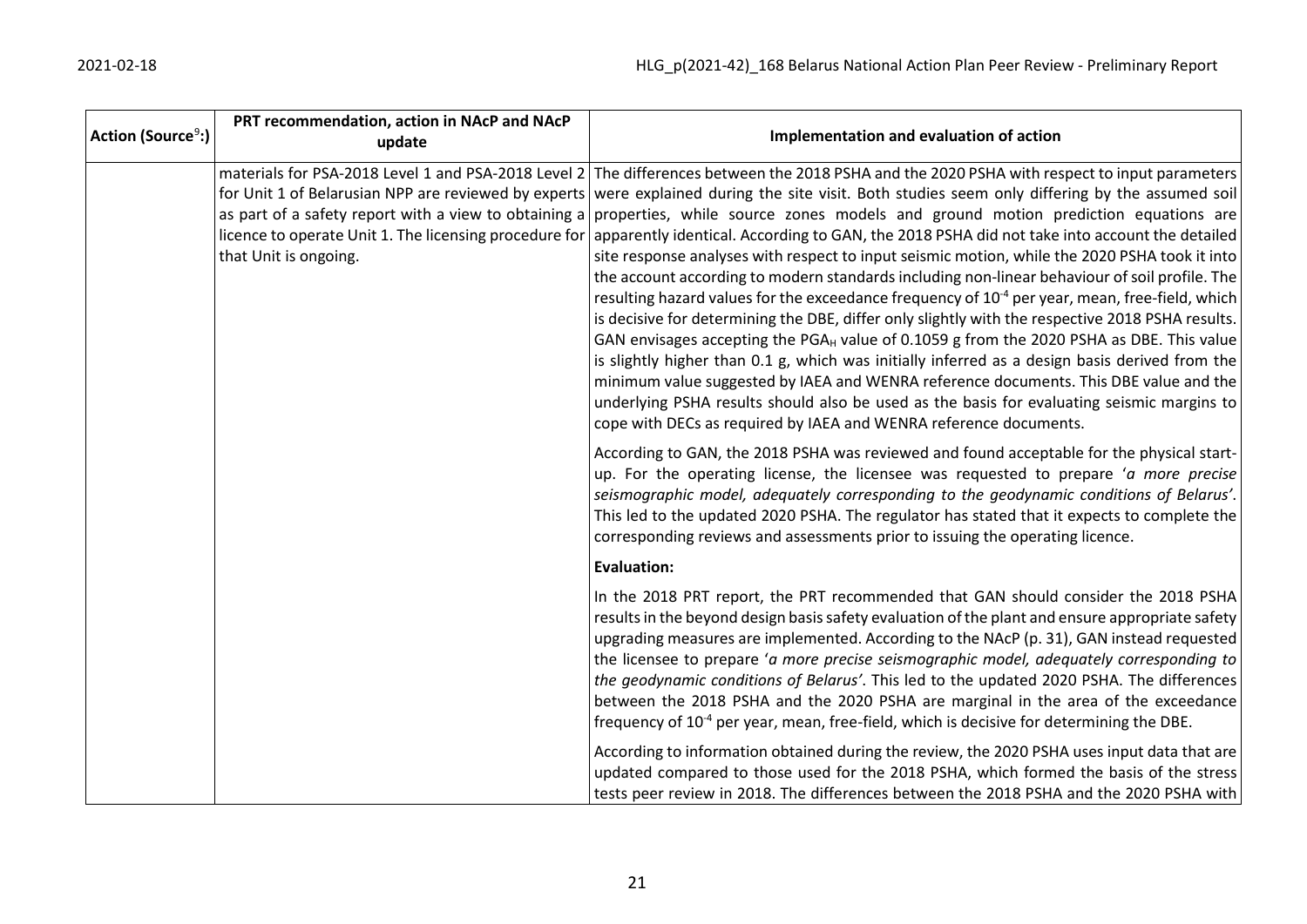| Action (Source <sup>9</sup> :) | PRT recommendation, action in NAcP and NAcP<br>update                                                                                    | Implementation and evaluation of action                                                                                                                                                                                                                                                                                                                                                                                                                                                                                                                                                                                                                                                                                                                                                                                                                                                                                                                                                                                                                                                                                                                                                                                                                                                                                                                                       |
|--------------------------------|------------------------------------------------------------------------------------------------------------------------------------------|-------------------------------------------------------------------------------------------------------------------------------------------------------------------------------------------------------------------------------------------------------------------------------------------------------------------------------------------------------------------------------------------------------------------------------------------------------------------------------------------------------------------------------------------------------------------------------------------------------------------------------------------------------------------------------------------------------------------------------------------------------------------------------------------------------------------------------------------------------------------------------------------------------------------------------------------------------------------------------------------------------------------------------------------------------------------------------------------------------------------------------------------------------------------------------------------------------------------------------------------------------------------------------------------------------------------------------------------------------------------------------|
|                                | as part of a safety report with a view to obtaining a<br>licence to operate Unit 1. The licensing procedure for<br>that Unit is ongoing. | materials for PSA-2018 Level 1 and PSA-2018 Level 2 The differences between the 2018 PSHA and the 2020 PSHA with respect to input parameters<br>for Unit 1 of Belarusian NPP are reviewed by experts were explained during the site visit. Both studies seem only differing by the assumed soil<br>properties, while source zones models and ground motion prediction equations are<br>apparently identical. According to GAN, the 2018 PSHA did not take into account the detailed<br>site response analyses with respect to input seismic motion, while the 2020 PSHA took it into<br>the account according to modern standards including non-linear behaviour of soil profile. The<br>resulting hazard values for the exceedance frequency of 10 <sup>-4</sup> per year, mean, free-field, which<br>is decisive for determining the DBE, differ only slightly with the respective 2018 PSHA results.<br>GAN envisages accepting the PGA <sub>H</sub> value of 0.1059 g from the 2020 PSHA as DBE. This value<br>is slightly higher than 0.1 g, which was initially inferred as a design basis derived from the<br>minimum value suggested by IAEA and WENRA reference documents. This DBE value and the<br>underlying PSHA results should also be used as the basis for evaluating seismic margins to<br>cope with DECs as required by IAEA and WENRA reference documents. |
|                                |                                                                                                                                          | According to GAN, the 2018 PSHA was reviewed and found acceptable for the physical start-<br>up. For the operating license, the licensee was requested to prepare 'a more precise<br>seismographic model, adequately corresponding to the geodynamic conditions of Belarus'.<br>This led to the updated 2020 PSHA. The regulator has stated that it expects to complete the<br>corresponding reviews and assessments prior to issuing the operating licence.                                                                                                                                                                                                                                                                                                                                                                                                                                                                                                                                                                                                                                                                                                                                                                                                                                                                                                                  |
|                                |                                                                                                                                          | <b>Evaluation:</b>                                                                                                                                                                                                                                                                                                                                                                                                                                                                                                                                                                                                                                                                                                                                                                                                                                                                                                                                                                                                                                                                                                                                                                                                                                                                                                                                                            |
|                                |                                                                                                                                          | In the 2018 PRT report, the PRT recommended that GAN should consider the 2018 PSHA<br>results in the beyond design basis safety evaluation of the plant and ensure appropriate safety<br>upgrading measures are implemented. According to the NAcP (p. 31), GAN instead requested<br>the licensee to prepare 'a more precise seismographic model, adequately corresponding to<br>the geodynamic conditions of Belarus'. This led to the updated 2020 PSHA. The differences<br>between the 2018 PSHA and the 2020 PSHA are marginal in the area of the exceedance<br>frequency of $10-4$ per year, mean, free-field, which is decisive for determining the DBE.                                                                                                                                                                                                                                                                                                                                                                                                                                                                                                                                                                                                                                                                                                                |
|                                |                                                                                                                                          | According to information obtained during the review, the 2020 PSHA uses input data that are<br>updated compared to those used for the 2018 PSHA, which formed the basis of the stress<br>tests peer review in 2018. The differences between the 2018 PSHA and the 2020 PSHA with                                                                                                                                                                                                                                                                                                                                                                                                                                                                                                                                                                                                                                                                                                                                                                                                                                                                                                                                                                                                                                                                                              |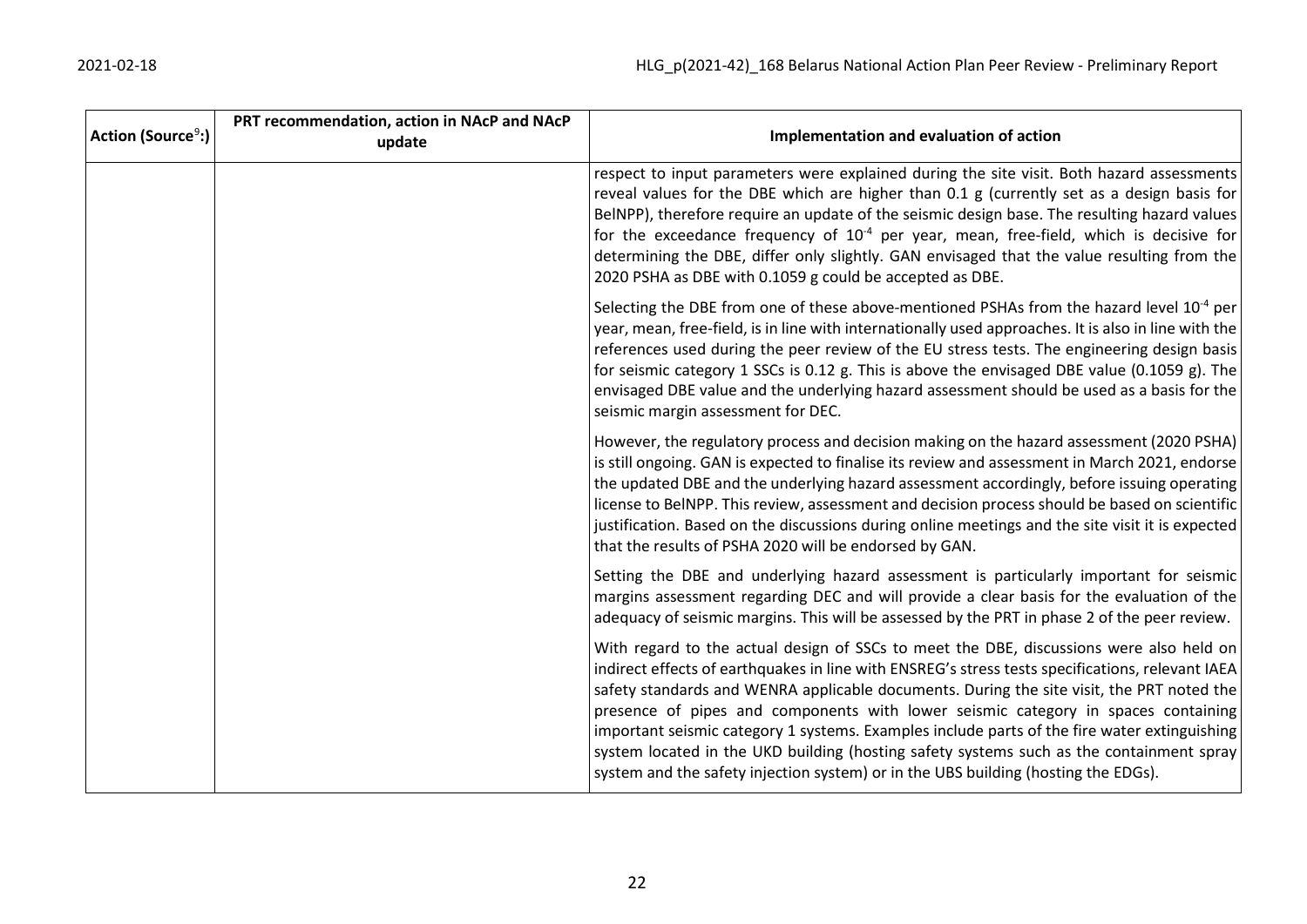| $ $ Action (Source $^9$ :) | PRT recommendation, action in NAcP and NAcP<br>update | Implementation and evaluation of action                                                                                                                                                                                                                                                                                                                                                                                                                                                                                                                                                                                                                         |
|----------------------------|-------------------------------------------------------|-----------------------------------------------------------------------------------------------------------------------------------------------------------------------------------------------------------------------------------------------------------------------------------------------------------------------------------------------------------------------------------------------------------------------------------------------------------------------------------------------------------------------------------------------------------------------------------------------------------------------------------------------------------------|
|                            |                                                       | respect to input parameters were explained during the site visit. Both hazard assessments<br>reveal values for the DBE which are higher than 0.1 g (currently set as a design basis for<br>BelNPP), therefore require an update of the seismic design base. The resulting hazard values<br>for the exceedance frequency of $10^{-4}$ per year, mean, free-field, which is decisive for<br>determining the DBE, differ only slightly. GAN envisaged that the value resulting from the<br>2020 PSHA as DBE with 0.1059 g could be accepted as DBE.                                                                                                                |
|                            |                                                       | Selecting the DBE from one of these above-mentioned PSHAs from the hazard level 10 <sup>-4</sup> per<br>year, mean, free-field, is in line with internationally used approaches. It is also in line with the<br>references used during the peer review of the EU stress tests. The engineering design basis<br>for seismic category 1 SSCs is 0.12 g. This is above the envisaged DBE value (0.1059 g). The<br>envisaged DBE value and the underlying hazard assessment should be used as a basis for the<br>seismic margin assessment for DEC.                                                                                                                 |
|                            |                                                       | However, the regulatory process and decision making on the hazard assessment (2020 PSHA)<br>is still ongoing. GAN is expected to finalise its review and assessment in March 2021, endorse<br>the updated DBE and the underlying hazard assessment accordingly, before issuing operating<br>license to BelNPP. This review, assessment and decision process should be based on scientific<br>justification. Based on the discussions during online meetings and the site visit it is expected<br>that the results of PSHA 2020 will be endorsed by GAN.                                                                                                         |
|                            |                                                       | Setting the DBE and underlying hazard assessment is particularly important for seismic<br>margins assessment regarding DEC and will provide a clear basis for the evaluation of the<br>adequacy of seismic margins. This will be assessed by the PRT in phase 2 of the peer review.                                                                                                                                                                                                                                                                                                                                                                             |
|                            |                                                       | With regard to the actual design of SSCs to meet the DBE, discussions were also held on<br>indirect effects of earthquakes in line with ENSREG's stress tests specifications, relevant IAEA<br>safety standards and WENRA applicable documents. During the site visit, the PRT noted the<br>presence of pipes and components with lower seismic category in spaces containing<br>important seismic category 1 systems. Examples include parts of the fire water extinguishing<br>system located in the UKD building (hosting safety systems such as the containment spray<br>system and the safety injection system) or in the UBS building (hosting the EDGs). |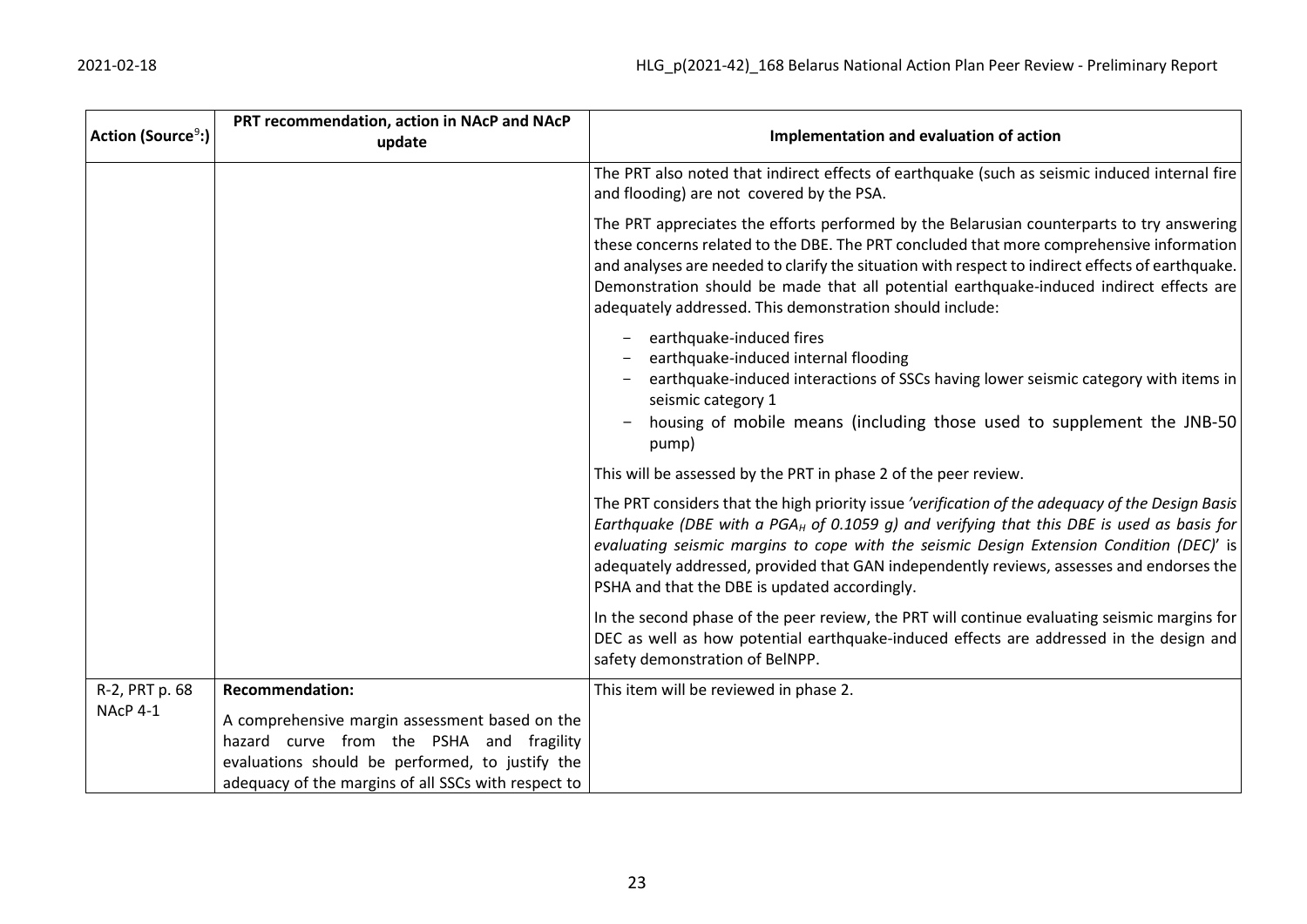| Action (Source <sup>9</sup> :) | PRT recommendation, action in NAcP and NAcP<br>update                                                                                                                                                | Implementation and evaluation of action                                                                                                                                                                                                                                                                                                                                                                                                            |
|--------------------------------|------------------------------------------------------------------------------------------------------------------------------------------------------------------------------------------------------|----------------------------------------------------------------------------------------------------------------------------------------------------------------------------------------------------------------------------------------------------------------------------------------------------------------------------------------------------------------------------------------------------------------------------------------------------|
|                                |                                                                                                                                                                                                      | The PRT also noted that indirect effects of earthquake (such as seismic induced internal fire<br>and flooding) are not covered by the PSA.                                                                                                                                                                                                                                                                                                         |
|                                |                                                                                                                                                                                                      | The PRT appreciates the efforts performed by the Belarusian counterparts to try answering<br>these concerns related to the DBE. The PRT concluded that more comprehensive information<br>and analyses are needed to clarify the situation with respect to indirect effects of earthquake.<br>Demonstration should be made that all potential earthquake-induced indirect effects are<br>adequately addressed. This demonstration should include:   |
|                                |                                                                                                                                                                                                      | earthquake-induced fires<br>earthquake-induced internal flooding<br>earthquake-induced interactions of SSCs having lower seismic category with items in<br>seismic category 1<br>housing of mobile means (including those used to supplement the JNB-50<br>pump)                                                                                                                                                                                   |
|                                |                                                                                                                                                                                                      | This will be assessed by the PRT in phase 2 of the peer review.                                                                                                                                                                                                                                                                                                                                                                                    |
|                                |                                                                                                                                                                                                      | The PRT considers that the high priority issue 'verification of the adequacy of the Design Basis<br>Earthquake (DBE with a PGA <sub>H</sub> of 0.1059 g) and verifying that this DBE is used as basis for<br>evaluating seismic margins to cope with the seismic Design Extension Condition (DEC)' is<br>adequately addressed, provided that GAN independently reviews, assesses and endorses the<br>PSHA and that the DBE is updated accordingly. |
|                                |                                                                                                                                                                                                      | In the second phase of the peer review, the PRT will continue evaluating seismic margins for<br>DEC as well as how potential earthquake-induced effects are addressed in the design and<br>safety demonstration of BelNPP.                                                                                                                                                                                                                         |
| R-2, PRT p. 68                 | <b>Recommendation:</b>                                                                                                                                                                               | This item will be reviewed in phase 2.                                                                                                                                                                                                                                                                                                                                                                                                             |
| NAcP 4-1                       | A comprehensive margin assessment based on the<br>hazard curve from the PSHA and fragility<br>evaluations should be performed, to justify the<br>adequacy of the margins of all SSCs with respect to |                                                                                                                                                                                                                                                                                                                                                                                                                                                    |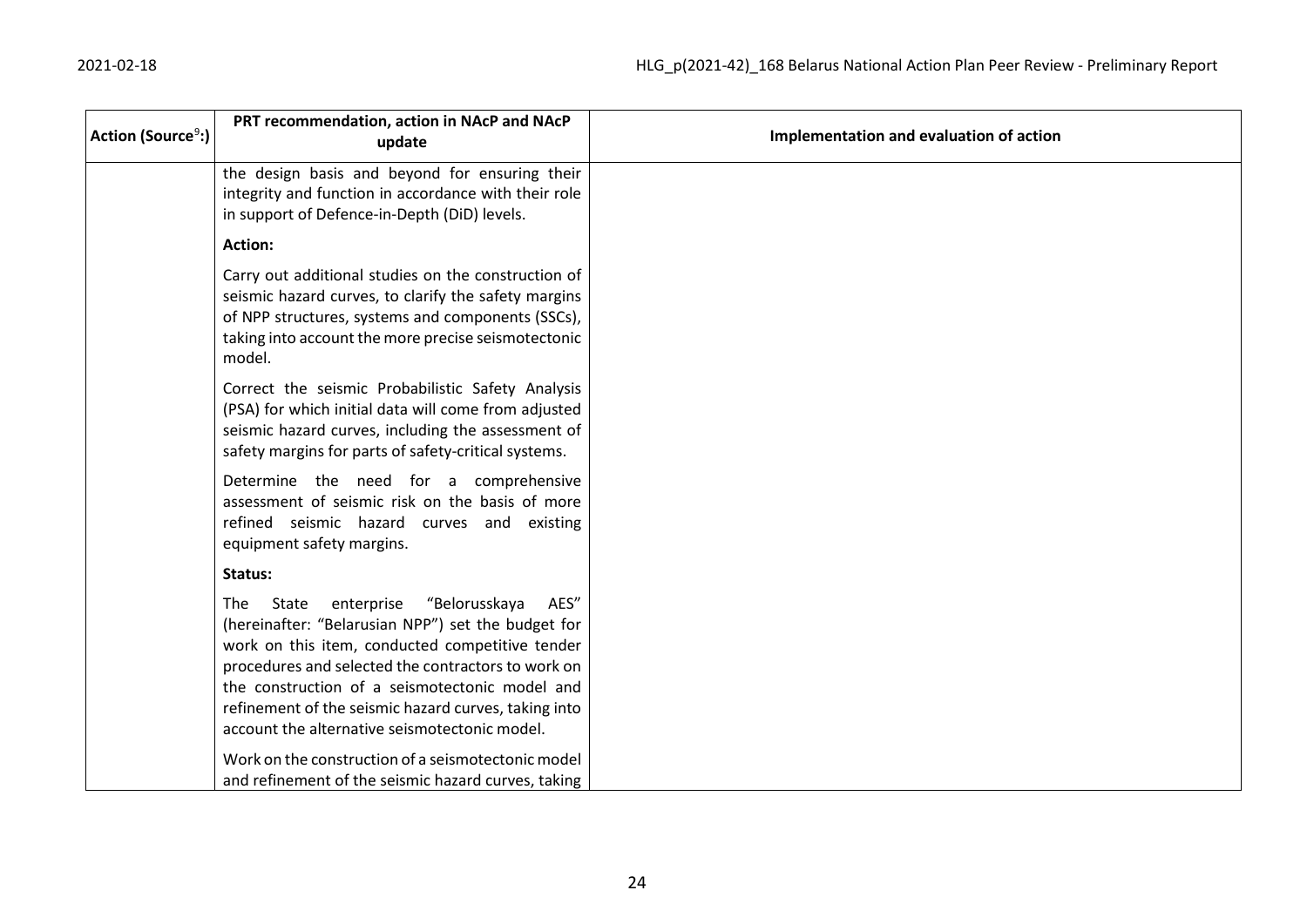| Action (Source <sup>9</sup> :) | PRT recommendation, action in NAcP and NAcP<br>update                                                                                                                                                                                                                                                                                                                         | Implementation and evaluation of action |
|--------------------------------|-------------------------------------------------------------------------------------------------------------------------------------------------------------------------------------------------------------------------------------------------------------------------------------------------------------------------------------------------------------------------------|-----------------------------------------|
|                                | the design basis and beyond for ensuring their<br>integrity and function in accordance with their role<br>in support of Defence-in-Depth (DiD) levels.                                                                                                                                                                                                                        |                                         |
|                                | <b>Action:</b>                                                                                                                                                                                                                                                                                                                                                                |                                         |
|                                | Carry out additional studies on the construction of<br>seismic hazard curves, to clarify the safety margins<br>of NPP structures, systems and components (SSCs),<br>taking into account the more precise seismotectonic<br>model.                                                                                                                                             |                                         |
|                                | Correct the seismic Probabilistic Safety Analysis<br>(PSA) for which initial data will come from adjusted<br>seismic hazard curves, including the assessment of<br>safety margins for parts of safety-critical systems.                                                                                                                                                       |                                         |
|                                | Determine the need for a comprehensive<br>assessment of seismic risk on the basis of more<br>refined seismic hazard curves and existing<br>equipment safety margins.                                                                                                                                                                                                          |                                         |
|                                | Status:                                                                                                                                                                                                                                                                                                                                                                       |                                         |
|                                | enterprise<br>"Belorusskaya<br>State<br>AES"<br>The<br>(hereinafter: "Belarusian NPP") set the budget for<br>work on this item, conducted competitive tender<br>procedures and selected the contractors to work on<br>the construction of a seismotectonic model and<br>refinement of the seismic hazard curves, taking into<br>account the alternative seismotectonic model. |                                         |
|                                | Work on the construction of a seismotectonic model<br>and refinement of the seismic hazard curves, taking                                                                                                                                                                                                                                                                     |                                         |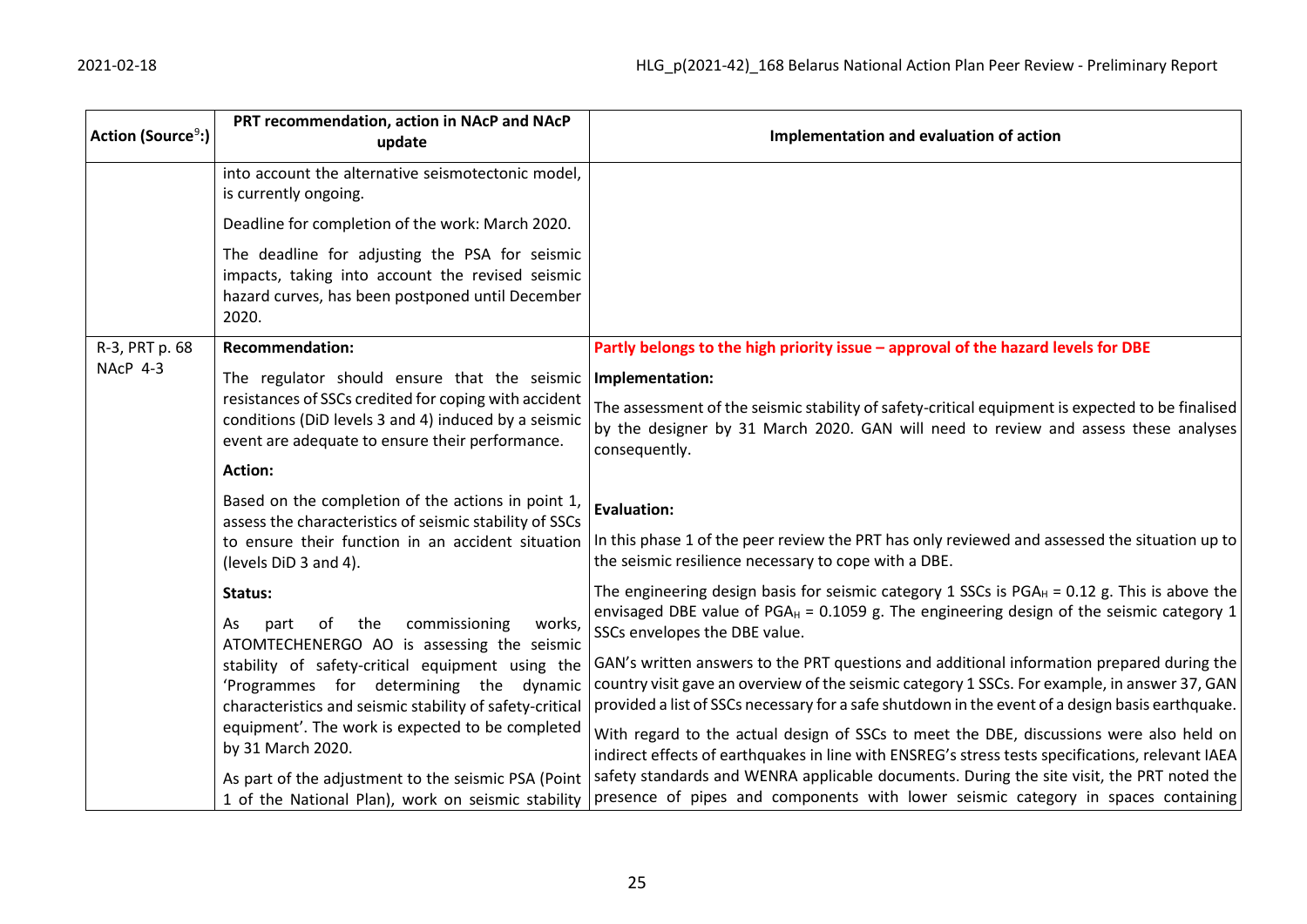| Action (Source <sup>9</sup> :) | PRT recommendation, action in NAcP and NAcP<br>update                                                                                                            | Implementation and evaluation of action                                                                                                                                                                  |
|--------------------------------|------------------------------------------------------------------------------------------------------------------------------------------------------------------|----------------------------------------------------------------------------------------------------------------------------------------------------------------------------------------------------------|
|                                | into account the alternative seismotectonic model,<br>is currently ongoing.                                                                                      |                                                                                                                                                                                                          |
|                                | Deadline for completion of the work: March 2020.                                                                                                                 |                                                                                                                                                                                                          |
|                                | The deadline for adjusting the PSA for seismic<br>impacts, taking into account the revised seismic<br>hazard curves, has been postponed until December<br>2020.  |                                                                                                                                                                                                          |
| R-3, PRT p. 68                 | <b>Recommendation:</b>                                                                                                                                           | Partly belongs to the high priority issue - approval of the hazard levels for DBE                                                                                                                        |
| NAcP 4-3                       | The regulator should ensure that the seismic                                                                                                                     | Implementation:                                                                                                                                                                                          |
|                                | resistances of SSCs credited for coping with accident<br>conditions (DiD levels 3 and 4) induced by a seismic<br>event are adequate to ensure their performance. | The assessment of the seismic stability of safety-critical equipment is expected to be finalised<br>by the designer by 31 March 2020. GAN will need to review and assess these analyses<br>consequently. |
|                                | <b>Action:</b>                                                                                                                                                   |                                                                                                                                                                                                          |
|                                | Based on the completion of the actions in point 1,<br>assess the characteristics of seismic stability of SSCs                                                    | <b>Evaluation:</b>                                                                                                                                                                                       |
|                                | to ensure their function in an accident situation<br>(levels DiD 3 and 4).                                                                                       | In this phase 1 of the peer review the PRT has only reviewed and assessed the situation up to<br>the seismic resilience necessary to cope with a DBE.                                                    |
|                                | Status:                                                                                                                                                          | The engineering design basis for seismic category 1 SSCs is $PGA_H = 0.12$ g. This is above the                                                                                                          |
|                                | commissioning<br>of<br>the<br>works,<br>As.<br>part<br>ATOMTECHENERGO AO is assessing the seismic                                                                | envisaged DBE value of PGA <sub>H</sub> = 0.1059 g. The engineering design of the seismic category 1<br>SSCs envelopes the DBE value.                                                                    |
|                                | stability of safety-critical equipment using the                                                                                                                 | GAN's written answers to the PRT questions and additional information prepared during the                                                                                                                |
|                                | 'Programmes for determining the dynamic<br>characteristics and seismic stability of safety-critical                                                              | country visit gave an overview of the seismic category 1 SSCs. For example, in answer 37, GAN<br>provided a list of SSCs necessary for a safe shutdown in the event of a design basis earthquake.        |
|                                | equipment'. The work is expected to be completed<br>by 31 March 2020.                                                                                            | With regard to the actual design of SSCs to meet the DBE, discussions were also held on<br>indirect effects of earthquakes in line with ENSREG's stress tests specifications, relevant IAEA              |
|                                | As part of the adjustment to the seismic PSA (Point<br>1 of the National Plan), work on seismic stability                                                        | safety standards and WENRA applicable documents. During the site visit, the PRT noted the<br>presence of pipes and components with lower seismic category in spaces containing                           |
|                                |                                                                                                                                                                  |                                                                                                                                                                                                          |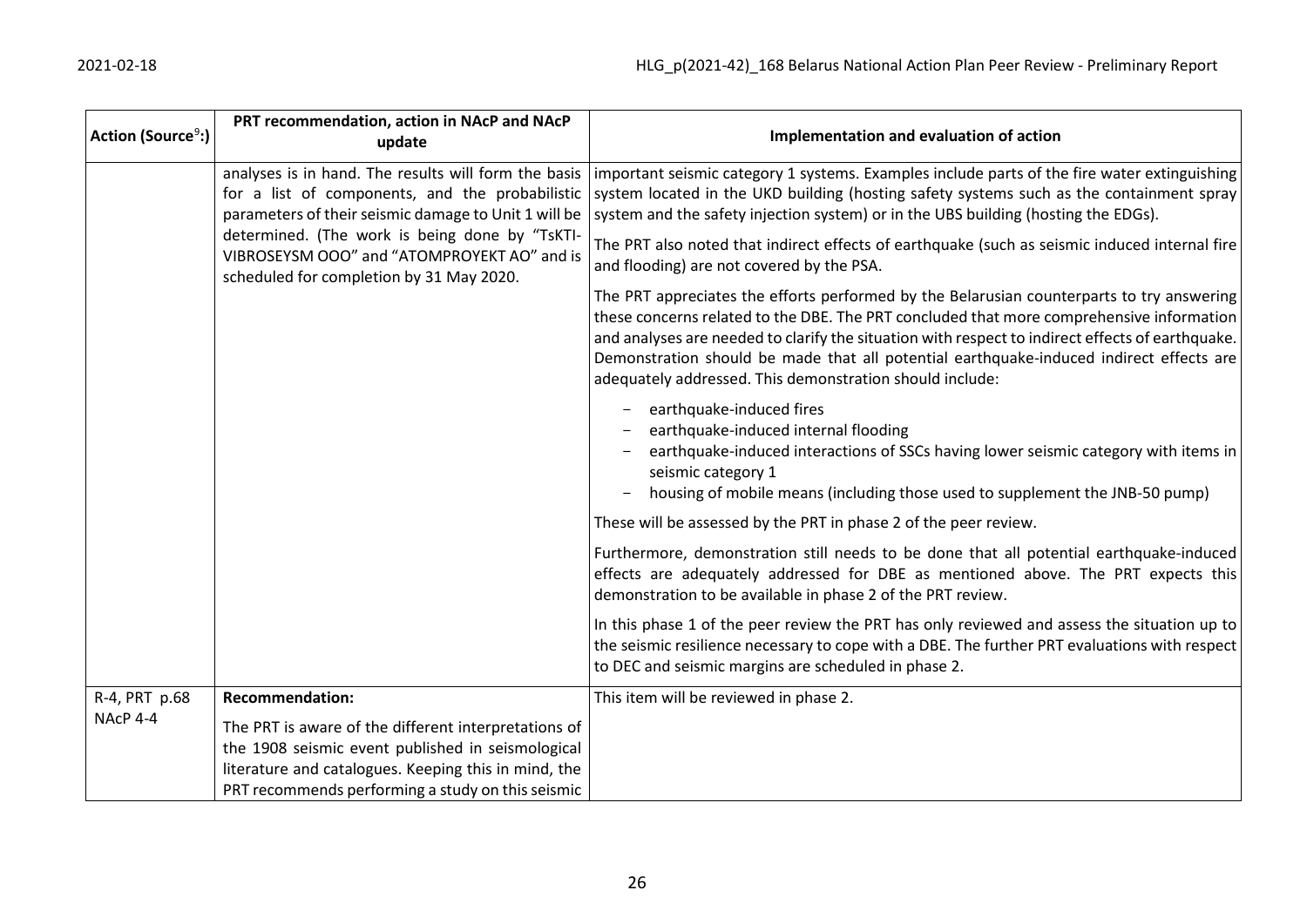| Action (Source <sup>9</sup> :) | PRT recommendation, action in NAcP and NAcP<br>update                                                                                                                                                                                                                                                        | Implementation and evaluation of action                                                                                                                                                                                                                                                                                                                                                                                                          |
|--------------------------------|--------------------------------------------------------------------------------------------------------------------------------------------------------------------------------------------------------------------------------------------------------------------------------------------------------------|--------------------------------------------------------------------------------------------------------------------------------------------------------------------------------------------------------------------------------------------------------------------------------------------------------------------------------------------------------------------------------------------------------------------------------------------------|
|                                | analyses is in hand. The results will form the basis<br>for a list of components, and the probabilistic<br>parameters of their seismic damage to Unit 1 will be<br>determined. (The work is being done by "TsKTI-<br>VIBROSEYSM OOO" and "ATOMPROYEKT AO" and is<br>scheduled for completion by 31 May 2020. | important seismic category 1 systems. Examples include parts of the fire water extinguishing<br>system located in the UKD building (hosting safety systems such as the containment spray<br>system and the safety injection system) or in the UBS building (hosting the EDGs).                                                                                                                                                                   |
|                                |                                                                                                                                                                                                                                                                                                              | The PRT also noted that indirect effects of earthquake (such as seismic induced internal fire<br>and flooding) are not covered by the PSA.                                                                                                                                                                                                                                                                                                       |
|                                |                                                                                                                                                                                                                                                                                                              | The PRT appreciates the efforts performed by the Belarusian counterparts to try answering<br>these concerns related to the DBE. The PRT concluded that more comprehensive information<br>and analyses are needed to clarify the situation with respect to indirect effects of earthquake.<br>Demonstration should be made that all potential earthquake-induced indirect effects are<br>adequately addressed. This demonstration should include: |
|                                |                                                                                                                                                                                                                                                                                                              | earthquake-induced fires<br>earthquake-induced internal flooding<br>earthquake-induced interactions of SSCs having lower seismic category with items in<br>seismic category 1<br>housing of mobile means (including those used to supplement the JNB-50 pump)                                                                                                                                                                                    |
|                                |                                                                                                                                                                                                                                                                                                              | These will be assessed by the PRT in phase 2 of the peer review.                                                                                                                                                                                                                                                                                                                                                                                 |
|                                |                                                                                                                                                                                                                                                                                                              | Furthermore, demonstration still needs to be done that all potential earthquake-induced<br>effects are adequately addressed for DBE as mentioned above. The PRT expects this<br>demonstration to be available in phase 2 of the PRT review.                                                                                                                                                                                                      |
|                                |                                                                                                                                                                                                                                                                                                              | In this phase 1 of the peer review the PRT has only reviewed and assess the situation up to<br>the seismic resilience necessary to cope with a DBE. The further PRT evaluations with respect<br>to DEC and seismic margins are scheduled in phase 2.                                                                                                                                                                                             |
| R-4, PRT p.68                  | <b>Recommendation:</b>                                                                                                                                                                                                                                                                                       | This item will be reviewed in phase 2.                                                                                                                                                                                                                                                                                                                                                                                                           |
| NAcP 4-4                       | The PRT is aware of the different interpretations of<br>the 1908 seismic event published in seismological<br>literature and catalogues. Keeping this in mind, the                                                                                                                                            |                                                                                                                                                                                                                                                                                                                                                                                                                                                  |
|                                | PRT recommends performing a study on this seismic                                                                                                                                                                                                                                                            |                                                                                                                                                                                                                                                                                                                                                                                                                                                  |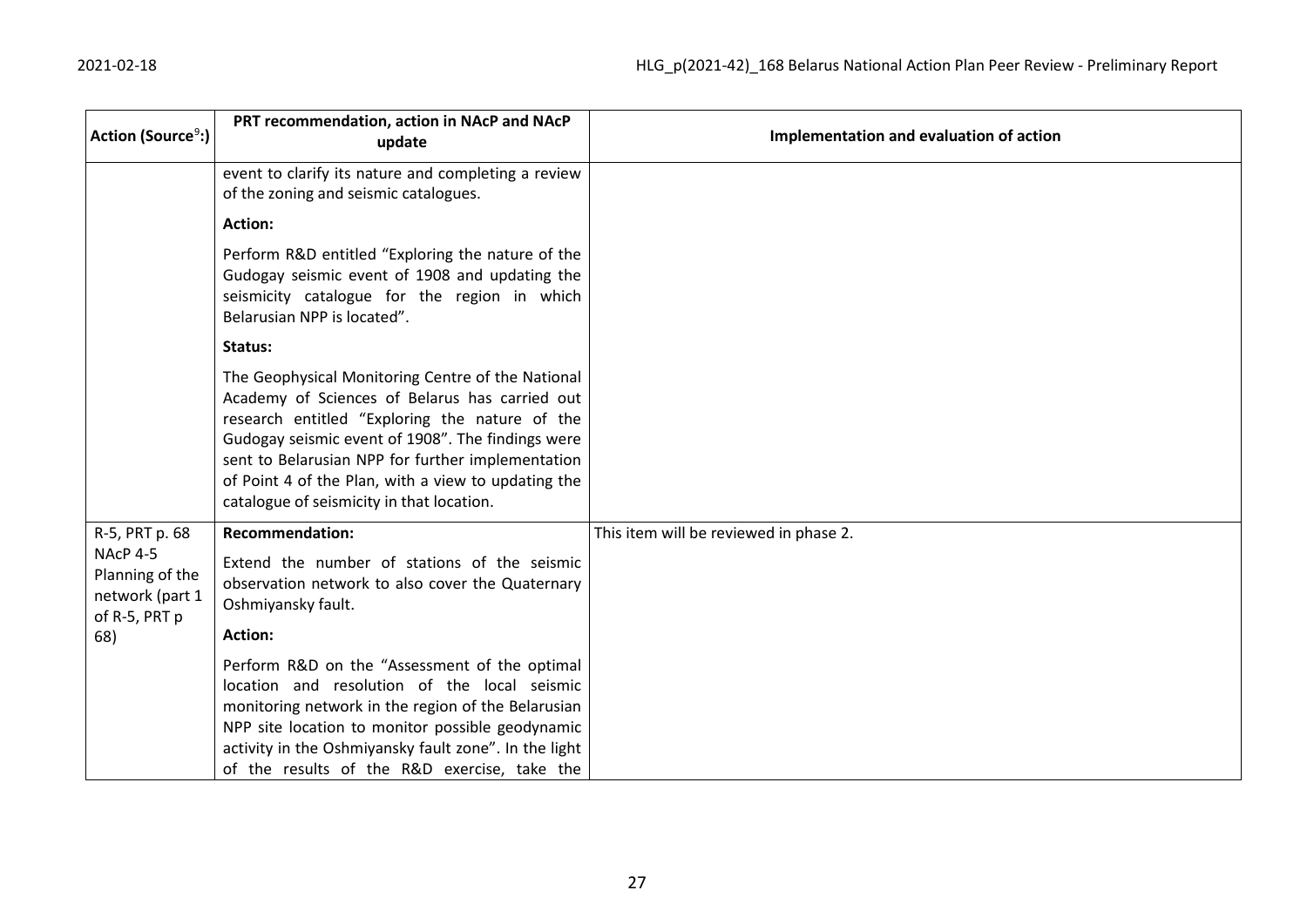| Action (Source <sup>9</sup> :)                                         | PRT recommendation, action in NAcP and NAcP<br>update                                                                                                                                                                                                                                                                                                               | Implementation and evaluation of action |
|------------------------------------------------------------------------|---------------------------------------------------------------------------------------------------------------------------------------------------------------------------------------------------------------------------------------------------------------------------------------------------------------------------------------------------------------------|-----------------------------------------|
|                                                                        | event to clarify its nature and completing a review<br>of the zoning and seismic catalogues.                                                                                                                                                                                                                                                                        |                                         |
|                                                                        | <b>Action:</b>                                                                                                                                                                                                                                                                                                                                                      |                                         |
|                                                                        | Perform R&D entitled "Exploring the nature of the<br>Gudogay seismic event of 1908 and updating the<br>seismicity catalogue for the region in which<br>Belarusian NPP is located".                                                                                                                                                                                  |                                         |
|                                                                        | Status:                                                                                                                                                                                                                                                                                                                                                             |                                         |
|                                                                        | The Geophysical Monitoring Centre of the National<br>Academy of Sciences of Belarus has carried out<br>research entitled "Exploring the nature of the<br>Gudogay seismic event of 1908". The findings were<br>sent to Belarusian NPP for further implementation<br>of Point 4 of the Plan, with a view to updating the<br>catalogue of seismicity in that location. |                                         |
| R-5, PRT p. 68                                                         | <b>Recommendation:</b>                                                                                                                                                                                                                                                                                                                                              | This item will be reviewed in phase 2.  |
| <b>NAcP 4-5</b><br>Planning of the<br>network (part 1<br>of R-5, PRT p | Extend the number of stations of the seismic<br>observation network to also cover the Quaternary<br>Oshmiyansky fault.                                                                                                                                                                                                                                              |                                         |
| 68)                                                                    | <b>Action:</b>                                                                                                                                                                                                                                                                                                                                                      |                                         |
|                                                                        | Perform R&D on the "Assessment of the optimal<br>location and resolution of the local seismic<br>monitoring network in the region of the Belarusian<br>NPP site location to monitor possible geodynamic<br>activity in the Oshmiyansky fault zone". In the light<br>of the results of the R&D exercise, take the                                                    |                                         |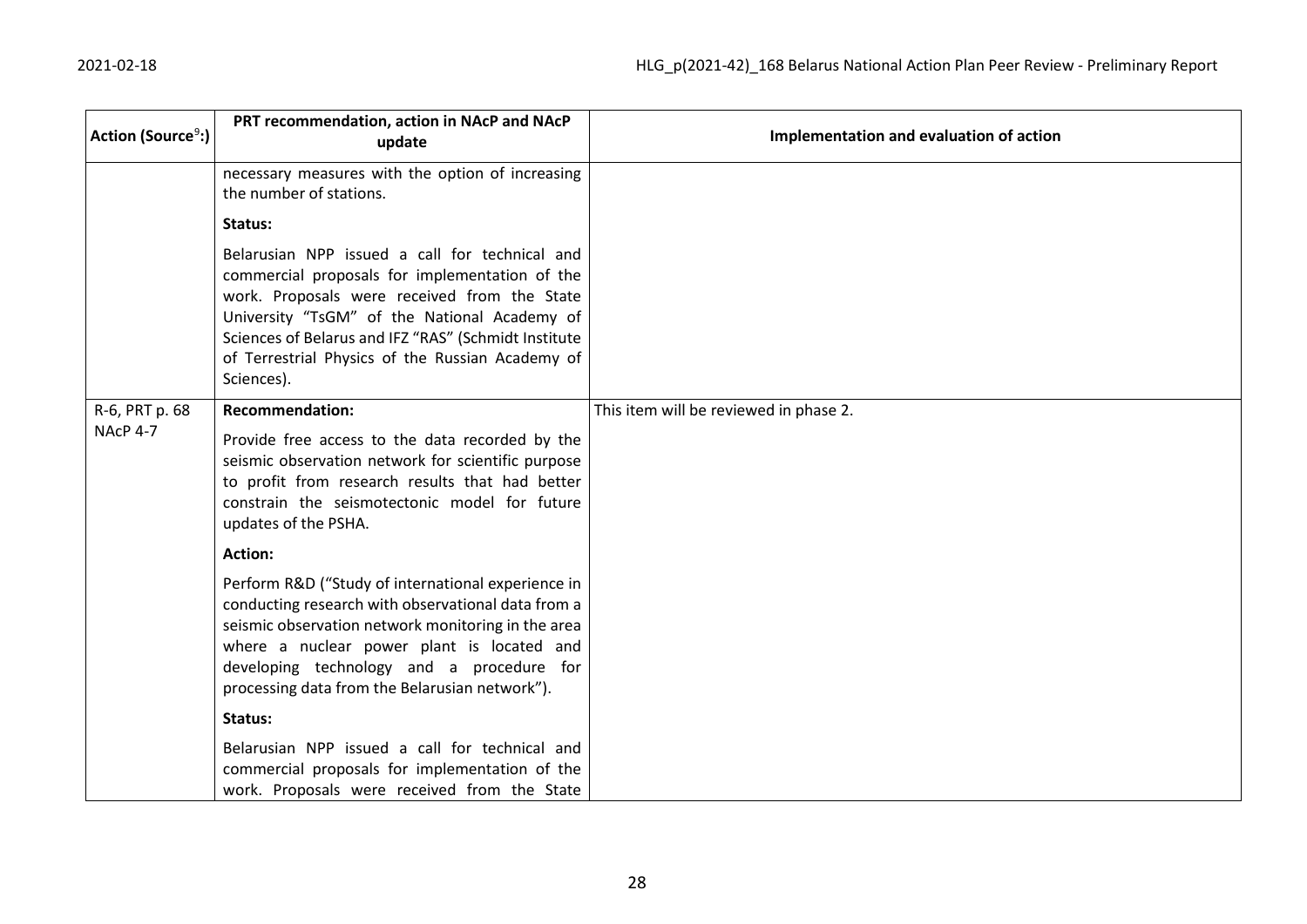| Action (Source <sup>9</sup> :) | PRT recommendation, action in NAcP and NAcP<br>update                                                                                                                                                                                                                                                                      | Implementation and evaluation of action |
|--------------------------------|----------------------------------------------------------------------------------------------------------------------------------------------------------------------------------------------------------------------------------------------------------------------------------------------------------------------------|-----------------------------------------|
|                                | necessary measures with the option of increasing<br>the number of stations.                                                                                                                                                                                                                                                |                                         |
|                                | Status:                                                                                                                                                                                                                                                                                                                    |                                         |
|                                | Belarusian NPP issued a call for technical and<br>commercial proposals for implementation of the<br>work. Proposals were received from the State<br>University "TsGM" of the National Academy of<br>Sciences of Belarus and IFZ "RAS" (Schmidt Institute<br>of Terrestrial Physics of the Russian Academy of<br>Sciences). |                                         |
| R-6, PRT p. 68                 | <b>Recommendation:</b>                                                                                                                                                                                                                                                                                                     | This item will be reviewed in phase 2.  |
| NAcP 4-7                       | Provide free access to the data recorded by the<br>seismic observation network for scientific purpose<br>to profit from research results that had better<br>constrain the seismotectonic model for future<br>updates of the PSHA.                                                                                          |                                         |
|                                | Action:                                                                                                                                                                                                                                                                                                                    |                                         |
|                                | Perform R&D ("Study of international experience in<br>conducting research with observational data from a<br>seismic observation network monitoring in the area<br>where a nuclear power plant is located and<br>developing technology and a procedure for<br>processing data from the Belarusian network").                |                                         |
|                                | Status:                                                                                                                                                                                                                                                                                                                    |                                         |
|                                | Belarusian NPP issued a call for technical and<br>commercial proposals for implementation of the<br>work. Proposals were received from the State                                                                                                                                                                           |                                         |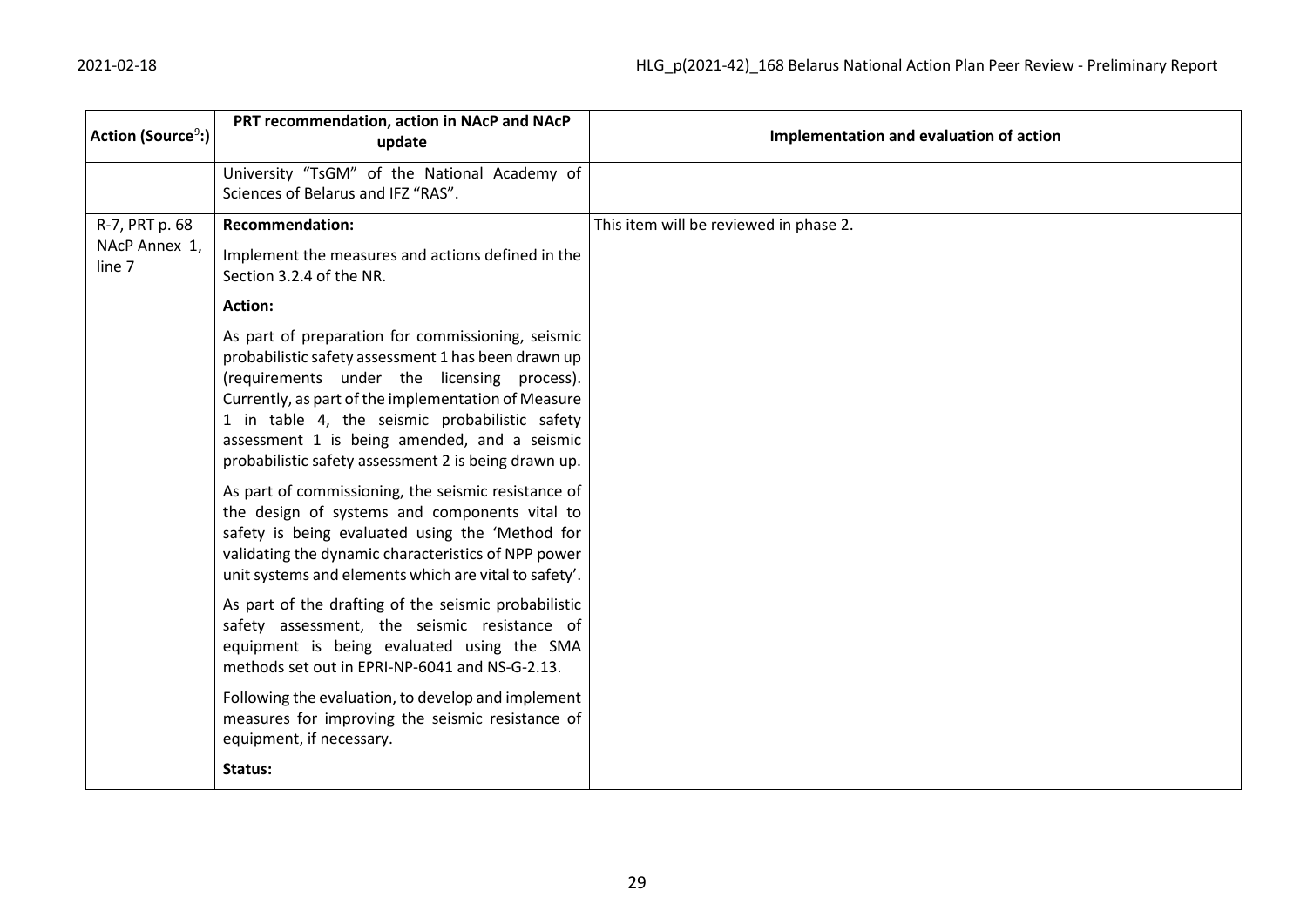| Action (Source <sup>9</sup> :) | PRT recommendation, action in NAcP and NAcP<br>update                                                                                                                                                                                                                                                                                                                    | Implementation and evaluation of action |
|--------------------------------|--------------------------------------------------------------------------------------------------------------------------------------------------------------------------------------------------------------------------------------------------------------------------------------------------------------------------------------------------------------------------|-----------------------------------------|
|                                | University "TsGM" of the National Academy of<br>Sciences of Belarus and IFZ "RAS".                                                                                                                                                                                                                                                                                       |                                         |
| R-7, PRT p. 68                 | <b>Recommendation:</b>                                                                                                                                                                                                                                                                                                                                                   | This item will be reviewed in phase 2.  |
| NAcP Annex 1,<br>line 7        | Implement the measures and actions defined in the<br>Section 3.2.4 of the NR.                                                                                                                                                                                                                                                                                            |                                         |
|                                | <b>Action:</b>                                                                                                                                                                                                                                                                                                                                                           |                                         |
|                                | As part of preparation for commissioning, seismic<br>probabilistic safety assessment 1 has been drawn up<br>(requirements under the licensing process).<br>Currently, as part of the implementation of Measure<br>1 in table 4, the seismic probabilistic safety<br>assessment 1 is being amended, and a seismic<br>probabilistic safety assessment 2 is being drawn up. |                                         |
|                                | As part of commissioning, the seismic resistance of<br>the design of systems and components vital to<br>safety is being evaluated using the 'Method for<br>validating the dynamic characteristics of NPP power<br>unit systems and elements which are vital to safety'.                                                                                                  |                                         |
|                                | As part of the drafting of the seismic probabilistic<br>safety assessment, the seismic resistance of<br>equipment is being evaluated using the SMA<br>methods set out in EPRI-NP-6041 and NS-G-2.13.                                                                                                                                                                     |                                         |
|                                | Following the evaluation, to develop and implement<br>measures for improving the seismic resistance of<br>equipment, if necessary.                                                                                                                                                                                                                                       |                                         |
|                                | Status:                                                                                                                                                                                                                                                                                                                                                                  |                                         |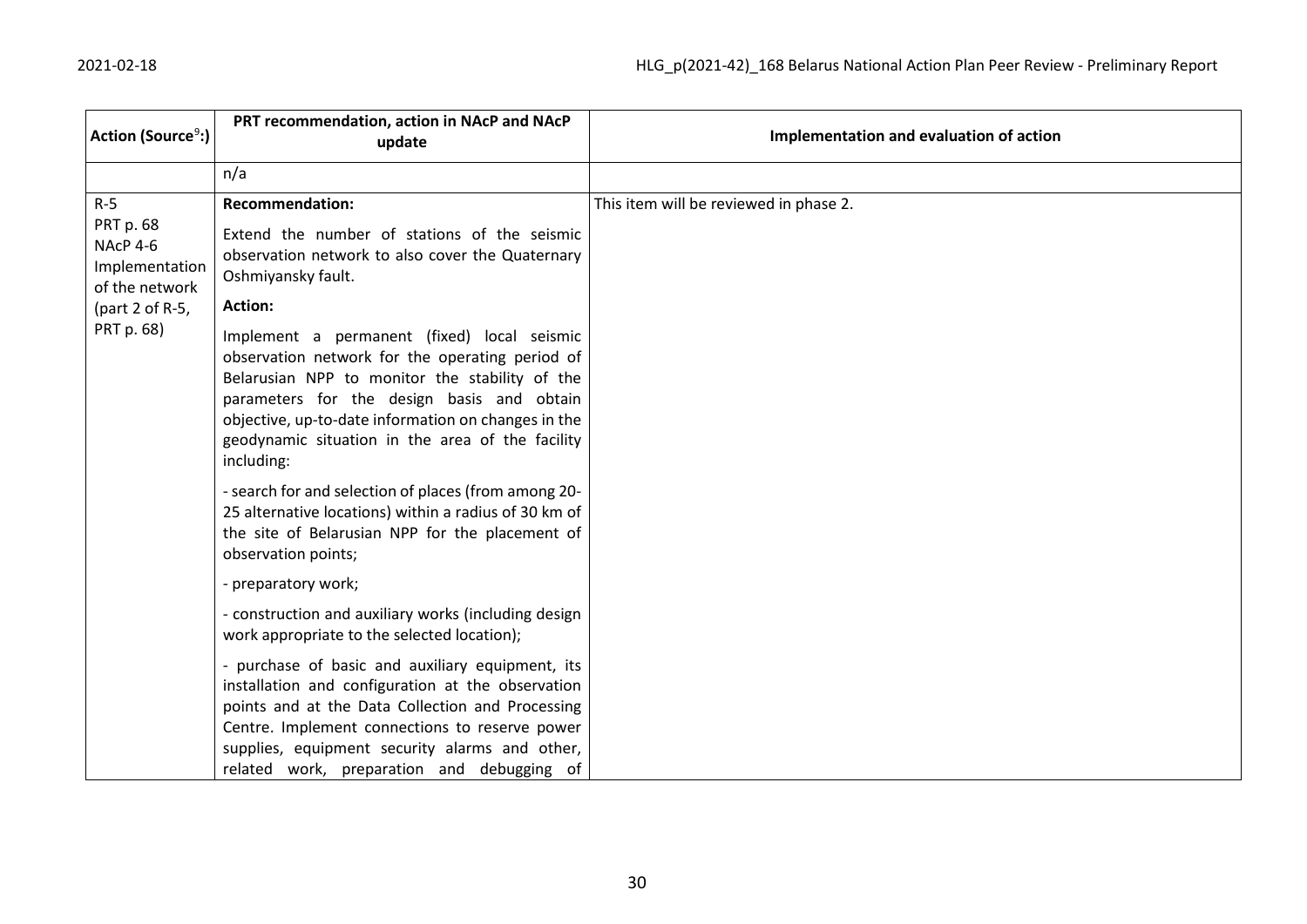| Action (Source <sup>9</sup> :)                                     | PRT recommendation, action in NAcP and NAcP<br>update                                                                                                                                                                                                                                                                                                                                                                                    | Implementation and evaluation of action |
|--------------------------------------------------------------------|------------------------------------------------------------------------------------------------------------------------------------------------------------------------------------------------------------------------------------------------------------------------------------------------------------------------------------------------------------------------------------------------------------------------------------------|-----------------------------------------|
|                                                                    | n/a                                                                                                                                                                                                                                                                                                                                                                                                                                      |                                         |
| $R-5$<br>PRT p. 68<br>NAcP 4-6<br>Implementation<br>of the network | <b>Recommendation:</b><br>Extend the number of stations of the seismic<br>observation network to also cover the Quaternary<br>Oshmiyansky fault.                                                                                                                                                                                                                                                                                         | This item will be reviewed in phase 2.  |
| (part 2 of R-5,                                                    | <b>Action:</b>                                                                                                                                                                                                                                                                                                                                                                                                                           |                                         |
| PRT p. 68)                                                         | Implement a permanent (fixed) local seismic<br>observation network for the operating period of<br>Belarusian NPP to monitor the stability of the<br>parameters for the design basis and obtain<br>objective, up-to-date information on changes in the<br>geodynamic situation in the area of the facility<br>including:<br>- search for and selection of places (from among 20-<br>25 alternative locations) within a radius of 30 km of |                                         |
|                                                                    | the site of Belarusian NPP for the placement of<br>observation points;                                                                                                                                                                                                                                                                                                                                                                   |                                         |
|                                                                    | - preparatory work;                                                                                                                                                                                                                                                                                                                                                                                                                      |                                         |
|                                                                    | - construction and auxiliary works (including design<br>work appropriate to the selected location);                                                                                                                                                                                                                                                                                                                                      |                                         |
|                                                                    | - purchase of basic and auxiliary equipment, its<br>installation and configuration at the observation<br>points and at the Data Collection and Processing<br>Centre. Implement connections to reserve power<br>supplies, equipment security alarms and other,<br>related work, preparation and debugging of                                                                                                                              |                                         |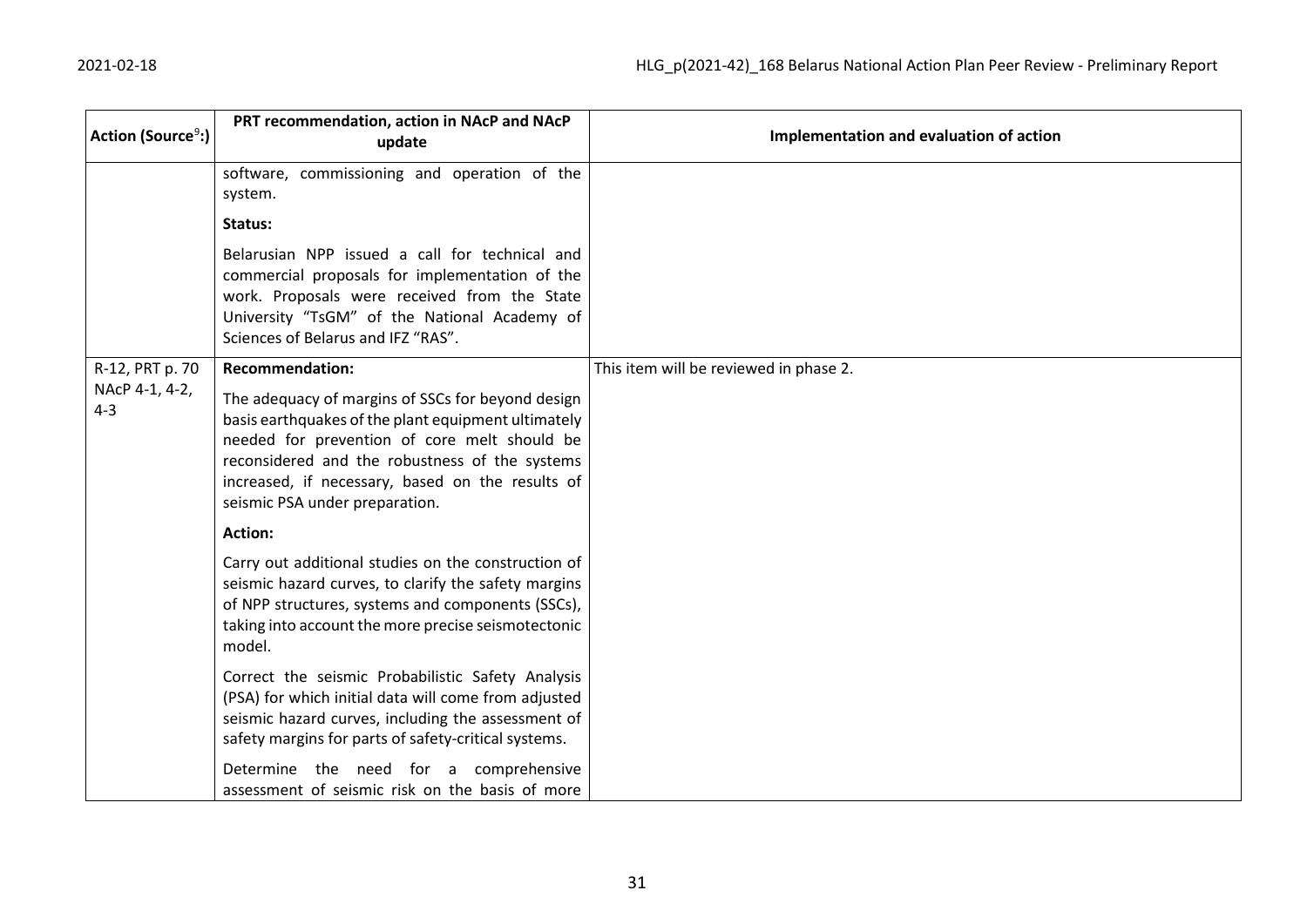| Action (Source <sup>9</sup> :) | PRT recommendation, action in NAcP and NAcP<br>update                                                                                                                                                                                                                                            | Implementation and evaluation of action |
|--------------------------------|--------------------------------------------------------------------------------------------------------------------------------------------------------------------------------------------------------------------------------------------------------------------------------------------------|-----------------------------------------|
|                                | software, commissioning and operation of the<br>system.                                                                                                                                                                                                                                          |                                         |
|                                | Status:                                                                                                                                                                                                                                                                                          |                                         |
|                                | Belarusian NPP issued a call for technical and<br>commercial proposals for implementation of the<br>work. Proposals were received from the State<br>University "TsGM" of the National Academy of<br>Sciences of Belarus and IFZ "RAS".                                                           |                                         |
| R-12, PRT p. 70                | <b>Recommendation:</b>                                                                                                                                                                                                                                                                           | This item will be reviewed in phase 2.  |
| NAcP 4-1, 4-2,<br>$4 - 3$      | The adequacy of margins of SSCs for beyond design<br>basis earthquakes of the plant equipment ultimately<br>needed for prevention of core melt should be<br>reconsidered and the robustness of the systems<br>increased, if necessary, based on the results of<br>seismic PSA under preparation. |                                         |
|                                | <b>Action:</b>                                                                                                                                                                                                                                                                                   |                                         |
|                                | Carry out additional studies on the construction of<br>seismic hazard curves, to clarify the safety margins<br>of NPP structures, systems and components (SSCs),<br>taking into account the more precise seismotectonic<br>model.                                                                |                                         |
|                                | Correct the seismic Probabilistic Safety Analysis<br>(PSA) for which initial data will come from adjusted<br>seismic hazard curves, including the assessment of<br>safety margins for parts of safety-critical systems.                                                                          |                                         |
|                                | Determine the need for a comprehensive<br>assessment of seismic risk on the basis of more                                                                                                                                                                                                        |                                         |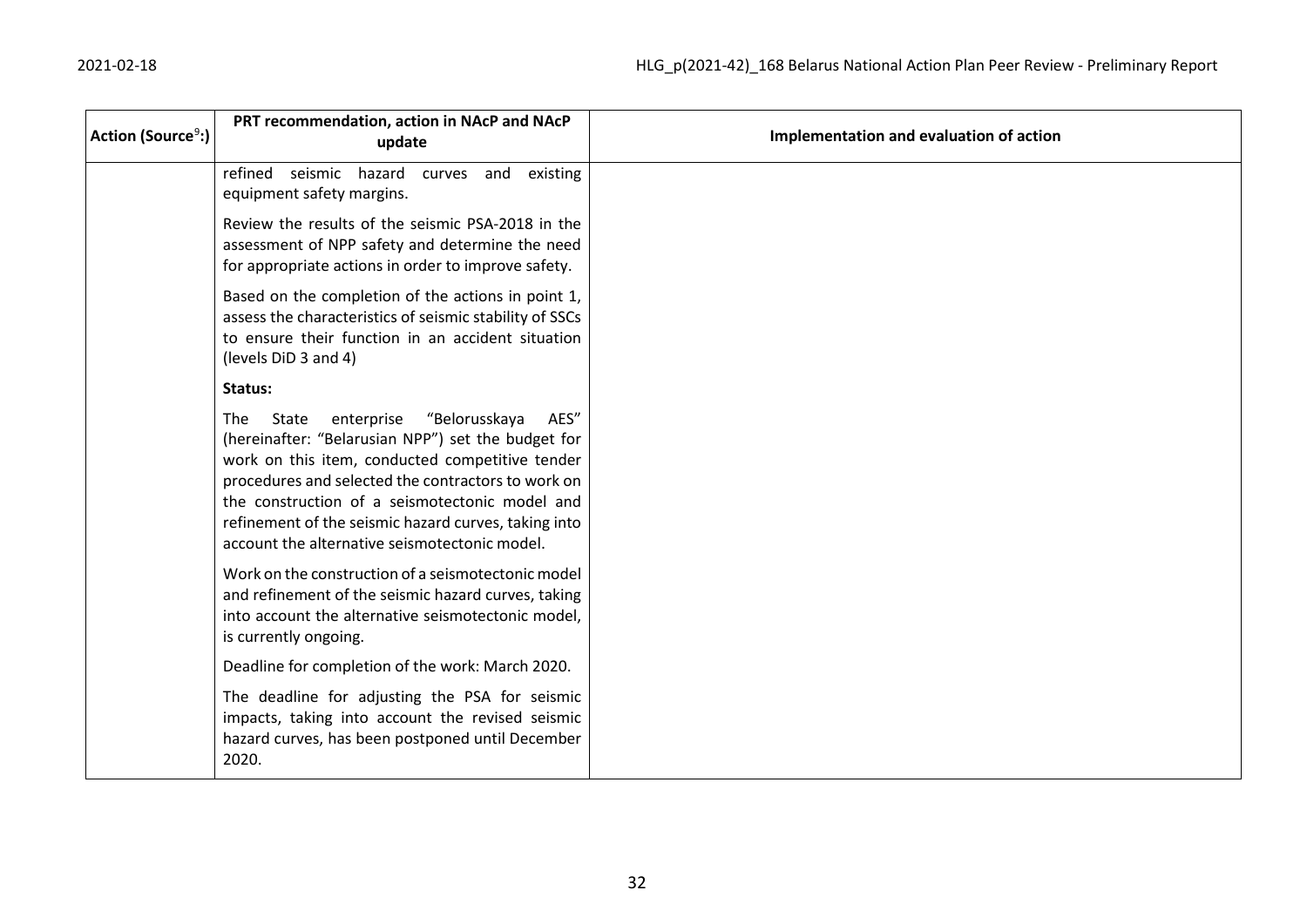| Action (Source <sup>9</sup> :) | PRT recommendation, action in NAcP and NAcP<br>update                                                                                                                                                                                                                                                                                                                                | Implementation and evaluation of action |
|--------------------------------|--------------------------------------------------------------------------------------------------------------------------------------------------------------------------------------------------------------------------------------------------------------------------------------------------------------------------------------------------------------------------------------|-----------------------------------------|
|                                | refined seismic hazard<br>and<br>existing<br>curves<br>equipment safety margins.                                                                                                                                                                                                                                                                                                     |                                         |
|                                | Review the results of the seismic PSA-2018 in the<br>assessment of NPP safety and determine the need<br>for appropriate actions in order to improve safety.                                                                                                                                                                                                                          |                                         |
|                                | Based on the completion of the actions in point 1,<br>assess the characteristics of seismic stability of SSCs<br>to ensure their function in an accident situation<br>(levels DiD 3 and 4)                                                                                                                                                                                           |                                         |
|                                | Status:                                                                                                                                                                                                                                                                                                                                                                              |                                         |
|                                | enterprise<br>"Belorusskaya<br><b>The</b><br>State<br>AES"<br>(hereinafter: "Belarusian NPP") set the budget for<br>work on this item, conducted competitive tender<br>procedures and selected the contractors to work on<br>the construction of a seismotectonic model and<br>refinement of the seismic hazard curves, taking into<br>account the alternative seismotectonic model. |                                         |
|                                | Work on the construction of a seismotectonic model<br>and refinement of the seismic hazard curves, taking<br>into account the alternative seismotectonic model,<br>is currently ongoing.                                                                                                                                                                                             |                                         |
|                                | Deadline for completion of the work: March 2020.                                                                                                                                                                                                                                                                                                                                     |                                         |
|                                | The deadline for adjusting the PSA for seismic<br>impacts, taking into account the revised seismic<br>hazard curves, has been postponed until December<br>2020.                                                                                                                                                                                                                      |                                         |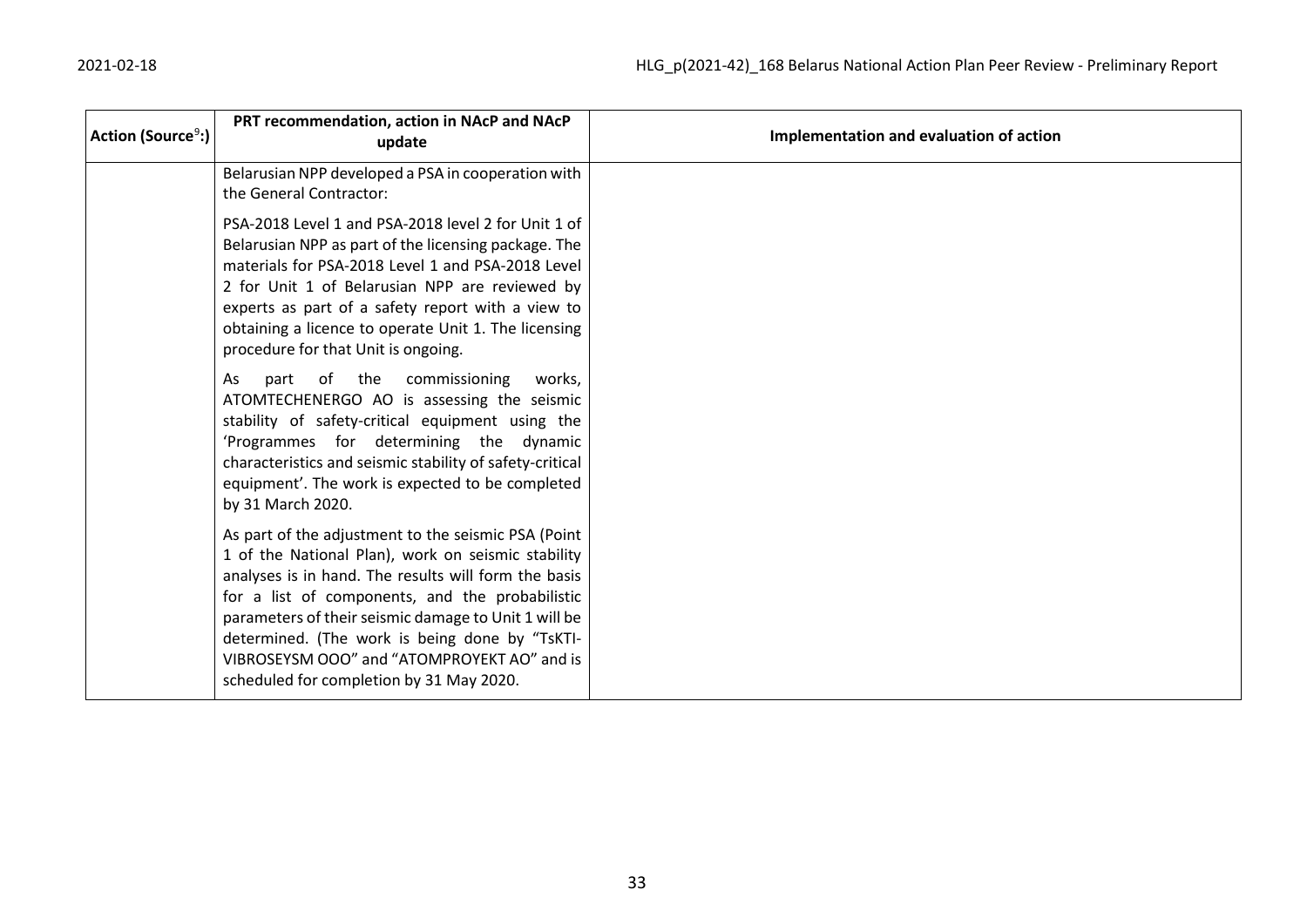| Action (Source <sup>9</sup> :) | PRT recommendation, action in NAcP and NAcP<br>update                                                                                                                                                                                                                                                                                                                                                                     | Implementation and evaluation of action |
|--------------------------------|---------------------------------------------------------------------------------------------------------------------------------------------------------------------------------------------------------------------------------------------------------------------------------------------------------------------------------------------------------------------------------------------------------------------------|-----------------------------------------|
|                                | Belarusian NPP developed a PSA in cooperation with<br>the General Contractor:                                                                                                                                                                                                                                                                                                                                             |                                         |
|                                | PSA-2018 Level 1 and PSA-2018 level 2 for Unit 1 of<br>Belarusian NPP as part of the licensing package. The<br>materials for PSA-2018 Level 1 and PSA-2018 Level<br>2 for Unit 1 of Belarusian NPP are reviewed by<br>experts as part of a safety report with a view to<br>obtaining a licence to operate Unit 1. The licensing<br>procedure for that Unit is ongoing.                                                    |                                         |
|                                | of the<br>commissioning<br>As<br>part<br>works.<br>ATOMTECHENERGO AO is assessing the seismic<br>stability of safety-critical equipment using the<br>'Programmes for determining the dynamic<br>characteristics and seismic stability of safety-critical<br>equipment'. The work is expected to be completed<br>by 31 March 2020.                                                                                         |                                         |
|                                | As part of the adjustment to the seismic PSA (Point<br>1 of the National Plan), work on seismic stability<br>analyses is in hand. The results will form the basis<br>for a list of components, and the probabilistic<br>parameters of their seismic damage to Unit 1 will be<br>determined. (The work is being done by "TsKTI-<br>VIBROSEYSM OOO" and "ATOMPROYEKT AO" and is<br>scheduled for completion by 31 May 2020. |                                         |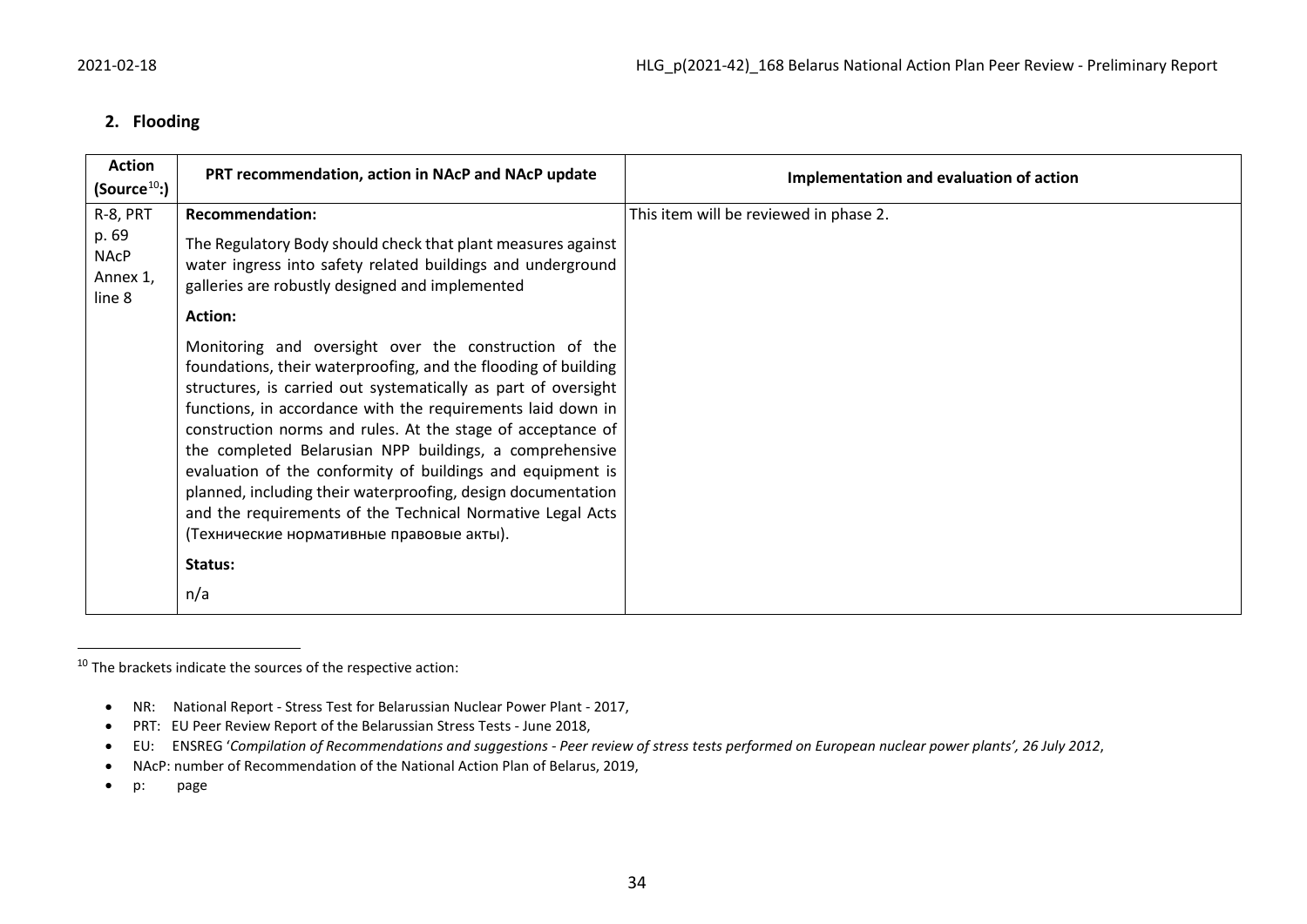#### <span id="page-33-0"></span>**2. Flooding**

| <b>Action</b><br>(Source $^{10}$ :)        | PRT recommendation, action in NAcP and NAcP update                                                                                                                                                                                                                                                                                                                                                                                                                                                                                                                                                                         | Implementation and evaluation of action |
|--------------------------------------------|----------------------------------------------------------------------------------------------------------------------------------------------------------------------------------------------------------------------------------------------------------------------------------------------------------------------------------------------------------------------------------------------------------------------------------------------------------------------------------------------------------------------------------------------------------------------------------------------------------------------------|-----------------------------------------|
| R-8, PRT                                   | <b>Recommendation:</b>                                                                                                                                                                                                                                                                                                                                                                                                                                                                                                                                                                                                     | This item will be reviewed in phase 2.  |
| p. 69<br><b>NAcP</b><br>Annex 1,<br>line 8 | The Regulatory Body should check that plant measures against<br>water ingress into safety related buildings and underground<br>galleries are robustly designed and implemented                                                                                                                                                                                                                                                                                                                                                                                                                                             |                                         |
|                                            | <b>Action:</b>                                                                                                                                                                                                                                                                                                                                                                                                                                                                                                                                                                                                             |                                         |
|                                            | Monitoring and oversight over the construction of the<br>foundations, their waterproofing, and the flooding of building<br>structures, is carried out systematically as part of oversight<br>functions, in accordance with the requirements laid down in<br>construction norms and rules. At the stage of acceptance of<br>the completed Belarusian NPP buildings, a comprehensive<br>evaluation of the conformity of buildings and equipment is<br>planned, including their waterproofing, design documentation<br>and the requirements of the Technical Normative Legal Acts<br>(Технические нормативные правовые акты). |                                         |
|                                            | Status:                                                                                                                                                                                                                                                                                                                                                                                                                                                                                                                                                                                                                    |                                         |
|                                            | n/a                                                                                                                                                                                                                                                                                                                                                                                                                                                                                                                                                                                                                        |                                         |

 $10$  The brackets indicate the sources of the respective action:

<sup>•</sup> NR: National Report - Stress Test for Belarussian Nuclear Power Plant - 2017,

<sup>•</sup> PRT: EU Peer Review Report of the Belarussian Stress Tests - June 2018,

<sup>•</sup> EU: ENSREG '*Compilation of Recommendations and suggestions - Peer review of stress tests performed on European nuclear power plants', 26 July 2012*,

<sup>•</sup> NAcP: number of Recommendation of the National Action Plan of Belarus, 2019,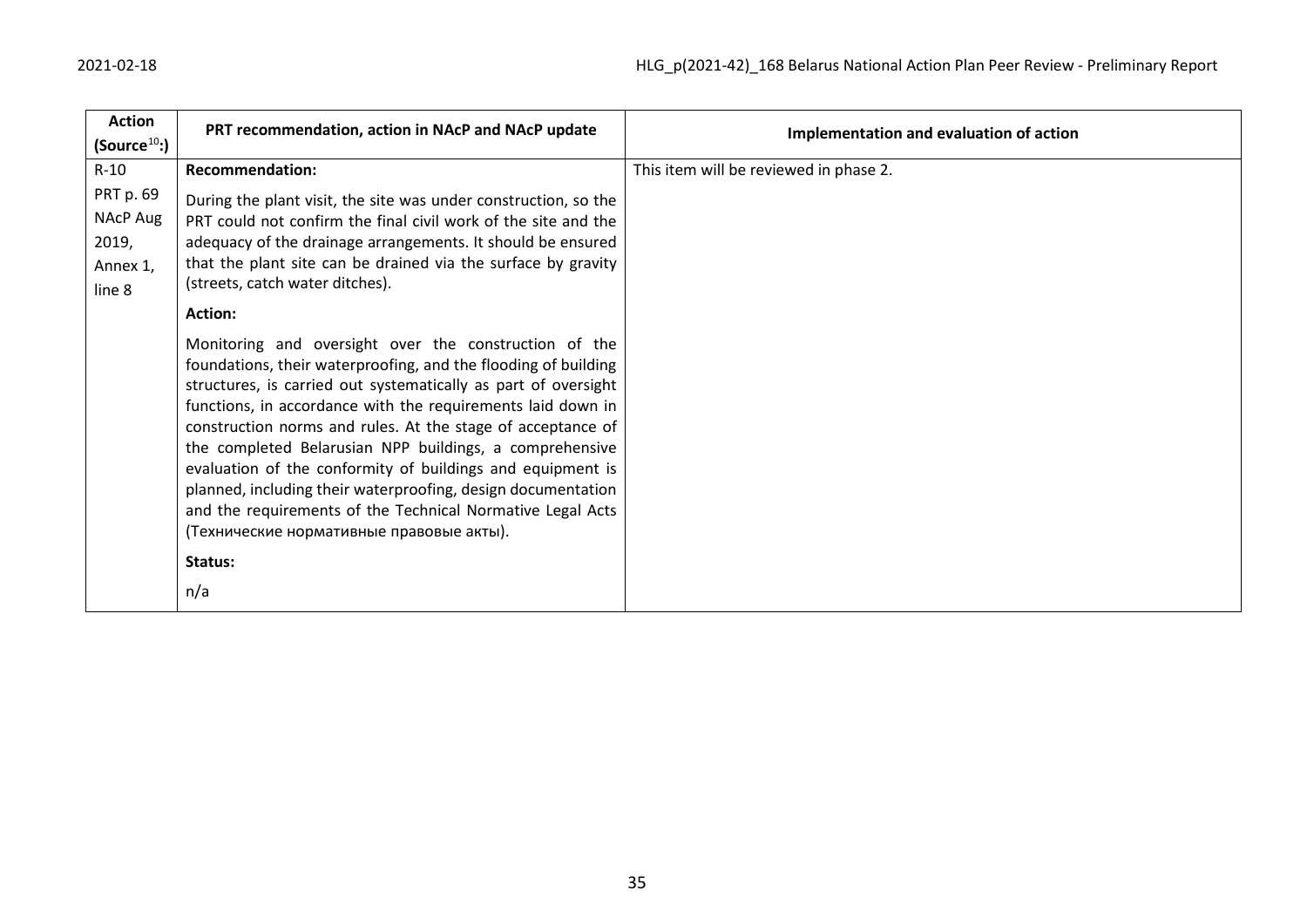| <b>Action</b>                                               | PRT recommendation, action in NAcP and NAcP update                                                                                                                                                                                                                                                                                                                                                                                                                                                                                                                                                                         | Implementation and evaluation of action |
|-------------------------------------------------------------|----------------------------------------------------------------------------------------------------------------------------------------------------------------------------------------------------------------------------------------------------------------------------------------------------------------------------------------------------------------------------------------------------------------------------------------------------------------------------------------------------------------------------------------------------------------------------------------------------------------------------|-----------------------------------------|
| (Source <sup>10</sup> )                                     |                                                                                                                                                                                                                                                                                                                                                                                                                                                                                                                                                                                                                            |                                         |
| $R-10$                                                      | <b>Recommendation:</b>                                                                                                                                                                                                                                                                                                                                                                                                                                                                                                                                                                                                     | This item will be reviewed in phase 2.  |
| PRT p. 69<br><b>NAcP Aug</b><br>2019,<br>Annex 1,<br>line 8 | During the plant visit, the site was under construction, so the<br>PRT could not confirm the final civil work of the site and the<br>adequacy of the drainage arrangements. It should be ensured<br>that the plant site can be drained via the surface by gravity<br>(streets, catch water ditches).                                                                                                                                                                                                                                                                                                                       |                                         |
|                                                             | <b>Action:</b>                                                                                                                                                                                                                                                                                                                                                                                                                                                                                                                                                                                                             |                                         |
|                                                             | Monitoring and oversight over the construction of the<br>foundations, their waterproofing, and the flooding of building<br>structures, is carried out systematically as part of oversight<br>functions, in accordance with the requirements laid down in<br>construction norms and rules. At the stage of acceptance of<br>the completed Belarusian NPP buildings, a comprehensive<br>evaluation of the conformity of buildings and equipment is<br>planned, including their waterproofing, design documentation<br>and the requirements of the Technical Normative Legal Acts<br>(Технические нормативные правовые акты). |                                         |
|                                                             | Status:                                                                                                                                                                                                                                                                                                                                                                                                                                                                                                                                                                                                                    |                                         |
|                                                             | n/a                                                                                                                                                                                                                                                                                                                                                                                                                                                                                                                                                                                                                        |                                         |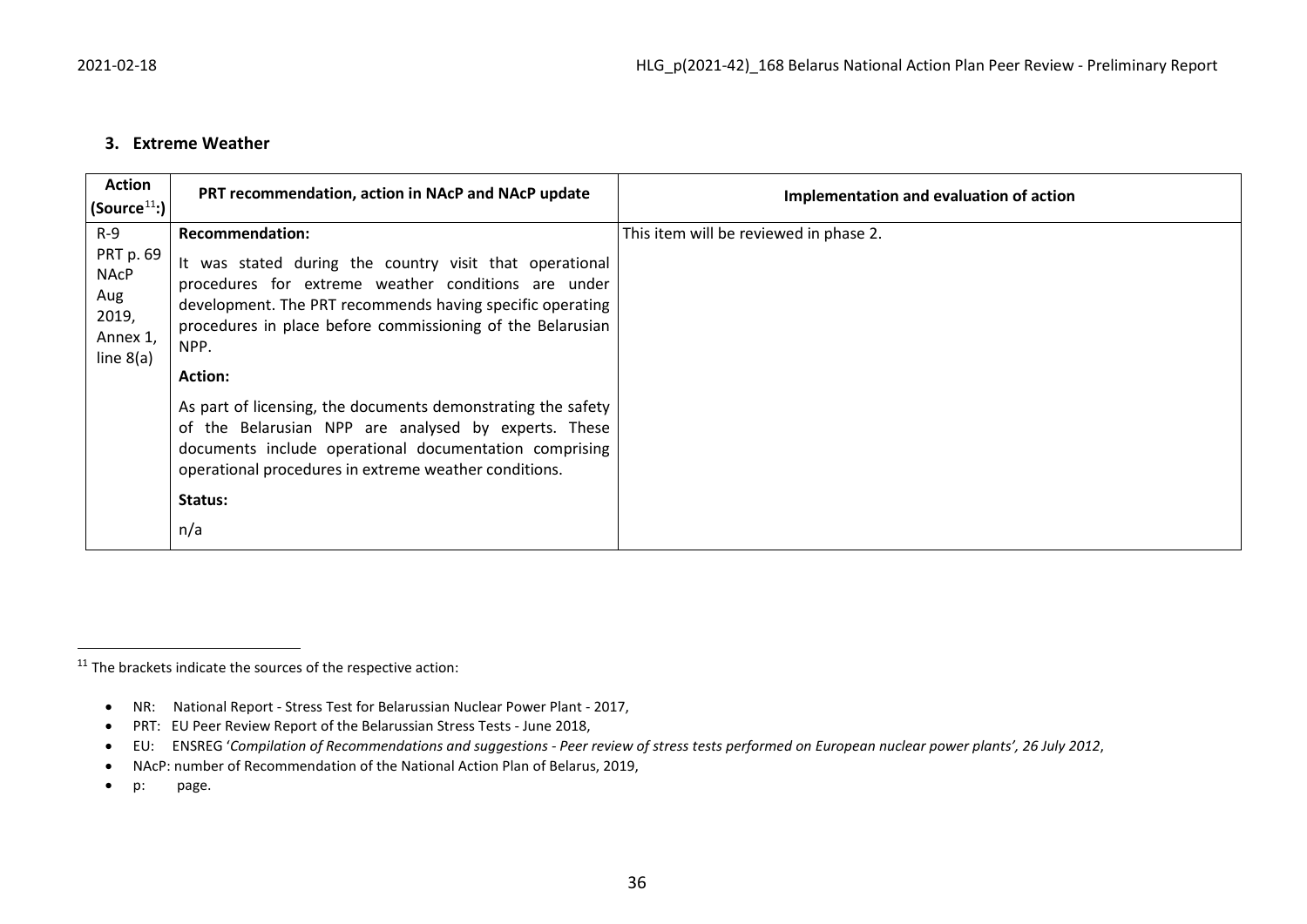#### <span id="page-35-0"></span>**3. Extreme Weather**

| <b>Action</b><br>$ $ (Source $^{11}$ :) $ $                                  | PRT recommendation, action in NAcP and NAcP update                                                                                                                                                                                                                                                                                                                                                                                                                                                                                                         | Implementation and evaluation of action |
|------------------------------------------------------------------------------|------------------------------------------------------------------------------------------------------------------------------------------------------------------------------------------------------------------------------------------------------------------------------------------------------------------------------------------------------------------------------------------------------------------------------------------------------------------------------------------------------------------------------------------------------------|-----------------------------------------|
| $R-9$<br>PRT p. 69<br><b>NACP</b><br>Aug<br>2019,<br>Annex 1,<br>line $8(a)$ | <b>Recommendation:</b><br>It was stated during the country visit that operational<br>procedures for extreme weather conditions are under<br>development. The PRT recommends having specific operating<br>procedures in place before commissioning of the Belarusian<br>NPP.<br><b>Action:</b><br>As part of licensing, the documents demonstrating the safety<br>of the Belarusian NPP are analysed by experts. These<br>documents include operational documentation comprising<br>operational procedures in extreme weather conditions.<br>Status:<br>n/a | This item will be reviewed in phase 2.  |

 $11$  The brackets indicate the sources of the respective action:

<sup>•</sup> NR: National Report - Stress Test for Belarussian Nuclear Power Plant - 2017,

<sup>•</sup> PRT: EU Peer Review Report of the Belarussian Stress Tests - June 2018,

<sup>•</sup> EU: ENSREG '*Compilation of Recommendations and suggestions - Peer review of stress tests performed on European nuclear power plants', 26 July 2012*,

<sup>•</sup> NAcP: number of Recommendation of the National Action Plan of Belarus, 2019,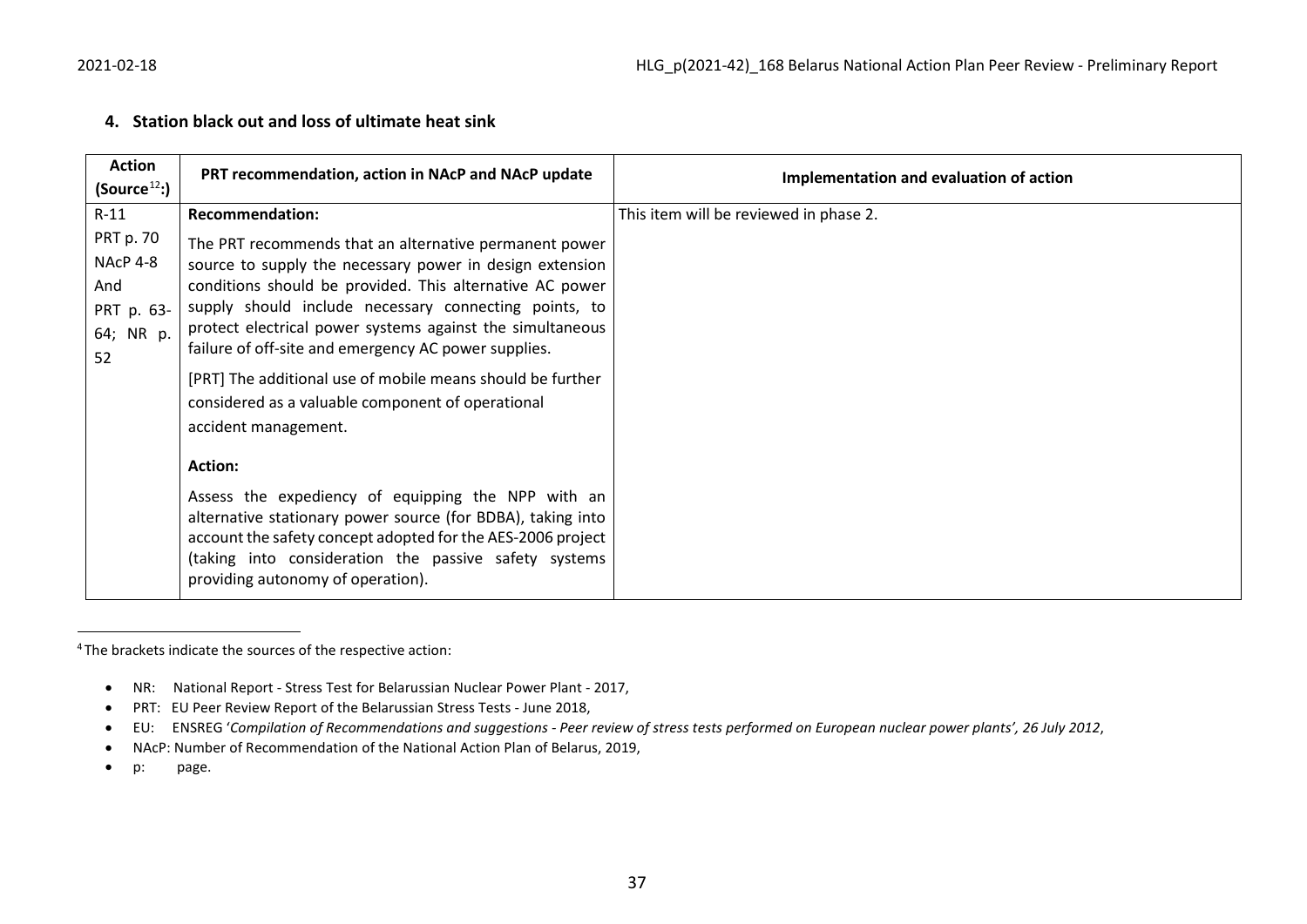### <span id="page-36-0"></span>**4. Station black out and loss of ultimate heat sink**

| <b>Action</b>                                                        | PRT recommendation, action in NAcP and NAcP update                                                                                                                                                                                                                                                                                                                                                                         | Implementation and evaluation of action |
|----------------------------------------------------------------------|----------------------------------------------------------------------------------------------------------------------------------------------------------------------------------------------------------------------------------------------------------------------------------------------------------------------------------------------------------------------------------------------------------------------------|-----------------------------------------|
| (Source <sup>12</sup> )                                              |                                                                                                                                                                                                                                                                                                                                                                                                                            |                                         |
| $R-11$                                                               | <b>Recommendation:</b>                                                                                                                                                                                                                                                                                                                                                                                                     | This item will be reviewed in phase 2.  |
| <b>PRT p. 70</b><br>NAcP 4-8<br>And<br>PRT p. 63-<br>64; NR p.<br>52 | The PRT recommends that an alternative permanent power<br>source to supply the necessary power in design extension<br>conditions should be provided. This alternative AC power<br>supply should include necessary connecting points, to<br>protect electrical power systems against the simultaneous<br>failure of off-site and emergency AC power supplies.<br>[PRT] The additional use of mobile means should be further |                                         |
|                                                                      | considered as a valuable component of operational<br>accident management.                                                                                                                                                                                                                                                                                                                                                  |                                         |
|                                                                      | <b>Action:</b><br>Assess the expediency of equipping the NPP with an<br>alternative stationary power source (for BDBA), taking into<br>account the safety concept adopted for the AES-2006 project<br>(taking into consideration the passive safety systems<br>providing autonomy of operation).                                                                                                                           |                                         |

4 The brackets indicate the sources of the respective action:

- NR: National Report Stress Test for Belarussian Nuclear Power Plant 2017,
- PRT: EU Peer Review Report of the Belarussian Stress Tests June 2018,
- EU: ENSREG '*Compilation of Recommendations and suggestions - Peer review of stress tests performed on European nuclear power plants', 26 July 2012*,
- NAcP: Number of Recommendation of the National Action Plan of Belarus, 2019,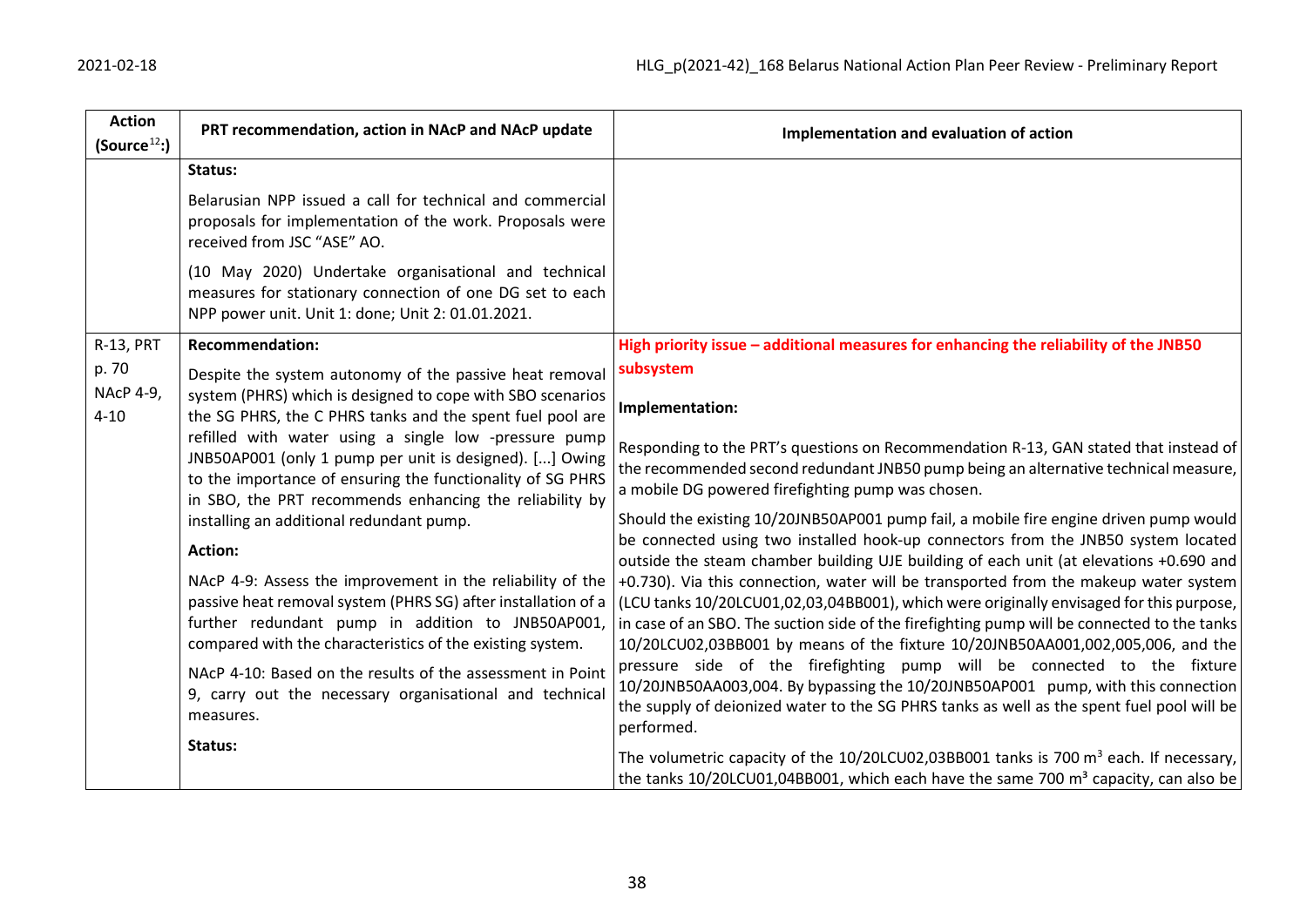| <b>Action</b><br>(Source <sup>12</sup> )                                                                                                                                                                                                  | PRT recommendation, action in NAcP and NAcP update                                                                                                                                                                                            | Implementation and evaluation of action                                                                                                                                                                                                                                                                                                                           |
|-------------------------------------------------------------------------------------------------------------------------------------------------------------------------------------------------------------------------------------------|-----------------------------------------------------------------------------------------------------------------------------------------------------------------------------------------------------------------------------------------------|-------------------------------------------------------------------------------------------------------------------------------------------------------------------------------------------------------------------------------------------------------------------------------------------------------------------------------------------------------------------|
|                                                                                                                                                                                                                                           | Status:                                                                                                                                                                                                                                       |                                                                                                                                                                                                                                                                                                                                                                   |
|                                                                                                                                                                                                                                           | Belarusian NPP issued a call for technical and commercial<br>proposals for implementation of the work. Proposals were<br>received from JSC "ASE" AO.                                                                                          |                                                                                                                                                                                                                                                                                                                                                                   |
|                                                                                                                                                                                                                                           | (10 May 2020) Undertake organisational and technical<br>measures for stationary connection of one DG set to each<br>NPP power unit. Unit 1: done; Unit 2: 01.01.2021.                                                                         |                                                                                                                                                                                                                                                                                                                                                                   |
| <b>R-13, PRT</b>                                                                                                                                                                                                                          | <b>Recommendation:</b>                                                                                                                                                                                                                        | High priority issue - additional measures for enhancing the reliability of the JNB50                                                                                                                                                                                                                                                                              |
| p. 70                                                                                                                                                                                                                                     | Despite the system autonomy of the passive heat removal                                                                                                                                                                                       | subsystem                                                                                                                                                                                                                                                                                                                                                         |
| <b>NAcP 4-9,</b><br>$4 - 10$                                                                                                                                                                                                              | system (PHRS) which is designed to cope with SBO scenarios<br>the SG PHRS, the C PHRS tanks and the spent fuel pool are                                                                                                                       | Implementation:                                                                                                                                                                                                                                                                                                                                                   |
| refilled with water using a single low -pressure pump<br>JNB50AP001 (only 1 pump per unit is designed). [] Owing<br>to the importance of ensuring the functionality of SG PHRS<br>in SBO, the PRT recommends enhancing the reliability by | Responding to the PRT's questions on Recommendation R-13, GAN stated that instead of<br>the recommended second redundant JNB50 pump being an alternative technical measure,<br>a mobile DG powered firefighting pump was chosen.              |                                                                                                                                                                                                                                                                                                                                                                   |
|                                                                                                                                                                                                                                           | installing an additional redundant pump.                                                                                                                                                                                                      | Should the existing 10/20JNB50AP001 pump fail, a mobile fire engine driven pump would                                                                                                                                                                                                                                                                             |
|                                                                                                                                                                                                                                           | <b>Action:</b>                                                                                                                                                                                                                                | be connected using two installed hook-up connectors from the JNB50 system located<br>outside the steam chamber building UJE building of each unit (at elevations +0.690 and                                                                                                                                                                                       |
| measures.                                                                                                                                                                                                                                 | NAcP 4-9: Assess the improvement in the reliability of the<br>passive heat removal system (PHRS SG) after installation of a<br>further redundant pump in addition to JNB50AP001,<br>compared with the characteristics of the existing system. | +0.730). Via this connection, water will be transported from the makeup water system<br>(LCU tanks 10/20LCU01,02,03,04BB001), which were originally envisaged for this purpose,<br>in case of an SBO. The suction side of the firefighting pump will be connected to the tanks<br>10/20LCU02,03BB001 by means of the fixture 10/20JNB50AA001,002,005,006, and the |
|                                                                                                                                                                                                                                           | NAcP 4-10: Based on the results of the assessment in Point<br>9, carry out the necessary organisational and technical                                                                                                                         | pressure side of the firefighting pump will be connected to the fixture<br>10/20JNB50AA003,004. By bypassing the 10/20JNB50AP001 pump, with this connection<br>the supply of deionized water to the SG PHRS tanks as well as the spent fuel pool will be<br>performed.                                                                                            |
|                                                                                                                                                                                                                                           | Status:                                                                                                                                                                                                                                       | The volumetric capacity of the $10/20$ LCU02,03BB001 tanks is 700 m <sup>3</sup> each. If necessary,<br>the tanks 10/20LCU01,04BB001, which each have the same 700 m <sup>3</sup> capacity, can also be                                                                                                                                                           |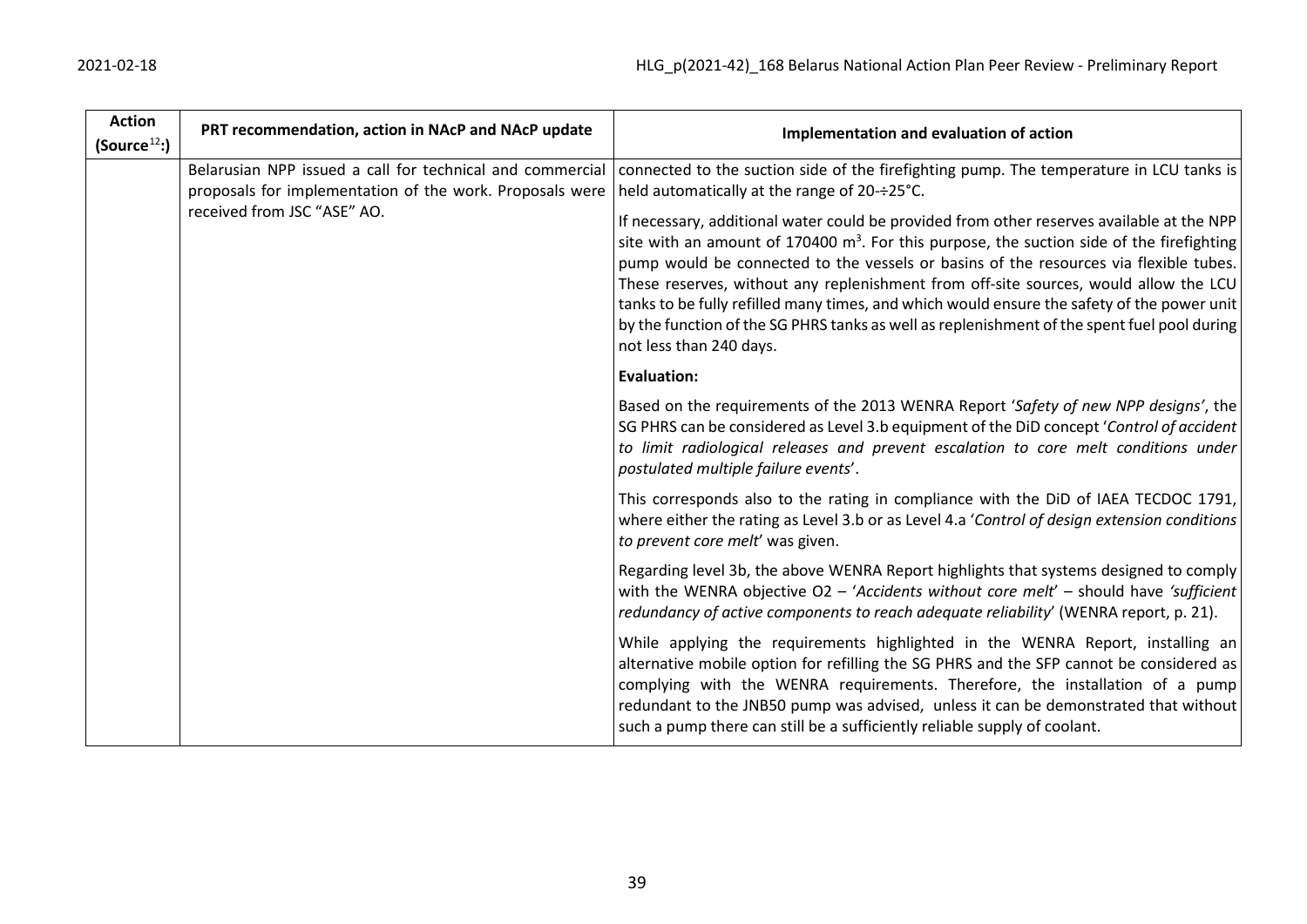| 2021-02-18 |  |
|------------|--|
|------------|--|

| <b>Action</b><br>(Source <sup>12</sup> ) | PRT recommendation, action in NAcP and NAcP update                                                                                                                                                                                                                                                                                                                                                                                                                                                   | Implementation and evaluation of action                                                                                                                                                                                                                                                                                                                                                                                       |
|------------------------------------------|------------------------------------------------------------------------------------------------------------------------------------------------------------------------------------------------------------------------------------------------------------------------------------------------------------------------------------------------------------------------------------------------------------------------------------------------------------------------------------------------------|-------------------------------------------------------------------------------------------------------------------------------------------------------------------------------------------------------------------------------------------------------------------------------------------------------------------------------------------------------------------------------------------------------------------------------|
|                                          | Belarusian NPP issued a call for technical and commercial<br>proposals for implementation of the work. Proposals were<br>received from JSC "ASE" AO.                                                                                                                                                                                                                                                                                                                                                 | connected to the suction side of the firefighting pump. The temperature in LCU tanks is<br>held automatically at the range of 20-÷25°C.<br>If necessary, additional water could be provided from other reserves available at the NPP                                                                                                                                                                                          |
|                                          | site with an amount of 170400 $m3$ . For this purpose, the suction side of the firefighting<br>pump would be connected to the vessels or basins of the resources via flexible tubes.<br>These reserves, without any replenishment from off-site sources, would allow the LCU<br>tanks to be fully refilled many times, and which would ensure the safety of the power unit<br>by the function of the SG PHRS tanks as well as replenishment of the spent fuel pool during<br>not less than 240 days. |                                                                                                                                                                                                                                                                                                                                                                                                                               |
|                                          |                                                                                                                                                                                                                                                                                                                                                                                                                                                                                                      | <b>Evaluation:</b>                                                                                                                                                                                                                                                                                                                                                                                                            |
|                                          |                                                                                                                                                                                                                                                                                                                                                                                                                                                                                                      | Based on the requirements of the 2013 WENRA Report 'Safety of new NPP designs', the<br>SG PHRS can be considered as Level 3.b equipment of the DiD concept 'Control of accident<br>to limit radiological releases and prevent escalation to core melt conditions under<br>postulated multiple failure events'.                                                                                                                |
|                                          |                                                                                                                                                                                                                                                                                                                                                                                                                                                                                                      | This corresponds also to the rating in compliance with the DiD of IAEA TECDOC 1791,<br>where either the rating as Level 3.b or as Level 4.a 'Control of design extension conditions<br>to prevent core melt' was given.                                                                                                                                                                                                       |
|                                          |                                                                                                                                                                                                                                                                                                                                                                                                                                                                                                      | Regarding level 3b, the above WENRA Report highlights that systems designed to comply<br>with the WENRA objective $O2 - 'Accidents$ without core melt' - should have 'sufficient<br>redundancy of active components to reach adequate reliability' (WENRA report, p. 21).                                                                                                                                                     |
|                                          |                                                                                                                                                                                                                                                                                                                                                                                                                                                                                                      | While applying the requirements highlighted in the WENRA Report, installing an<br>alternative mobile option for refilling the SG PHRS and the SFP cannot be considered as<br>complying with the WENRA requirements. Therefore, the installation of a pump<br>redundant to the JNB50 pump was advised, unless it can be demonstrated that without<br>such a pump there can still be a sufficiently reliable supply of coolant. |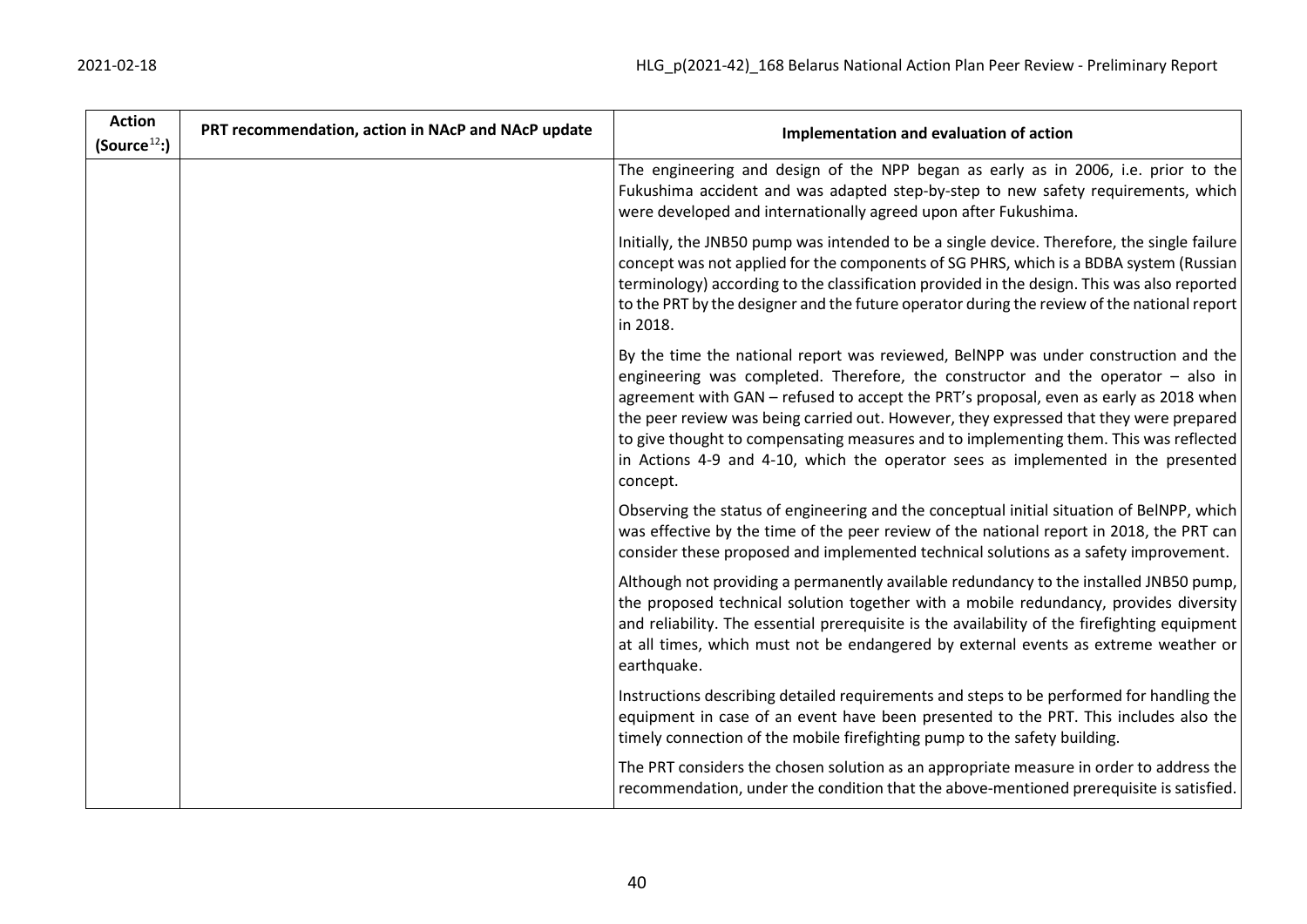| <b>Action</b><br>(Source <sup>12</sup> ) | PRT recommendation, action in NAcP and NAcP update | Implementation and evaluation of action                                                                                                                                                                                                                                                                                                                                                                                                                                                                                                             |
|------------------------------------------|----------------------------------------------------|-----------------------------------------------------------------------------------------------------------------------------------------------------------------------------------------------------------------------------------------------------------------------------------------------------------------------------------------------------------------------------------------------------------------------------------------------------------------------------------------------------------------------------------------------------|
|                                          |                                                    | The engineering and design of the NPP began as early as in 2006, i.e. prior to the<br>Fukushima accident and was adapted step-by-step to new safety requirements, which<br>were developed and internationally agreed upon after Fukushima.                                                                                                                                                                                                                                                                                                          |
|                                          |                                                    | Initially, the JNB50 pump was intended to be a single device. Therefore, the single failure<br>concept was not applied for the components of SG PHRS, which is a BDBA system (Russian<br>terminology) according to the classification provided in the design. This was also reported<br>to the PRT by the designer and the future operator during the review of the national report<br>in 2018.                                                                                                                                                     |
|                                          |                                                    | By the time the national report was reviewed, BelNPP was under construction and the<br>engineering was completed. Therefore, the constructor and the operator - also in<br>agreement with GAN - refused to accept the PRT's proposal, even as early as 2018 when<br>the peer review was being carried out. However, they expressed that they were prepared<br>to give thought to compensating measures and to implementing them. This was reflected<br>in Actions 4-9 and 4-10, which the operator sees as implemented in the presented<br>concept. |
|                                          |                                                    | Observing the status of engineering and the conceptual initial situation of BelNPP, which<br>was effective by the time of the peer review of the national report in 2018, the PRT can<br>consider these proposed and implemented technical solutions as a safety improvement.                                                                                                                                                                                                                                                                       |
|                                          |                                                    | Although not providing a permanently available redundancy to the installed JNB50 pump,<br>the proposed technical solution together with a mobile redundancy, provides diversity<br>and reliability. The essential prerequisite is the availability of the firefighting equipment<br>at all times, which must not be endangered by external events as extreme weather or<br>earthquake.                                                                                                                                                              |
|                                          |                                                    | Instructions describing detailed requirements and steps to be performed for handling the<br>equipment in case of an event have been presented to the PRT. This includes also the<br>timely connection of the mobile firefighting pump to the safety building.                                                                                                                                                                                                                                                                                       |
|                                          |                                                    | The PRT considers the chosen solution as an appropriate measure in order to address the<br>recommendation, under the condition that the above-mentioned prerequisite is satisfied.                                                                                                                                                                                                                                                                                                                                                                  |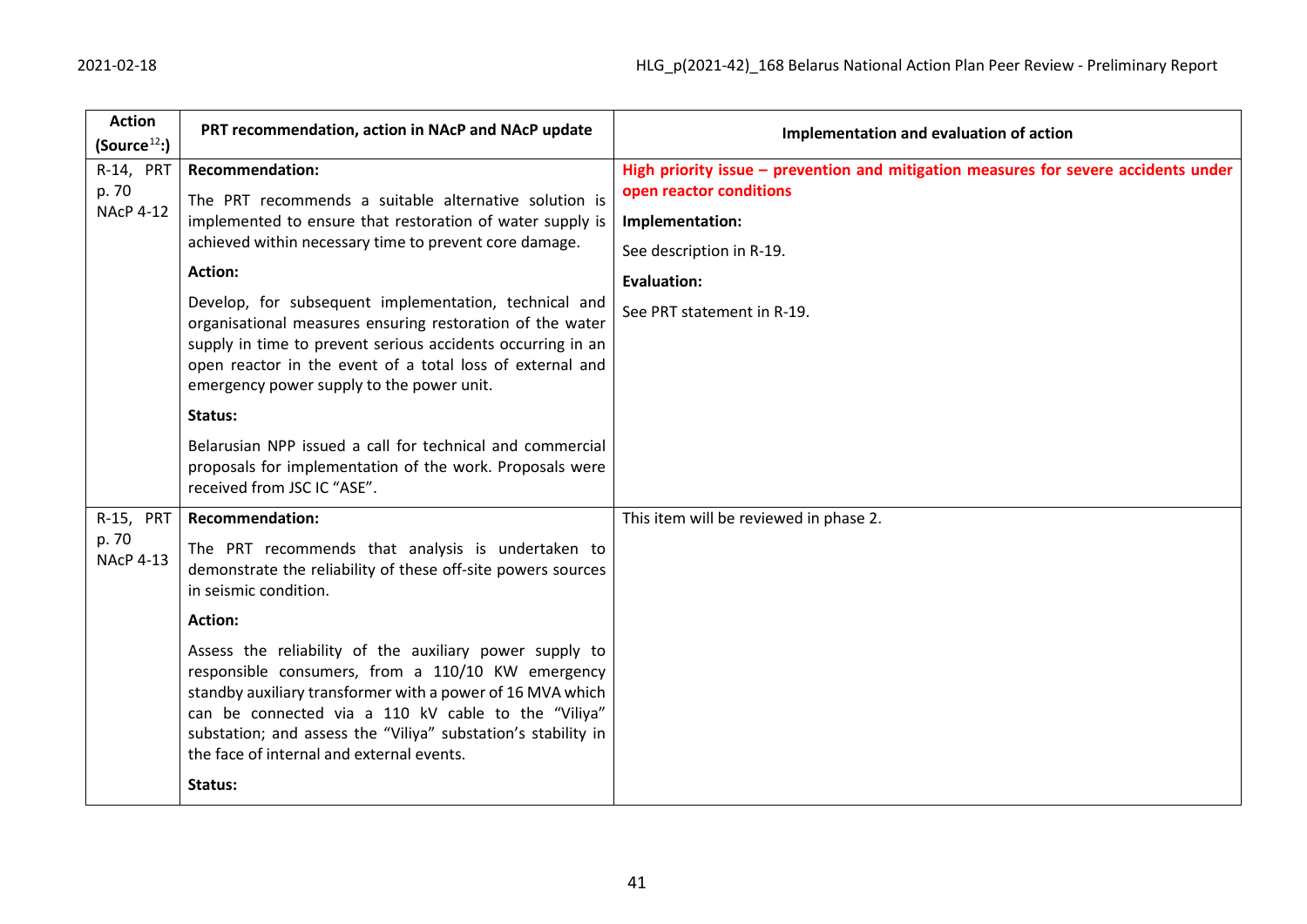| <b>Action</b>             | PRT recommendation, action in NAcP and NAcP update                                                                                                                                                                                                                                                                                              | Implementation and evaluation of action                                             |
|---------------------------|-------------------------------------------------------------------------------------------------------------------------------------------------------------------------------------------------------------------------------------------------------------------------------------------------------------------------------------------------|-------------------------------------------------------------------------------------|
| (Source <sup>12</sup> )   |                                                                                                                                                                                                                                                                                                                                                 |                                                                                     |
| R-14, PRT                 | <b>Recommendation:</b>                                                                                                                                                                                                                                                                                                                          | High priority issue - prevention and mitigation measures for severe accidents under |
| p. 70<br><b>NAcP 4-12</b> | The PRT recommends a suitable alternative solution is<br>implemented to ensure that restoration of water supply is<br>achieved within necessary time to prevent core damage.                                                                                                                                                                    | open reactor conditions                                                             |
|                           |                                                                                                                                                                                                                                                                                                                                                 | Implementation:                                                                     |
|                           |                                                                                                                                                                                                                                                                                                                                                 | See description in R-19.                                                            |
|                           | <b>Action:</b>                                                                                                                                                                                                                                                                                                                                  | <b>Evaluation:</b>                                                                  |
|                           | Develop, for subsequent implementation, technical and<br>organisational measures ensuring restoration of the water<br>supply in time to prevent serious accidents occurring in an<br>open reactor in the event of a total loss of external and<br>emergency power supply to the power unit.                                                     | See PRT statement in R-19.                                                          |
|                           | Status:                                                                                                                                                                                                                                                                                                                                         |                                                                                     |
|                           | Belarusian NPP issued a call for technical and commercial<br>proposals for implementation of the work. Proposals were<br>received from JSC IC "ASE".                                                                                                                                                                                            |                                                                                     |
| R-15, PRT                 | <b>Recommendation:</b>                                                                                                                                                                                                                                                                                                                          | This item will be reviewed in phase 2.                                              |
| p. 70<br><b>NAcP 4-13</b> | The PRT recommends that analysis is undertaken to<br>demonstrate the reliability of these off-site powers sources<br>in seismic condition.                                                                                                                                                                                                      |                                                                                     |
|                           | <b>Action:</b>                                                                                                                                                                                                                                                                                                                                  |                                                                                     |
|                           | Assess the reliability of the auxiliary power supply to<br>responsible consumers, from a 110/10 KW emergency<br>standby auxiliary transformer with a power of 16 MVA which<br>can be connected via a 110 kV cable to the "Viliya"<br>substation; and assess the "Viliya" substation's stability in<br>the face of internal and external events. |                                                                                     |
|                           | Status:                                                                                                                                                                                                                                                                                                                                         |                                                                                     |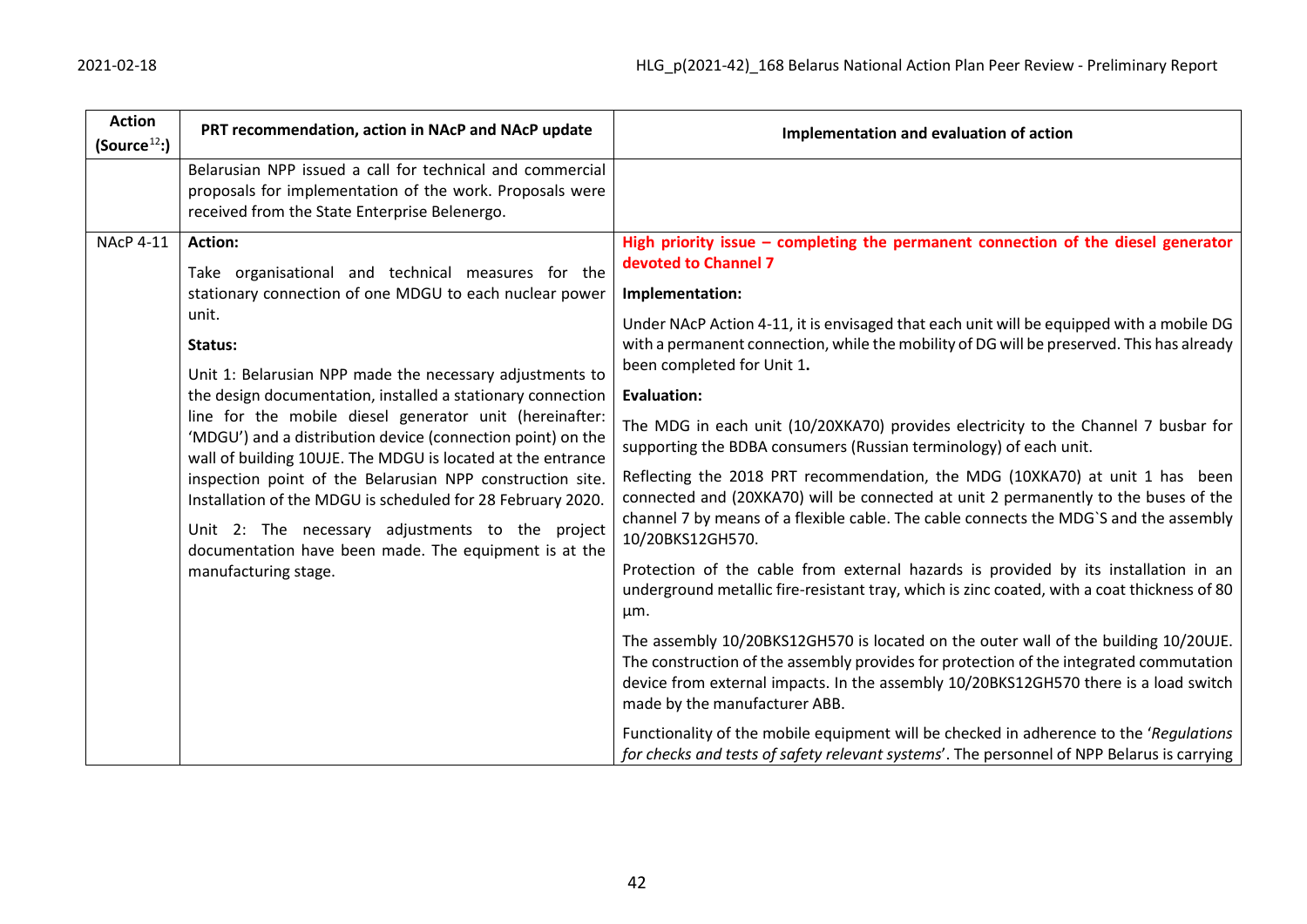| <b>Action</b><br>(Source <sup>12</sup> ) | PRT recommendation, action in NAcP and NAcP update                                                                                                                                                                                                                                                                                                                                                                                                                                                                                                                                                                                                                                                                                | Implementation and evaluation of action                                                                                                                                                                                                                                                                                                                                                                                                                                                                                                                                                                                                                                                                                                                                                                                                                                                                                                                                                                                                                                                                                                                                                                                                                                                                                           |
|------------------------------------------|-----------------------------------------------------------------------------------------------------------------------------------------------------------------------------------------------------------------------------------------------------------------------------------------------------------------------------------------------------------------------------------------------------------------------------------------------------------------------------------------------------------------------------------------------------------------------------------------------------------------------------------------------------------------------------------------------------------------------------------|-----------------------------------------------------------------------------------------------------------------------------------------------------------------------------------------------------------------------------------------------------------------------------------------------------------------------------------------------------------------------------------------------------------------------------------------------------------------------------------------------------------------------------------------------------------------------------------------------------------------------------------------------------------------------------------------------------------------------------------------------------------------------------------------------------------------------------------------------------------------------------------------------------------------------------------------------------------------------------------------------------------------------------------------------------------------------------------------------------------------------------------------------------------------------------------------------------------------------------------------------------------------------------------------------------------------------------------|
|                                          | Belarusian NPP issued a call for technical and commercial<br>proposals for implementation of the work. Proposals were<br>received from the State Enterprise Belenergo.                                                                                                                                                                                                                                                                                                                                                                                                                                                                                                                                                            |                                                                                                                                                                                                                                                                                                                                                                                                                                                                                                                                                                                                                                                                                                                                                                                                                                                                                                                                                                                                                                                                                                                                                                                                                                                                                                                                   |
| <b>NAcP 4-11</b>                         | Action:<br>Take organisational and technical measures for the<br>stationary connection of one MDGU to each nuclear power<br>unit.<br>Status:<br>Unit 1: Belarusian NPP made the necessary adjustments to<br>the design documentation, installed a stationary connection<br>line for the mobile diesel generator unit (hereinafter:<br>'MDGU') and a distribution device (connection point) on the<br>wall of building 10UJE. The MDGU is located at the entrance<br>inspection point of the Belarusian NPP construction site.<br>Installation of the MDGU is scheduled for 28 February 2020.<br>Unit 2: The necessary adjustments to the project<br>documentation have been made. The equipment is at the<br>manufacturing stage. | High priority issue $-$ completing the permanent connection of the diesel generator<br>devoted to Channel 7<br>Implementation:<br>Under NAcP Action 4-11, it is envisaged that each unit will be equipped with a mobile DG<br>with a permanent connection, while the mobility of DG will be preserved. This has already<br>been completed for Unit 1.<br><b>Evaluation:</b><br>The MDG in each unit (10/20XKA70) provides electricity to the Channel 7 busbar for<br>supporting the BDBA consumers (Russian terminology) of each unit.<br>Reflecting the 2018 PRT recommendation, the MDG (10XKA70) at unit 1 has been<br>connected and (20XKA70) will be connected at unit 2 permanently to the buses of the<br>channel 7 by means of a flexible cable. The cable connects the MDG'S and the assembly<br>10/20BKS12GH570.<br>Protection of the cable from external hazards is provided by its installation in an<br>underground metallic fire-resistant tray, which is zinc coated, with a coat thickness of 80<br>μm.<br>The assembly 10/20BKS12GH570 is located on the outer wall of the building 10/20UJE.<br>The construction of the assembly provides for protection of the integrated commutation<br>device from external impacts. In the assembly 10/20BKS12GH570 there is a load switch<br>made by the manufacturer ABB. |
|                                          |                                                                                                                                                                                                                                                                                                                                                                                                                                                                                                                                                                                                                                                                                                                                   | Functionality of the mobile equipment will be checked in adherence to the 'Regulations'<br>for checks and tests of safety relevant systems'. The personnel of NPP Belarus is carrying                                                                                                                                                                                                                                                                                                                                                                                                                                                                                                                                                                                                                                                                                                                                                                                                                                                                                                                                                                                                                                                                                                                                             |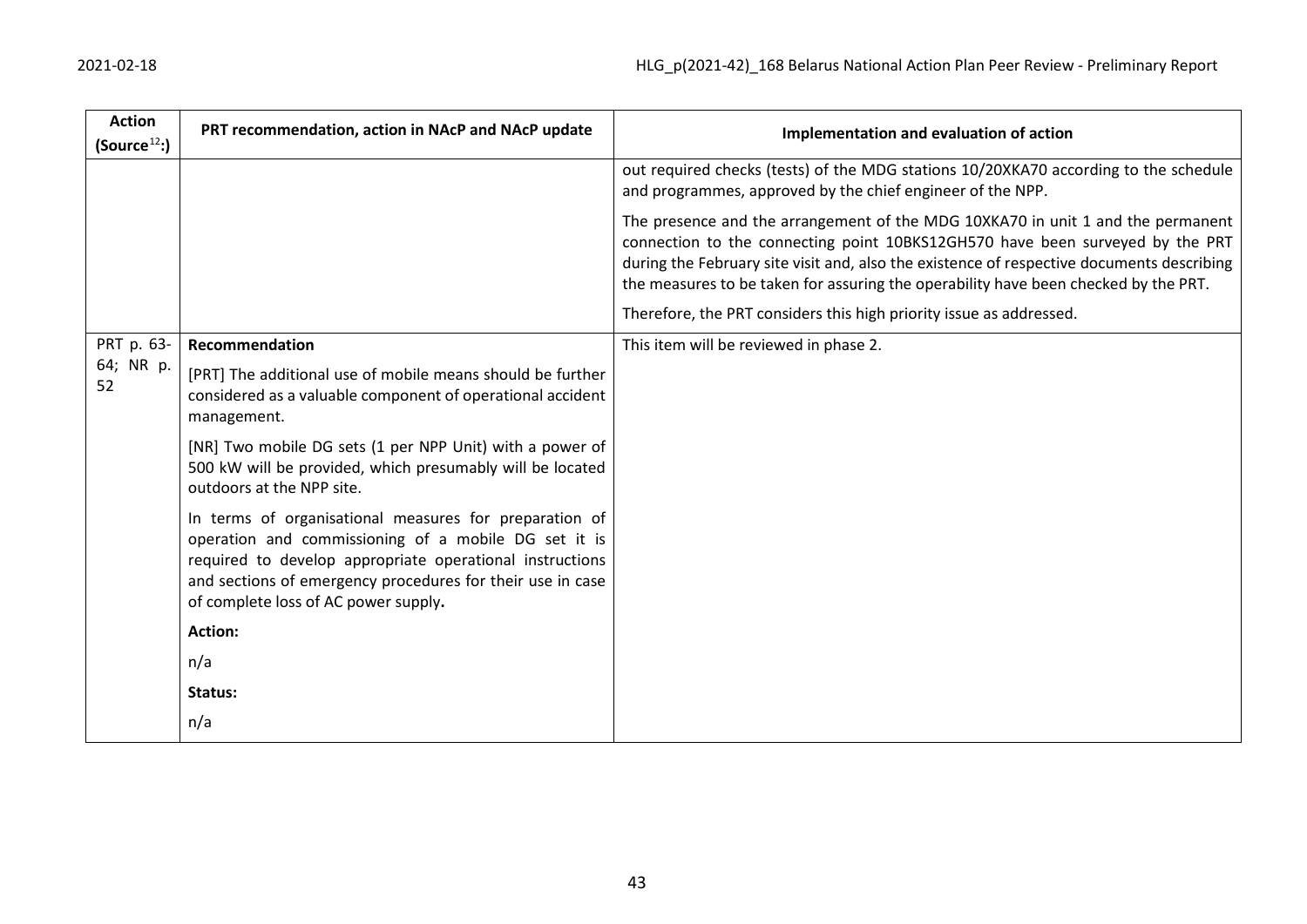| 2021-02-18 |  |
|------------|--|
|------------|--|

| <b>Action</b><br>(Source <sup>12</sup> ) | PRT recommendation, action in NAcP and NAcP update                                                                                                                                                                                                                               | Implementation and evaluation of action                                                                                                                                                                                                                                                                                                              |
|------------------------------------------|----------------------------------------------------------------------------------------------------------------------------------------------------------------------------------------------------------------------------------------------------------------------------------|------------------------------------------------------------------------------------------------------------------------------------------------------------------------------------------------------------------------------------------------------------------------------------------------------------------------------------------------------|
|                                          |                                                                                                                                                                                                                                                                                  | out required checks (tests) of the MDG stations 10/20XKA70 according to the schedule<br>and programmes, approved by the chief engineer of the NPP.                                                                                                                                                                                                   |
|                                          |                                                                                                                                                                                                                                                                                  | The presence and the arrangement of the MDG 10XKA70 in unit 1 and the permanent<br>connection to the connecting point 10BKS12GH570 have been surveyed by the PRT<br>during the February site visit and, also the existence of respective documents describing<br>the measures to be taken for assuring the operability have been checked by the PRT. |
|                                          |                                                                                                                                                                                                                                                                                  | Therefore, the PRT considers this high priority issue as addressed.                                                                                                                                                                                                                                                                                  |
| PRT p. 63-                               | Recommendation                                                                                                                                                                                                                                                                   | This item will be reviewed in phase 2.                                                                                                                                                                                                                                                                                                               |
| 64; NR p.<br>52                          | [PRT] The additional use of mobile means should be further<br>considered as a valuable component of operational accident<br>management.                                                                                                                                          |                                                                                                                                                                                                                                                                                                                                                      |
|                                          | [NR] Two mobile DG sets (1 per NPP Unit) with a power of<br>500 kW will be provided, which presumably will be located<br>outdoors at the NPP site.                                                                                                                               |                                                                                                                                                                                                                                                                                                                                                      |
|                                          | In terms of organisational measures for preparation of<br>operation and commissioning of a mobile DG set it is<br>required to develop appropriate operational instructions<br>and sections of emergency procedures for their use in case<br>of complete loss of AC power supply. |                                                                                                                                                                                                                                                                                                                                                      |
|                                          | <b>Action:</b>                                                                                                                                                                                                                                                                   |                                                                                                                                                                                                                                                                                                                                                      |
|                                          | n/a                                                                                                                                                                                                                                                                              |                                                                                                                                                                                                                                                                                                                                                      |
|                                          | Status:                                                                                                                                                                                                                                                                          |                                                                                                                                                                                                                                                                                                                                                      |
|                                          | n/a                                                                                                                                                                                                                                                                              |                                                                                                                                                                                                                                                                                                                                                      |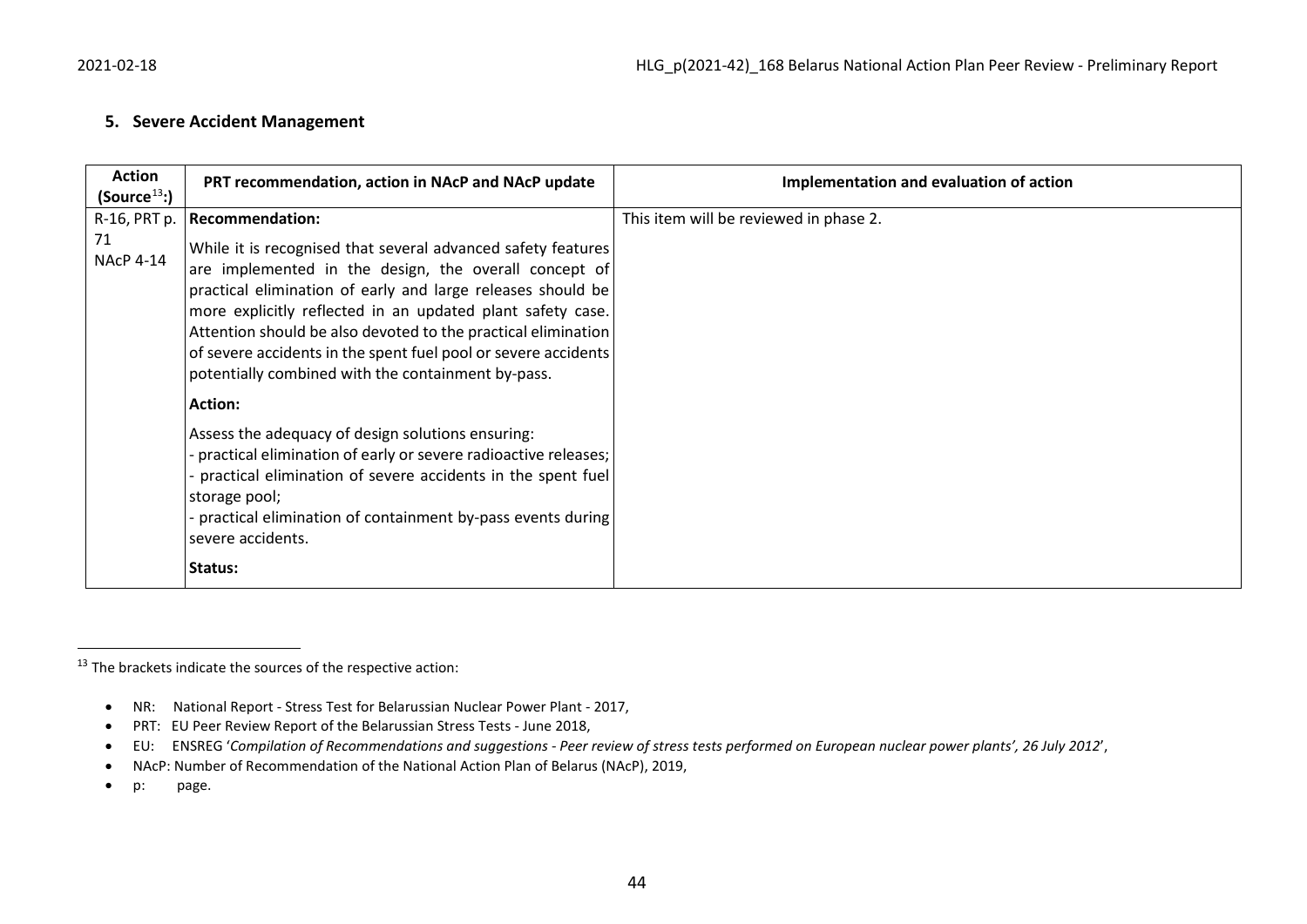#### <span id="page-43-0"></span>**5. Severe Accident Management**

| <b>Action</b><br>(Source <sup>13</sup> ) | PRT recommendation, action in NAcP and NAcP update                                                                                                                                                                                                                                                                                                                                                                                                                                                                                                                                                                                                                                                                                                                                           | Implementation and evaluation of action |
|------------------------------------------|----------------------------------------------------------------------------------------------------------------------------------------------------------------------------------------------------------------------------------------------------------------------------------------------------------------------------------------------------------------------------------------------------------------------------------------------------------------------------------------------------------------------------------------------------------------------------------------------------------------------------------------------------------------------------------------------------------------------------------------------------------------------------------------------|-----------------------------------------|
| R-16, PRT p.<br>71<br><b>NAcP 4-14</b>   | <b>Recommendation:</b><br>While it is recognised that several advanced safety features<br>are implemented in the design, the overall concept of<br>practical elimination of early and large releases should be<br>more explicitly reflected in an updated plant safety case.<br>Attention should be also devoted to the practical elimination<br>of severe accidents in the spent fuel pool or severe accidents<br>potentially combined with the containment by-pass.<br><b>Action:</b><br>Assess the adequacy of design solutions ensuring:<br>practical elimination of early or severe radioactive releases;<br>practical elimination of severe accidents in the spent fuel<br>storage pool;<br>practical elimination of containment by-pass events during<br>severe accidents.<br>Status: | This item will be reviewed in phase 2.  |

 $13$  The brackets indicate the sources of the respective action:

<sup>•</sup> NR: National Report - Stress Test for Belarussian Nuclear Power Plant - 2017,

<sup>•</sup> PRT: EU Peer Review Report of the Belarussian Stress Tests - June 2018,

<sup>•</sup> EU: ENSREG '*Compilation of Recommendations and suggestions - Peer review of stress tests performed on European nuclear power plants', 26 July 2012*',

<sup>•</sup> NAcP: Number of Recommendation of the National Action Plan of Belarus (NAcP), 2019,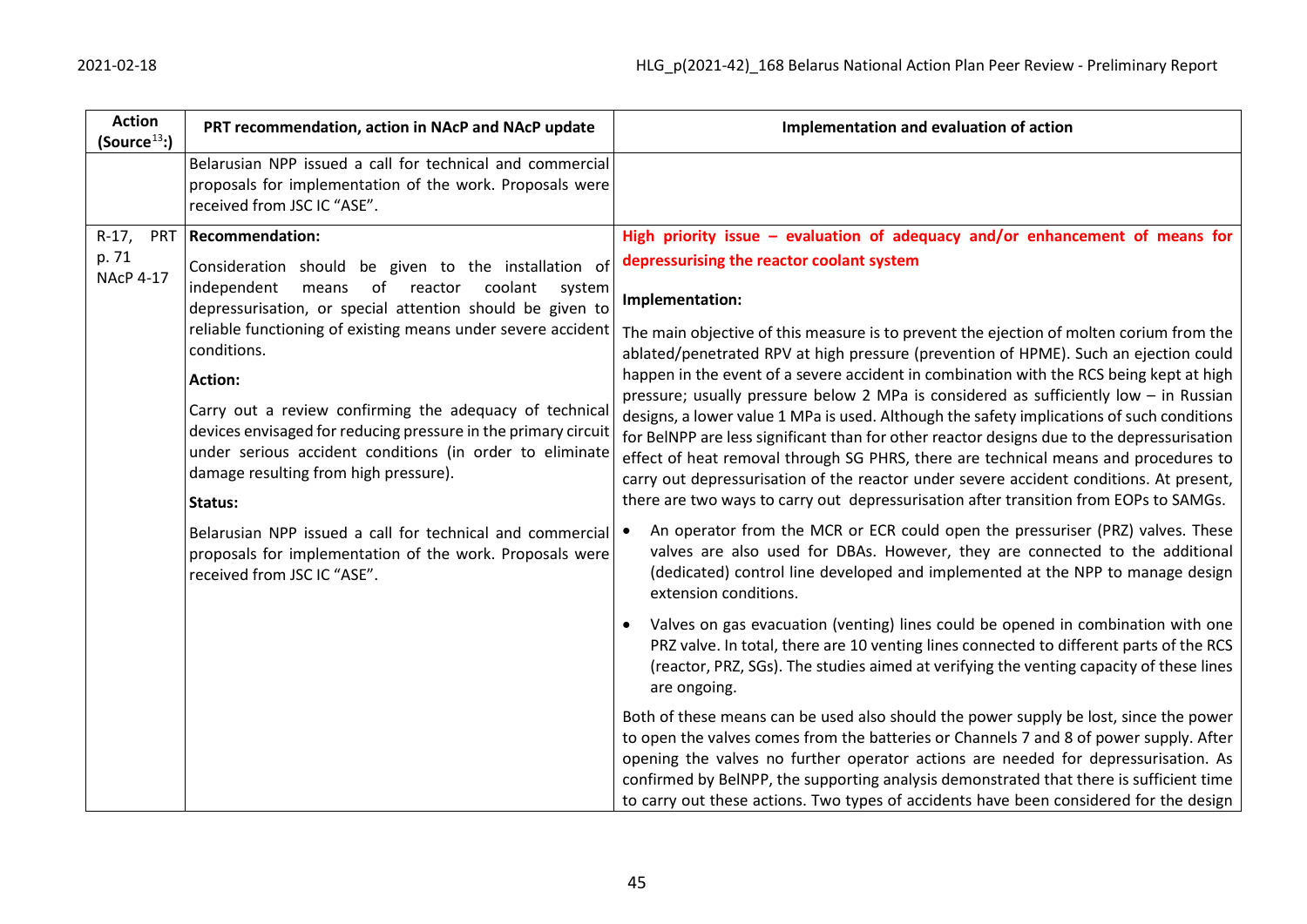| <b>Action</b><br>PRT recommendation, action in NAcP and NAcP update<br>(Source <sup>13</sup> )                                                                                                                                                                                                                                                                                                                                                                                                                                                                                                                                                                                                                                                                      | Implementation and evaluation of action                                                                                                                                                                                                                                                                                                                                                                                                                                                                                                                                                                                                                                                                                                                                                                                                                                                                                                                                                                                                                                                                                                                                                                                                                                                                                                                                                                                                                                                                                                                                                                                                                                                                                                                                                                                                                                                                                                                                                                                            |
|---------------------------------------------------------------------------------------------------------------------------------------------------------------------------------------------------------------------------------------------------------------------------------------------------------------------------------------------------------------------------------------------------------------------------------------------------------------------------------------------------------------------------------------------------------------------------------------------------------------------------------------------------------------------------------------------------------------------------------------------------------------------|------------------------------------------------------------------------------------------------------------------------------------------------------------------------------------------------------------------------------------------------------------------------------------------------------------------------------------------------------------------------------------------------------------------------------------------------------------------------------------------------------------------------------------------------------------------------------------------------------------------------------------------------------------------------------------------------------------------------------------------------------------------------------------------------------------------------------------------------------------------------------------------------------------------------------------------------------------------------------------------------------------------------------------------------------------------------------------------------------------------------------------------------------------------------------------------------------------------------------------------------------------------------------------------------------------------------------------------------------------------------------------------------------------------------------------------------------------------------------------------------------------------------------------------------------------------------------------------------------------------------------------------------------------------------------------------------------------------------------------------------------------------------------------------------------------------------------------------------------------------------------------------------------------------------------------------------------------------------------------------------------------------------------------|
| Belarusian NPP issued a call for technical and commercial<br>proposals for implementation of the work. Proposals were<br>received from JSC IC "ASE".                                                                                                                                                                                                                                                                                                                                                                                                                                                                                                                                                                                                                |                                                                                                                                                                                                                                                                                                                                                                                                                                                                                                                                                                                                                                                                                                                                                                                                                                                                                                                                                                                                                                                                                                                                                                                                                                                                                                                                                                                                                                                                                                                                                                                                                                                                                                                                                                                                                                                                                                                                                                                                                                    |
| <b>Recommendation:</b><br><b>PRT</b><br>$R-17$ ,<br>p. 71<br>Consideration should be given to the installation of<br><b>NAcP 4-17</b><br>of reactor<br>independent<br>means<br>coolant<br>system<br>depressurisation, or special attention should be given to<br>reliable functioning of existing means under severe accident<br>conditions.<br><b>Action:</b><br>Carry out a review confirming the adequacy of technical<br>devices envisaged for reducing pressure in the primary circuit<br>under serious accident conditions (in order to eliminate<br>damage resulting from high pressure).<br>Status:<br>Belarusian NPP issued a call for technical and commercial<br>proposals for implementation of the work. Proposals were<br>received from JSC IC "ASE". | High priority issue $-$ evaluation of adequacy and/or enhancement of means for<br>depressurising the reactor coolant system<br>Implementation:<br>The main objective of this measure is to prevent the ejection of molten corium from the<br>ablated/penetrated RPV at high pressure (prevention of HPME). Such an ejection could<br>happen in the event of a severe accident in combination with the RCS being kept at high<br>pressure; usually pressure below 2 MPa is considered as sufficiently low $-$ in Russian<br>designs, a lower value 1 MPa is used. Although the safety implications of such conditions<br>for BelNPP are less significant than for other reactor designs due to the depressurisation<br>effect of heat removal through SG PHRS, there are technical means and procedures to<br>carry out depressurisation of the reactor under severe accident conditions. At present,<br>there are two ways to carry out depressurisation after transition from EOPs to SAMGs.<br>An operator from the MCR or ECR could open the pressuriser (PRZ) valves. These<br>valves are also used for DBAs. However, they are connected to the additional<br>(dedicated) control line developed and implemented at the NPP to manage design<br>extension conditions.<br>Valves on gas evacuation (venting) lines could be opened in combination with one<br>PRZ valve. In total, there are 10 venting lines connected to different parts of the RCS<br>(reactor, PRZ, SGs). The studies aimed at verifying the venting capacity of these lines<br>are ongoing.<br>Both of these means can be used also should the power supply be lost, since the power<br>to open the valves comes from the batteries or Channels 7 and 8 of power supply. After<br>opening the valves no further operator actions are needed for depressurisation. As<br>confirmed by BelNPP, the supporting analysis demonstrated that there is sufficient time<br>to carry out these actions. Two types of accidents have been considered for the design |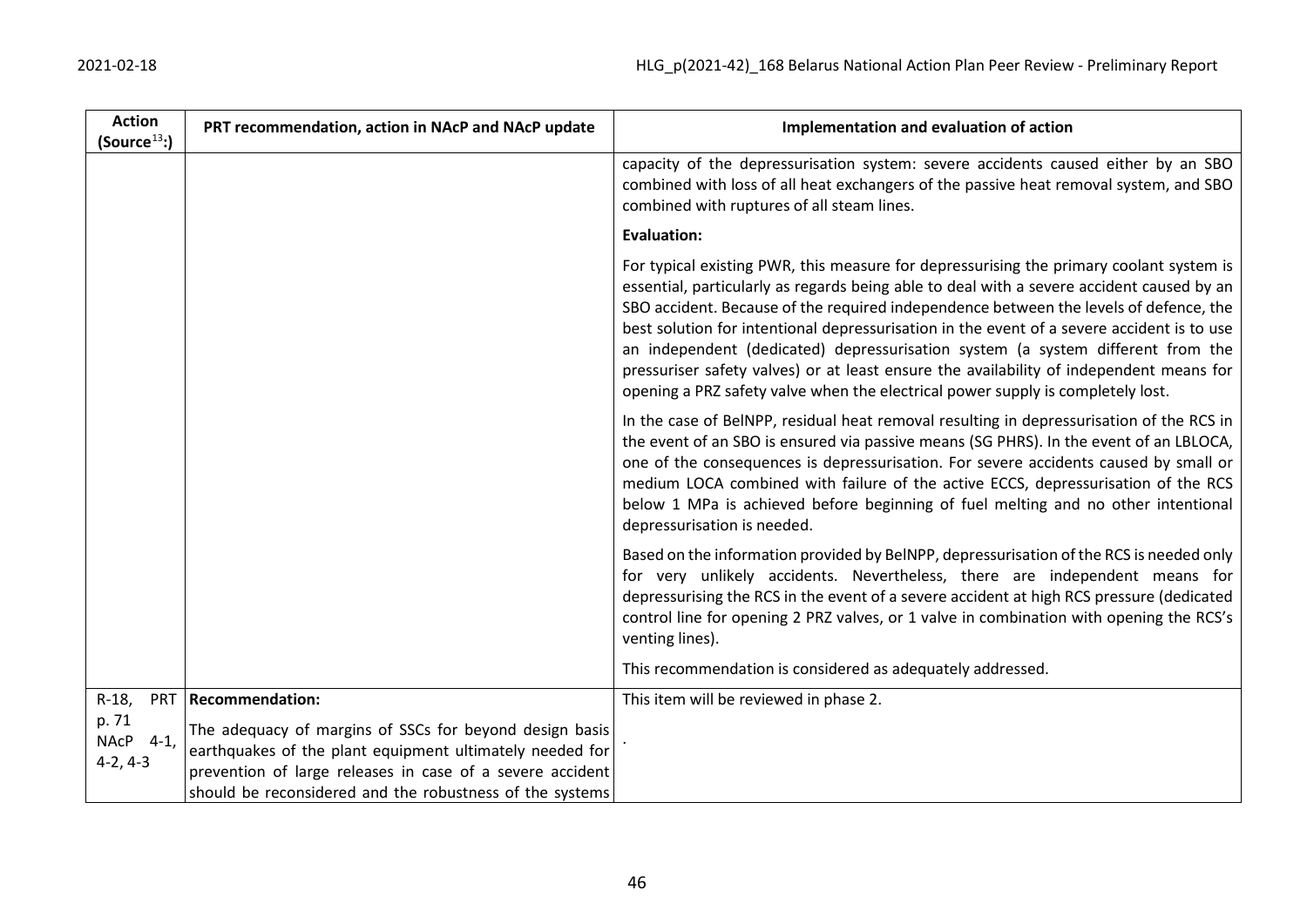| <b>Action</b><br>(Source <sup>13</sup> ) | PRT recommendation, action in NAcP and NAcP update                                                                                                                               | Implementation and evaluation of action                                                                                                                                                                                                                                                                                                                                                                                                                                                                                                                                                                                                      |
|------------------------------------------|----------------------------------------------------------------------------------------------------------------------------------------------------------------------------------|----------------------------------------------------------------------------------------------------------------------------------------------------------------------------------------------------------------------------------------------------------------------------------------------------------------------------------------------------------------------------------------------------------------------------------------------------------------------------------------------------------------------------------------------------------------------------------------------------------------------------------------------|
|                                          |                                                                                                                                                                                  | capacity of the depressurisation system: severe accidents caused either by an SBO<br>combined with loss of all heat exchangers of the passive heat removal system, and SBO<br>combined with ruptures of all steam lines.                                                                                                                                                                                                                                                                                                                                                                                                                     |
|                                          |                                                                                                                                                                                  | <b>Evaluation:</b>                                                                                                                                                                                                                                                                                                                                                                                                                                                                                                                                                                                                                           |
|                                          |                                                                                                                                                                                  | For typical existing PWR, this measure for depressurising the primary coolant system is<br>essential, particularly as regards being able to deal with a severe accident caused by an<br>SBO accident. Because of the required independence between the levels of defence, the<br>best solution for intentional depressurisation in the event of a severe accident is to use<br>an independent (dedicated) depressurisation system (a system different from the<br>pressuriser safety valves) or at least ensure the availability of independent means for<br>opening a PRZ safety valve when the electrical power supply is completely lost. |
|                                          |                                                                                                                                                                                  | In the case of BelNPP, residual heat removal resulting in depressurisation of the RCS in<br>the event of an SBO is ensured via passive means (SG PHRS). In the event of an LBLOCA,<br>one of the consequences is depressurisation. For severe accidents caused by small or<br>medium LOCA combined with failure of the active ECCS, depressurisation of the RCS<br>below 1 MPa is achieved before beginning of fuel melting and no other intentional<br>depressurisation is needed.                                                                                                                                                          |
|                                          |                                                                                                                                                                                  | Based on the information provided by BelNPP, depressurisation of the RCS is needed only<br>for very unlikely accidents. Nevertheless, there are independent means for<br>depressurising the RCS in the event of a severe accident at high RCS pressure (dedicated<br>control line for opening 2 PRZ valves, or 1 valve in combination with opening the RCS's<br>venting lines).                                                                                                                                                                                                                                                              |
|                                          |                                                                                                                                                                                  | This recommendation is considered as adequately addressed.                                                                                                                                                                                                                                                                                                                                                                                                                                                                                                                                                                                   |
| $R-18$ ,<br><b>PRT</b><br>p. 71          | <b>Recommendation:</b>                                                                                                                                                           | This item will be reviewed in phase 2.                                                                                                                                                                                                                                                                                                                                                                                                                                                                                                                                                                                                       |
| NAcP 4-1,<br>$4-2, 4-3$                  | The adequacy of margins of SSCs for beyond design basis<br>earthquakes of the plant equipment ultimately needed for<br>prevention of large releases in case of a severe accident |                                                                                                                                                                                                                                                                                                                                                                                                                                                                                                                                                                                                                                              |
|                                          | should be reconsidered and the robustness of the systems                                                                                                                         |                                                                                                                                                                                                                                                                                                                                                                                                                                                                                                                                                                                                                                              |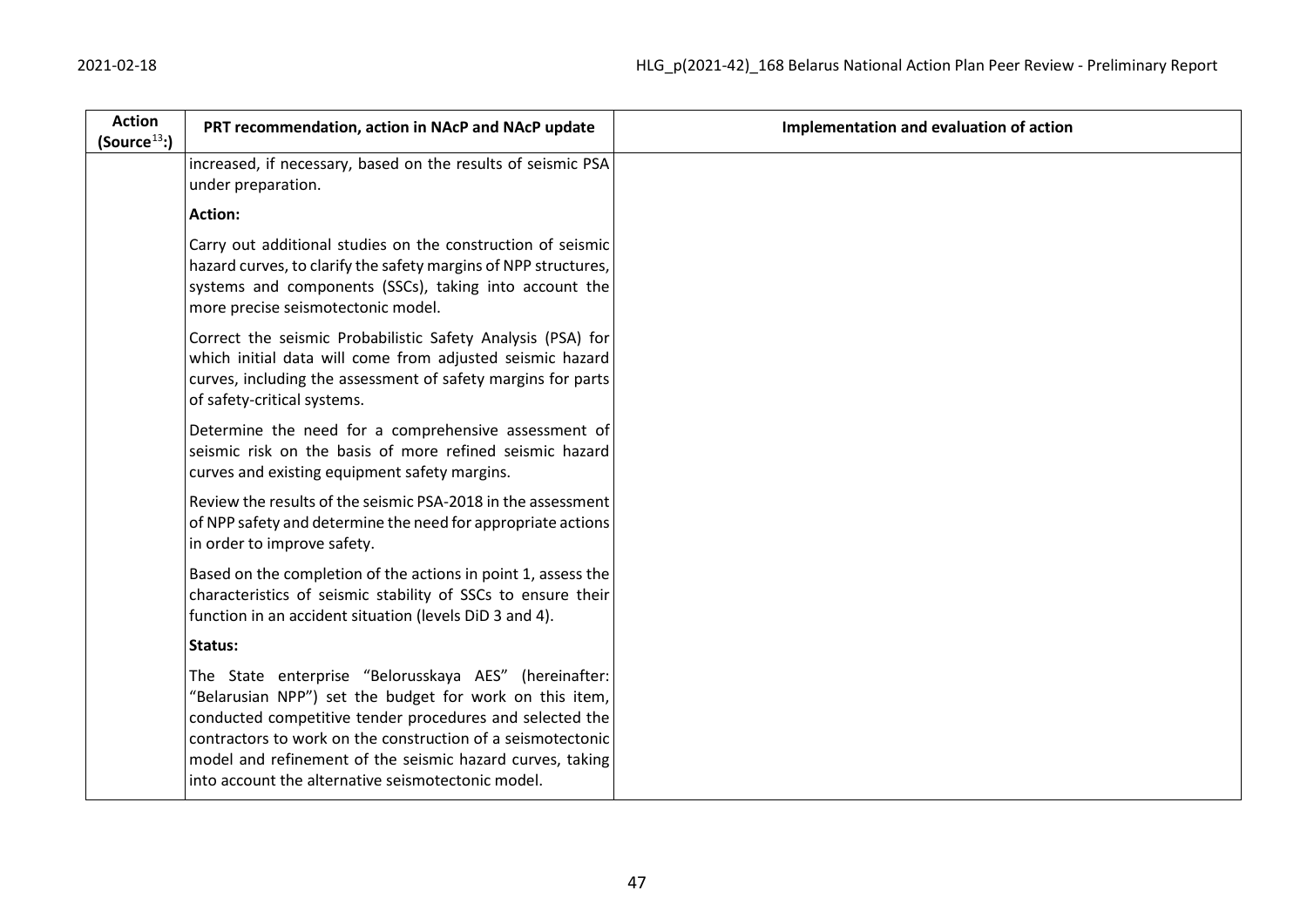| <b>Action</b><br>(Source <sup>13</sup> ) | PRT recommendation, action in NAcP and NAcP update                                                                                                                                                                                                                                                                                                             | Implementation and evaluation of action |
|------------------------------------------|----------------------------------------------------------------------------------------------------------------------------------------------------------------------------------------------------------------------------------------------------------------------------------------------------------------------------------------------------------------|-----------------------------------------|
|                                          | increased, if necessary, based on the results of seismic PSA<br>under preparation.                                                                                                                                                                                                                                                                             |                                         |
|                                          | <b>Action:</b>                                                                                                                                                                                                                                                                                                                                                 |                                         |
|                                          | Carry out additional studies on the construction of seismic<br>hazard curves, to clarify the safety margins of NPP structures,<br>systems and components (SSCs), taking into account the<br>more precise seismotectonic model.                                                                                                                                 |                                         |
|                                          | Correct the seismic Probabilistic Safety Analysis (PSA) for<br>which initial data will come from adjusted seismic hazard<br>curves, including the assessment of safety margins for parts<br>of safety-critical systems.                                                                                                                                        |                                         |
|                                          | Determine the need for a comprehensive assessment of<br>seismic risk on the basis of more refined seismic hazard<br>curves and existing equipment safety margins.                                                                                                                                                                                              |                                         |
|                                          | Review the results of the seismic PSA-2018 in the assessment<br>of NPP safety and determine the need for appropriate actions<br>in order to improve safety.                                                                                                                                                                                                    |                                         |
|                                          | Based on the completion of the actions in point 1, assess the<br>characteristics of seismic stability of SSCs to ensure their<br>function in an accident situation (levels DiD 3 and 4).                                                                                                                                                                       |                                         |
|                                          | Status:                                                                                                                                                                                                                                                                                                                                                        |                                         |
|                                          | The State enterprise "Belorusskaya AES" (hereinafter:<br>"Belarusian NPP") set the budget for work on this item,<br>conducted competitive tender procedures and selected the<br>contractors to work on the construction of a seismotectonic<br>model and refinement of the seismic hazard curves, taking<br>into account the alternative seismotectonic model. |                                         |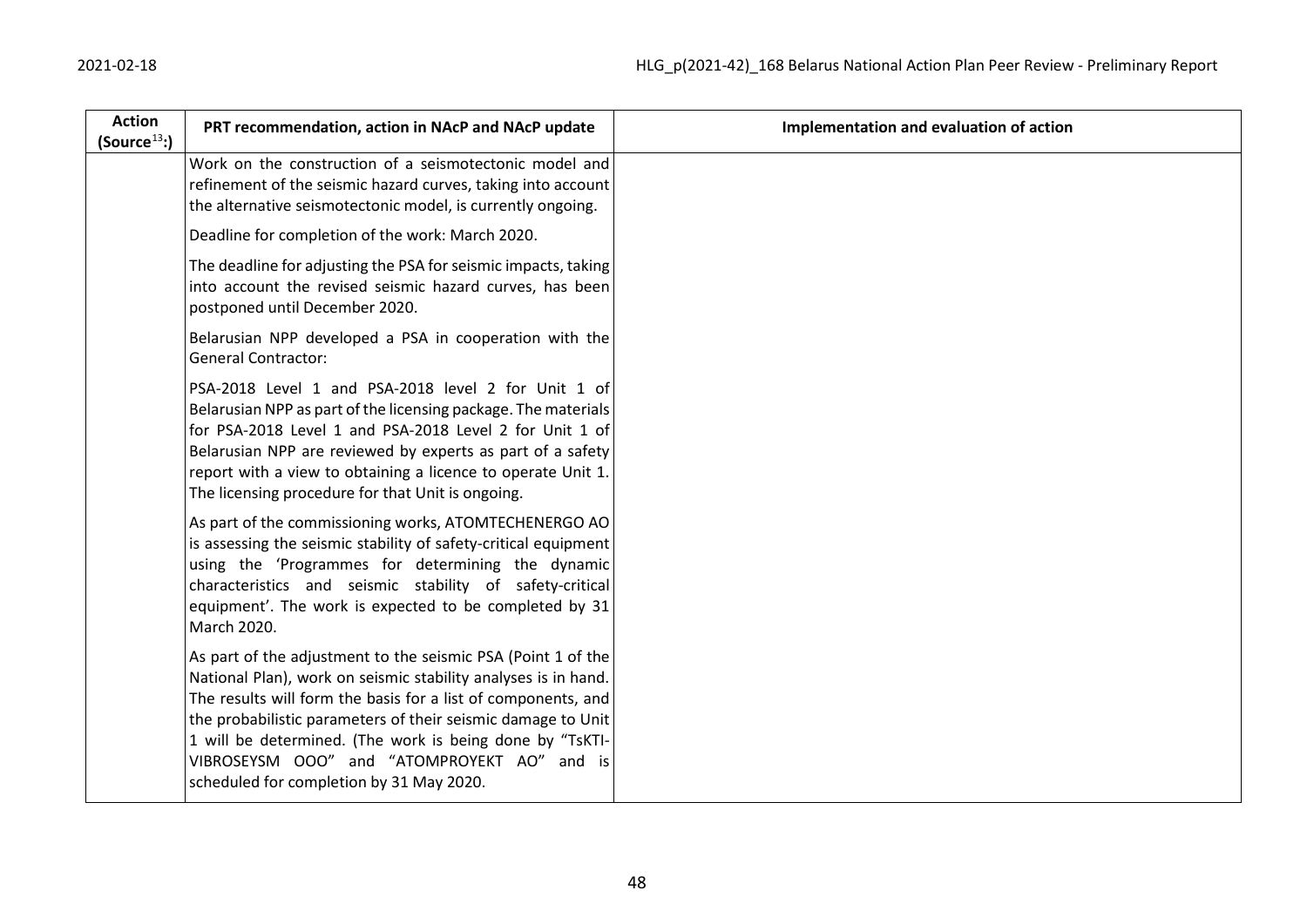| <b>Action</b><br>(Source <sup>13</sup> ) | PRT recommendation, action in NAcP and NAcP update                                                                                                                                                                                                                                                                                                                                                                     | Implementation and evaluation of action |
|------------------------------------------|------------------------------------------------------------------------------------------------------------------------------------------------------------------------------------------------------------------------------------------------------------------------------------------------------------------------------------------------------------------------------------------------------------------------|-----------------------------------------|
|                                          | Work on the construction of a seismotectonic model and<br>refinement of the seismic hazard curves, taking into account<br>the alternative seismotectonic model, is currently ongoing.                                                                                                                                                                                                                                  |                                         |
|                                          | Deadline for completion of the work: March 2020.                                                                                                                                                                                                                                                                                                                                                                       |                                         |
|                                          | The deadline for adjusting the PSA for seismic impacts, taking<br>into account the revised seismic hazard curves, has been<br>postponed until December 2020.                                                                                                                                                                                                                                                           |                                         |
|                                          | Belarusian NPP developed a PSA in cooperation with the<br><b>General Contractor:</b>                                                                                                                                                                                                                                                                                                                                   |                                         |
|                                          | PSA-2018 Level 1 and PSA-2018 level 2 for Unit 1 of<br>Belarusian NPP as part of the licensing package. The materials<br>for PSA-2018 Level 1 and PSA-2018 Level 2 for Unit 1 of<br>Belarusian NPP are reviewed by experts as part of a safety<br>report with a view to obtaining a licence to operate Unit 1.<br>The licensing procedure for that Unit is ongoing.                                                    |                                         |
|                                          | As part of the commissioning works, ATOMTECHENERGO AO<br>is assessing the seismic stability of safety-critical equipment<br>using the 'Programmes for determining the dynamic<br>characteristics and seismic stability of safety-critical<br>equipment'. The work is expected to be completed by 31<br>March 2020.                                                                                                     |                                         |
|                                          | As part of the adjustment to the seismic PSA (Point 1 of the<br>National Plan), work on seismic stability analyses is in hand.<br>The results will form the basis for a list of components, and<br>the probabilistic parameters of their seismic damage to Unit<br>1 will be determined. (The work is being done by "TsKTI-<br>VIBROSEYSM OOO" and "ATOMPROYEKT AO" and is<br>scheduled for completion by 31 May 2020. |                                         |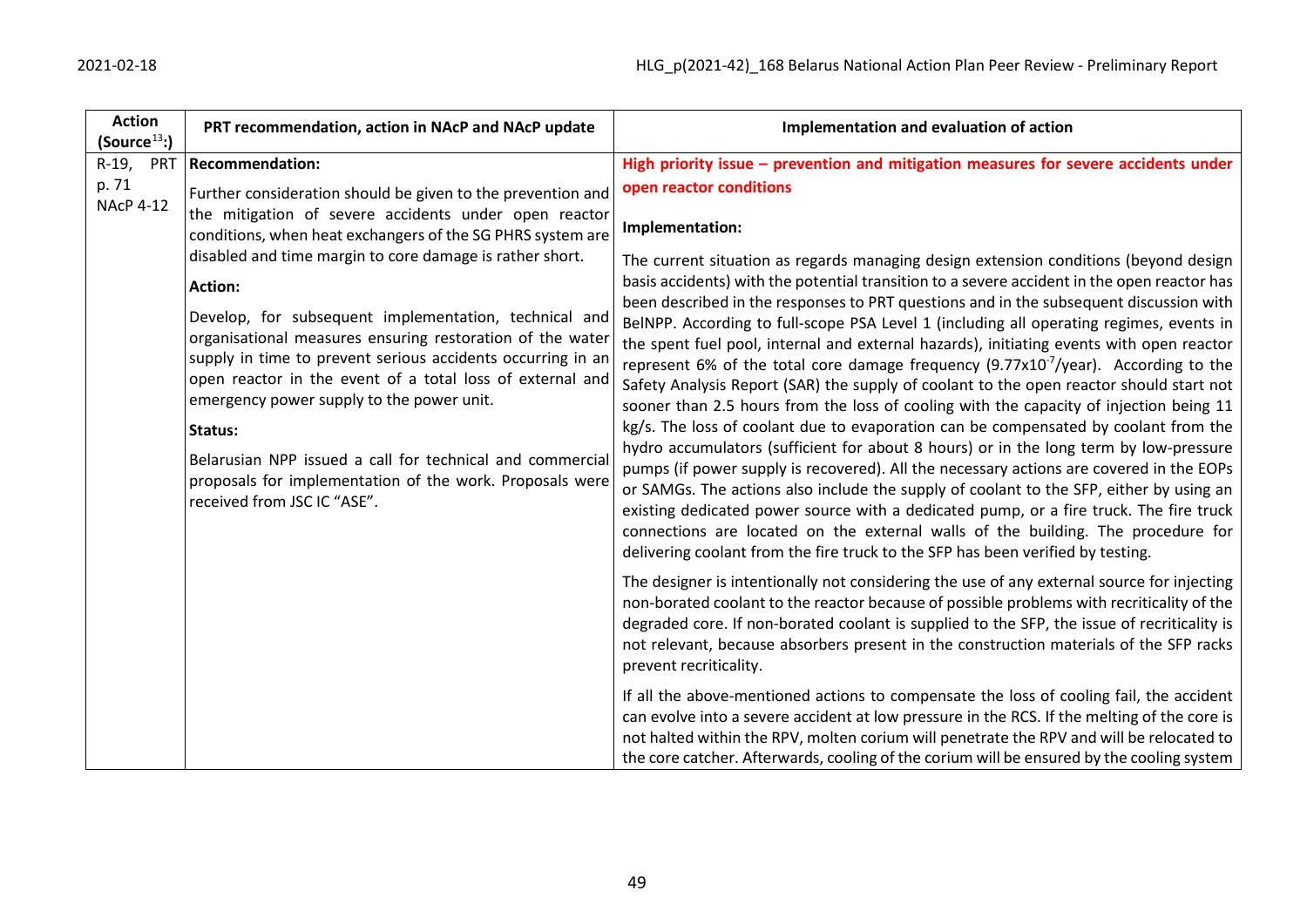| <b>Action</b><br>(Source <sup>13</sup> ) | PRT recommendation, action in NAcP and NAcP update                                                                                                                                                                                                                                                                                                                                                                                                                                                                                                                                                                                                                  | Implementation and evaluation of action                                                                                                                                                                                                                                                                                                                                                                                                                                                                                                                                                                                                                                                                                                                                                                                                                                                                                                                                                                                                                                                                                                                                                                                                                                                                                            |
|------------------------------------------|---------------------------------------------------------------------------------------------------------------------------------------------------------------------------------------------------------------------------------------------------------------------------------------------------------------------------------------------------------------------------------------------------------------------------------------------------------------------------------------------------------------------------------------------------------------------------------------------------------------------------------------------------------------------|------------------------------------------------------------------------------------------------------------------------------------------------------------------------------------------------------------------------------------------------------------------------------------------------------------------------------------------------------------------------------------------------------------------------------------------------------------------------------------------------------------------------------------------------------------------------------------------------------------------------------------------------------------------------------------------------------------------------------------------------------------------------------------------------------------------------------------------------------------------------------------------------------------------------------------------------------------------------------------------------------------------------------------------------------------------------------------------------------------------------------------------------------------------------------------------------------------------------------------------------------------------------------------------------------------------------------------|
| R-19,<br>PRT                             | <b>Recommendation:</b>                                                                                                                                                                                                                                                                                                                                                                                                                                                                                                                                                                                                                                              | High priority issue $-$ prevention and mitigation measures for severe accidents under                                                                                                                                                                                                                                                                                                                                                                                                                                                                                                                                                                                                                                                                                                                                                                                                                                                                                                                                                                                                                                                                                                                                                                                                                                              |
| p. 71                                    | Further consideration should be given to the prevention and                                                                                                                                                                                                                                                                                                                                                                                                                                                                                                                                                                                                         | open reactor conditions                                                                                                                                                                                                                                                                                                                                                                                                                                                                                                                                                                                                                                                                                                                                                                                                                                                                                                                                                                                                                                                                                                                                                                                                                                                                                                            |
| <b>NAcP 4-12</b>                         | the mitigation of severe accidents under open reactor<br>conditions, when heat exchangers of the SG PHRS system are<br>disabled and time margin to core damage is rather short.<br><b>Action:</b><br>Develop, for subsequent implementation, technical and<br>organisational measures ensuring restoration of the water<br>supply in time to prevent serious accidents occurring in an<br>open reactor in the event of a total loss of external and<br>emergency power supply to the power unit.<br>Status:<br>Belarusian NPP issued a call for technical and commercial<br>proposals for implementation of the work. Proposals were<br>received from JSC IC "ASE". | Implementation:<br>The current situation as regards managing design extension conditions (beyond design<br>basis accidents) with the potential transition to a severe accident in the open reactor has<br>been described in the responses to PRT questions and in the subsequent discussion with<br>BelNPP. According to full-scope PSA Level 1 (including all operating regimes, events in<br>the spent fuel pool, internal and external hazards), initiating events with open reactor<br>represent 6% of the total core damage frequency $(9.77 \times 10^{-7})$ ear). According to the<br>Safety Analysis Report (SAR) the supply of coolant to the open reactor should start not<br>sooner than 2.5 hours from the loss of cooling with the capacity of injection being 11<br>kg/s. The loss of coolant due to evaporation can be compensated by coolant from the<br>hydro accumulators (sufficient for about 8 hours) or in the long term by low-pressure<br>pumps (if power supply is recovered). All the necessary actions are covered in the EOPs<br>or SAMGs. The actions also include the supply of coolant to the SFP, either by using an<br>existing dedicated power source with a dedicated pump, or a fire truck. The fire truck<br>connections are located on the external walls of the building. The procedure for |
|                                          |                                                                                                                                                                                                                                                                                                                                                                                                                                                                                                                                                                                                                                                                     | delivering coolant from the fire truck to the SFP has been verified by testing.                                                                                                                                                                                                                                                                                                                                                                                                                                                                                                                                                                                                                                                                                                                                                                                                                                                                                                                                                                                                                                                                                                                                                                                                                                                    |
|                                          |                                                                                                                                                                                                                                                                                                                                                                                                                                                                                                                                                                                                                                                                     | The designer is intentionally not considering the use of any external source for injecting<br>non-borated coolant to the reactor because of possible problems with recriticality of the<br>degraded core. If non-borated coolant is supplied to the SFP, the issue of recriticality is<br>not relevant, because absorbers present in the construction materials of the SFP racks<br>prevent recriticality.                                                                                                                                                                                                                                                                                                                                                                                                                                                                                                                                                                                                                                                                                                                                                                                                                                                                                                                         |
|                                          |                                                                                                                                                                                                                                                                                                                                                                                                                                                                                                                                                                                                                                                                     | If all the above-mentioned actions to compensate the loss of cooling fail, the accident<br>can evolve into a severe accident at low pressure in the RCS. If the melting of the core is<br>not halted within the RPV, molten corium will penetrate the RPV and will be relocated to<br>the core catcher. Afterwards, cooling of the corium will be ensured by the cooling system                                                                                                                                                                                                                                                                                                                                                                                                                                                                                                                                                                                                                                                                                                                                                                                                                                                                                                                                                    |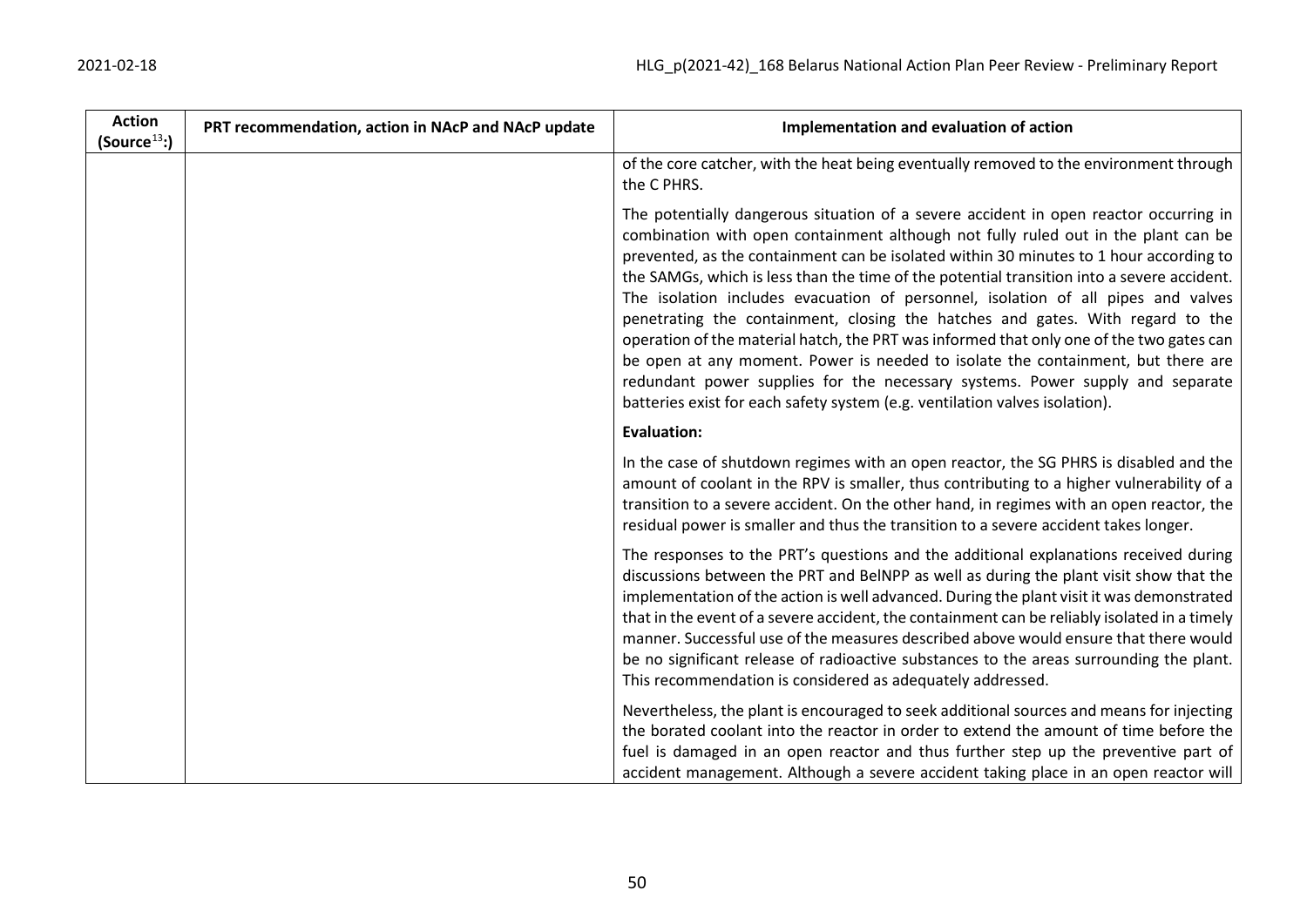| <b>Action</b><br>(Source $^{13}$ :) | PRT recommendation, action in NAcP and NAcP update | Implementation and evaluation of action                                                                                                                                                                                                                                                                                                                                                                                                                                                                                                                                                                                                                                                                                                                                                                                                                                                    |
|-------------------------------------|----------------------------------------------------|--------------------------------------------------------------------------------------------------------------------------------------------------------------------------------------------------------------------------------------------------------------------------------------------------------------------------------------------------------------------------------------------------------------------------------------------------------------------------------------------------------------------------------------------------------------------------------------------------------------------------------------------------------------------------------------------------------------------------------------------------------------------------------------------------------------------------------------------------------------------------------------------|
|                                     |                                                    | of the core catcher, with the heat being eventually removed to the environment through<br>the C PHRS.                                                                                                                                                                                                                                                                                                                                                                                                                                                                                                                                                                                                                                                                                                                                                                                      |
|                                     |                                                    | The potentially dangerous situation of a severe accident in open reactor occurring in<br>combination with open containment although not fully ruled out in the plant can be<br>prevented, as the containment can be isolated within 30 minutes to 1 hour according to<br>the SAMGs, which is less than the time of the potential transition into a severe accident.<br>The isolation includes evacuation of personnel, isolation of all pipes and valves<br>penetrating the containment, closing the hatches and gates. With regard to the<br>operation of the material hatch, the PRT was informed that only one of the two gates can<br>be open at any moment. Power is needed to isolate the containment, but there are<br>redundant power supplies for the necessary systems. Power supply and separate<br>batteries exist for each safety system (e.g. ventilation valves isolation). |
|                                     |                                                    | <b>Evaluation:</b>                                                                                                                                                                                                                                                                                                                                                                                                                                                                                                                                                                                                                                                                                                                                                                                                                                                                         |
|                                     |                                                    | In the case of shutdown regimes with an open reactor, the SG PHRS is disabled and the<br>amount of coolant in the RPV is smaller, thus contributing to a higher vulnerability of a<br>transition to a severe accident. On the other hand, in regimes with an open reactor, the<br>residual power is smaller and thus the transition to a severe accident takes longer.                                                                                                                                                                                                                                                                                                                                                                                                                                                                                                                     |
|                                     |                                                    | The responses to the PRT's questions and the additional explanations received during<br>discussions between the PRT and BelNPP as well as during the plant visit show that the<br>implementation of the action is well advanced. During the plant visit it was demonstrated<br>that in the event of a severe accident, the containment can be reliably isolated in a timely<br>manner. Successful use of the measures described above would ensure that there would<br>be no significant release of radioactive substances to the areas surrounding the plant.<br>This recommendation is considered as adequately addressed.                                                                                                                                                                                                                                                               |
|                                     |                                                    | Nevertheless, the plant is encouraged to seek additional sources and means for injecting<br>the borated coolant into the reactor in order to extend the amount of time before the<br>fuel is damaged in an open reactor and thus further step up the preventive part of<br>accident management. Although a severe accident taking place in an open reactor will                                                                                                                                                                                                                                                                                                                                                                                                                                                                                                                            |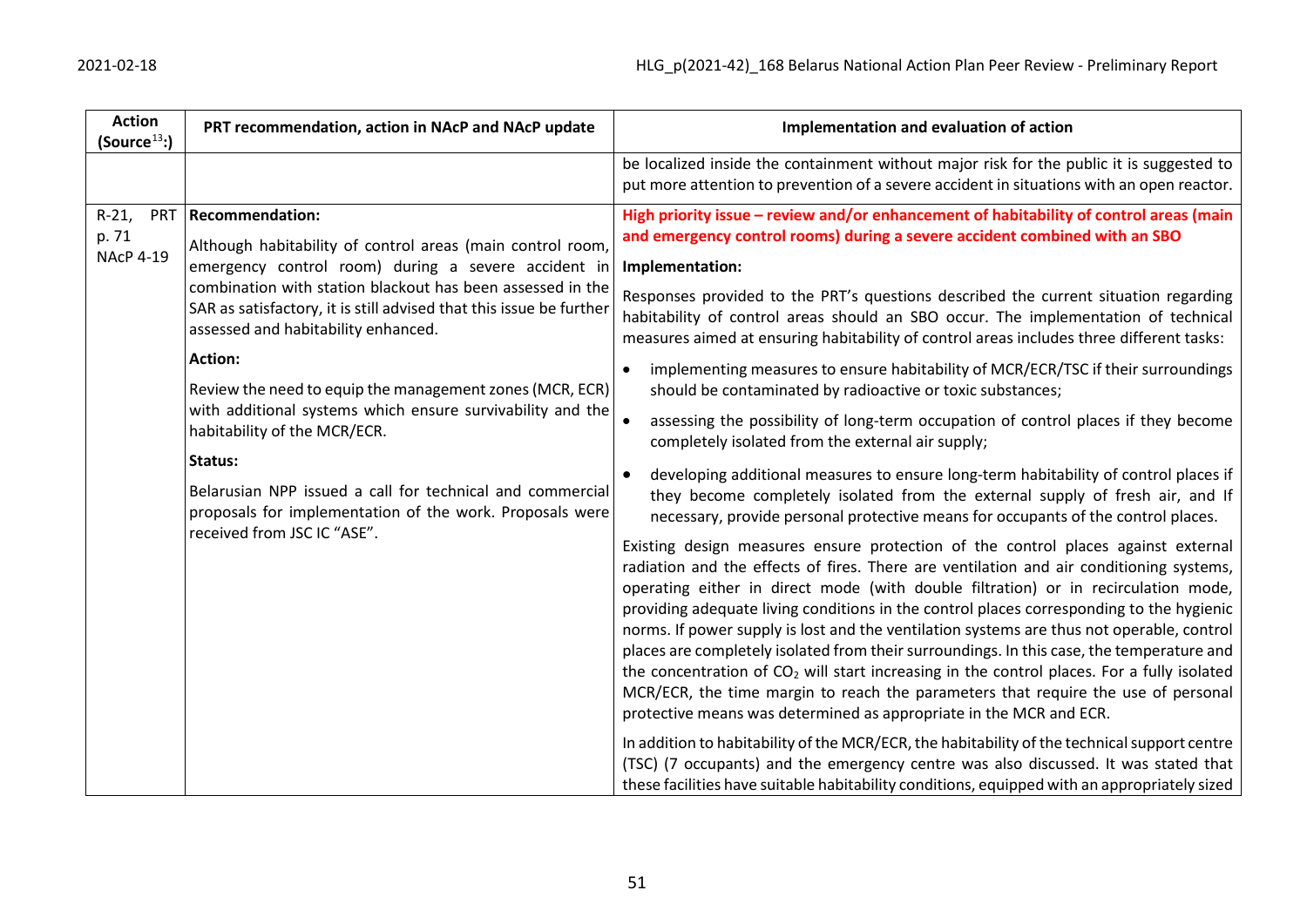| <b>Action</b><br>(Source <sup>13</sup> ) | PRT recommendation, action in NAcP and NAcP update                                                                                                                                                                                                                                                                                                                                                                                                                                                                                                                                                                                                                    | Implementation and evaluation of action                                                                                                                                                                                                                                                                                                                                                                                                                                                                                                                                                                                                                                                                                                                                                                                                                                                                                                                                                                                                                                                                                                                                                                                                                                                                                                                                                                                                                                                                                                                                                                                                                                                                                                                                                                                                                                                                                                                                                                                                                                                                                                              |
|------------------------------------------|-----------------------------------------------------------------------------------------------------------------------------------------------------------------------------------------------------------------------------------------------------------------------------------------------------------------------------------------------------------------------------------------------------------------------------------------------------------------------------------------------------------------------------------------------------------------------------------------------------------------------------------------------------------------------|------------------------------------------------------------------------------------------------------------------------------------------------------------------------------------------------------------------------------------------------------------------------------------------------------------------------------------------------------------------------------------------------------------------------------------------------------------------------------------------------------------------------------------------------------------------------------------------------------------------------------------------------------------------------------------------------------------------------------------------------------------------------------------------------------------------------------------------------------------------------------------------------------------------------------------------------------------------------------------------------------------------------------------------------------------------------------------------------------------------------------------------------------------------------------------------------------------------------------------------------------------------------------------------------------------------------------------------------------------------------------------------------------------------------------------------------------------------------------------------------------------------------------------------------------------------------------------------------------------------------------------------------------------------------------------------------------------------------------------------------------------------------------------------------------------------------------------------------------------------------------------------------------------------------------------------------------------------------------------------------------------------------------------------------------------------------------------------------------------------------------------------------------|
|                                          |                                                                                                                                                                                                                                                                                                                                                                                                                                                                                                                                                                                                                                                                       | be localized inside the containment without major risk for the public it is suggested to<br>put more attention to prevention of a severe accident in situations with an open reactor.                                                                                                                                                                                                                                                                                                                                                                                                                                                                                                                                                                                                                                                                                                                                                                                                                                                                                                                                                                                                                                                                                                                                                                                                                                                                                                                                                                                                                                                                                                                                                                                                                                                                                                                                                                                                                                                                                                                                                                |
| $R-21$ ,<br>p. 71<br><b>NAcP 4-19</b>    | PRT   Recommendation:<br>Although habitability of control areas (main control room,<br>emergency control room) during a severe accident in<br>combination with station blackout has been assessed in the<br>SAR as satisfactory, it is still advised that this issue be further<br>assessed and habitability enhanced.<br><b>Action:</b><br>Review the need to equip the management zones (MCR, ECR)<br>with additional systems which ensure survivability and the<br>habitability of the MCR/ECR.<br>Status:<br>Belarusian NPP issued a call for technical and commercial<br>proposals for implementation of the work. Proposals were<br>received from JSC IC "ASE". | High priority issue - review and/or enhancement of habitability of control areas (main<br>and emergency control rooms) during a severe accident combined with an SBO<br>Implementation:<br>Responses provided to the PRT's questions described the current situation regarding<br>habitability of control areas should an SBO occur. The implementation of technical<br>measures aimed at ensuring habitability of control areas includes three different tasks:<br>implementing measures to ensure habitability of MCR/ECR/TSC if their surroundings<br>should be contaminated by radioactive or toxic substances;<br>assessing the possibility of long-term occupation of control places if they become<br>completely isolated from the external air supply;<br>developing additional measures to ensure long-term habitability of control places if<br>they become completely isolated from the external supply of fresh air, and If<br>necessary, provide personal protective means for occupants of the control places.<br>Existing design measures ensure protection of the control places against external<br>radiation and the effects of fires. There are ventilation and air conditioning systems,<br>operating either in direct mode (with double filtration) or in recirculation mode,<br>providing adequate living conditions in the control places corresponding to the hygienic<br>norms. If power supply is lost and the ventilation systems are thus not operable, control<br>places are completely isolated from their surroundings. In this case, the temperature and<br>the concentration of CO <sub>2</sub> will start increasing in the control places. For a fully isolated<br>MCR/ECR, the time margin to reach the parameters that require the use of personal<br>protective means was determined as appropriate in the MCR and ECR.<br>In addition to habitability of the MCR/ECR, the habitability of the technical support centre<br>(TSC) (7 occupants) and the emergency centre was also discussed. It was stated that<br>these facilities have suitable habitability conditions, equipped with an appropriately sized |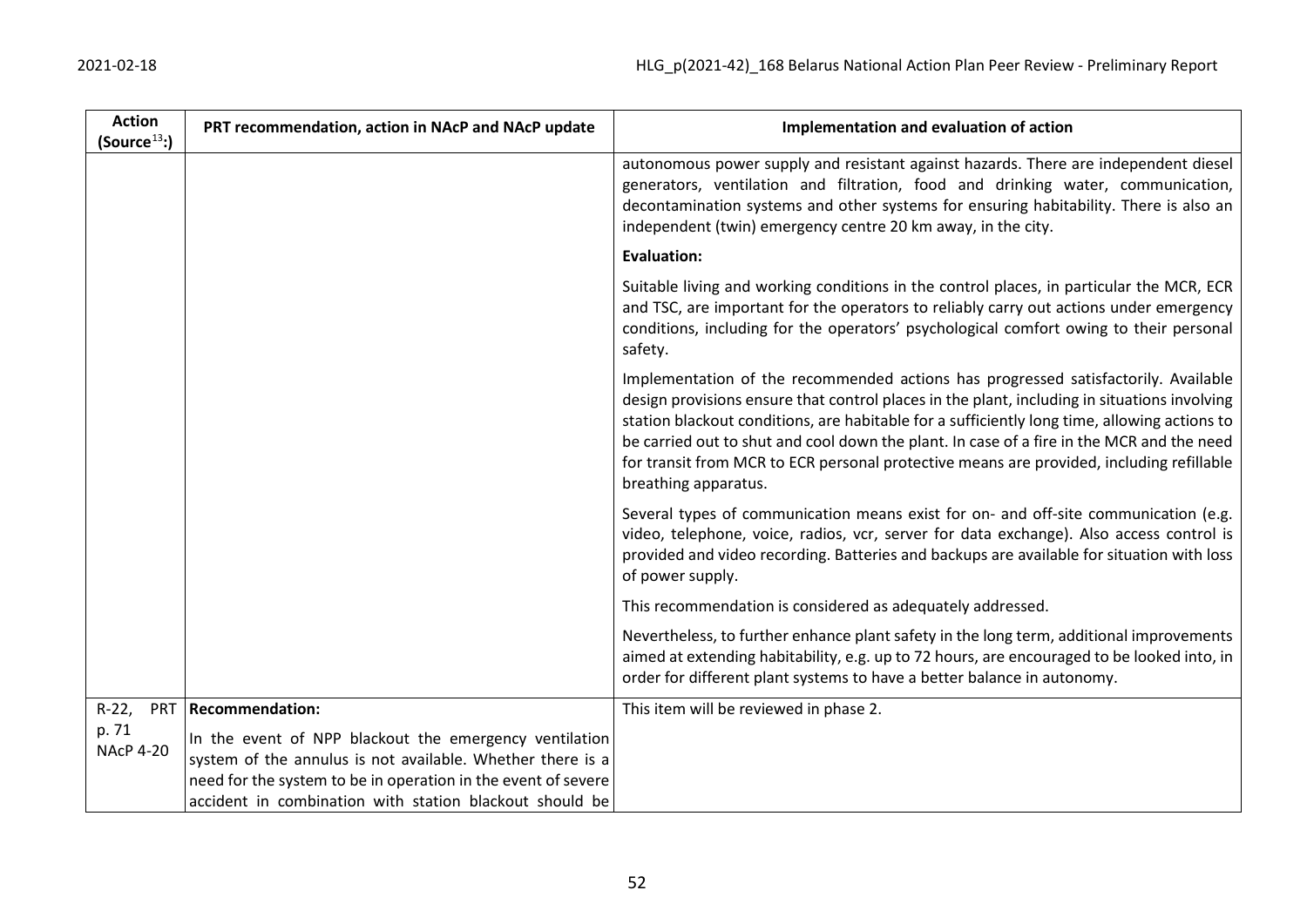| <b>Action</b><br>(Source <sup>13</sup> ) | PRT recommendation, action in NAcP and NAcP update                                                                                                                                                                                               | Implementation and evaluation of action                                                                                                                                                                                                                                                                                                                                                                                                                                                             |
|------------------------------------------|--------------------------------------------------------------------------------------------------------------------------------------------------------------------------------------------------------------------------------------------------|-----------------------------------------------------------------------------------------------------------------------------------------------------------------------------------------------------------------------------------------------------------------------------------------------------------------------------------------------------------------------------------------------------------------------------------------------------------------------------------------------------|
|                                          |                                                                                                                                                                                                                                                  | autonomous power supply and resistant against hazards. There are independent diesel<br>generators, ventilation and filtration, food and drinking water, communication,<br>decontamination systems and other systems for ensuring habitability. There is also an<br>independent (twin) emergency centre 20 km away, in the city.                                                                                                                                                                     |
|                                          |                                                                                                                                                                                                                                                  | <b>Evaluation:</b>                                                                                                                                                                                                                                                                                                                                                                                                                                                                                  |
|                                          |                                                                                                                                                                                                                                                  | Suitable living and working conditions in the control places, in particular the MCR, ECR<br>and TSC, are important for the operators to reliably carry out actions under emergency<br>conditions, including for the operators' psychological comfort owing to their personal<br>safety.                                                                                                                                                                                                             |
|                                          |                                                                                                                                                                                                                                                  | Implementation of the recommended actions has progressed satisfactorily. Available<br>design provisions ensure that control places in the plant, including in situations involving<br>station blackout conditions, are habitable for a sufficiently long time, allowing actions to<br>be carried out to shut and cool down the plant. In case of a fire in the MCR and the need<br>for transit from MCR to ECR personal protective means are provided, including refillable<br>breathing apparatus. |
|                                          |                                                                                                                                                                                                                                                  | Several types of communication means exist for on- and off-site communication (e.g.<br>video, telephone, voice, radios, vcr, server for data exchange). Also access control is<br>provided and video recording. Batteries and backups are available for situation with loss<br>of power supply.                                                                                                                                                                                                     |
|                                          |                                                                                                                                                                                                                                                  | This recommendation is considered as adequately addressed.                                                                                                                                                                                                                                                                                                                                                                                                                                          |
|                                          |                                                                                                                                                                                                                                                  | Nevertheless, to further enhance plant safety in the long term, additional improvements<br>aimed at extending habitability, e.g. up to 72 hours, are encouraged to be looked into, in<br>order for different plant systems to have a better balance in autonomy.                                                                                                                                                                                                                                    |
| $R-22,$<br><b>PRT</b>                    | <b>Recommendation:</b>                                                                                                                                                                                                                           | This item will be reviewed in phase 2.                                                                                                                                                                                                                                                                                                                                                                                                                                                              |
| p. 71<br><b>NAcP 4-20</b>                | In the event of NPP blackout the emergency ventilation<br>system of the annulus is not available. Whether there is a<br>need for the system to be in operation in the event of severe<br>accident in combination with station blackout should be |                                                                                                                                                                                                                                                                                                                                                                                                                                                                                                     |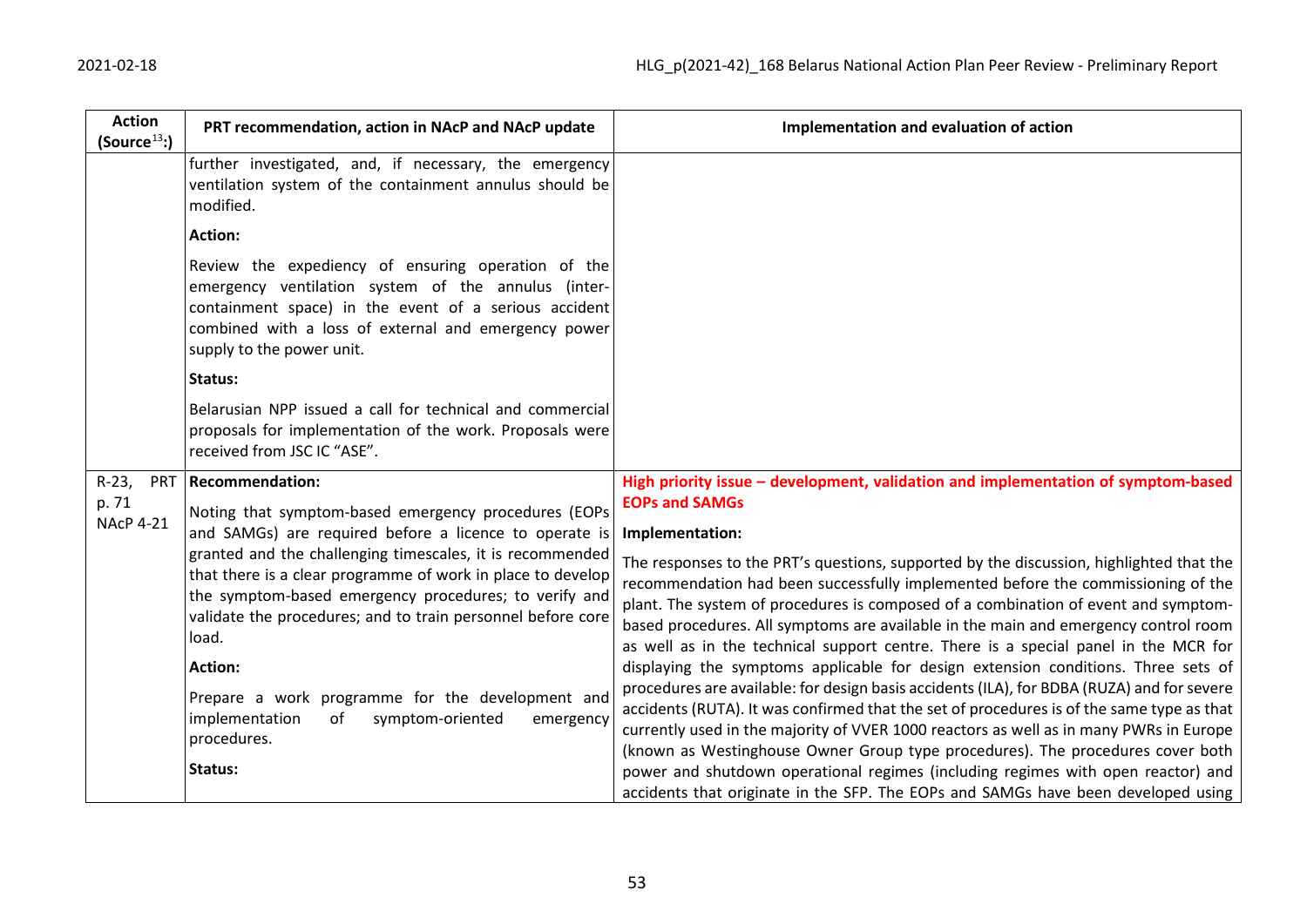| <b>Action</b><br>(Source <sup>13</sup> ) | PRT recommendation, action in NAcP and NAcP update                                                                                                                                                                                                                                                                                                                                                                                                                                                                                   | Implementation and evaluation of action                                                                                                                                                                                                                                                                                                                                                                                                                                                                                                                                                                                                                                                                                                                                                                                                                                                                                                                                                         |
|------------------------------------------|--------------------------------------------------------------------------------------------------------------------------------------------------------------------------------------------------------------------------------------------------------------------------------------------------------------------------------------------------------------------------------------------------------------------------------------------------------------------------------------------------------------------------------------|-------------------------------------------------------------------------------------------------------------------------------------------------------------------------------------------------------------------------------------------------------------------------------------------------------------------------------------------------------------------------------------------------------------------------------------------------------------------------------------------------------------------------------------------------------------------------------------------------------------------------------------------------------------------------------------------------------------------------------------------------------------------------------------------------------------------------------------------------------------------------------------------------------------------------------------------------------------------------------------------------|
|                                          | further investigated, and, if necessary, the emergency<br>ventilation system of the containment annulus should be<br>modified.                                                                                                                                                                                                                                                                                                                                                                                                       |                                                                                                                                                                                                                                                                                                                                                                                                                                                                                                                                                                                                                                                                                                                                                                                                                                                                                                                                                                                                 |
|                                          | Action:                                                                                                                                                                                                                                                                                                                                                                                                                                                                                                                              |                                                                                                                                                                                                                                                                                                                                                                                                                                                                                                                                                                                                                                                                                                                                                                                                                                                                                                                                                                                                 |
|                                          | Review the expediency of ensuring operation of the<br>emergency ventilation system of the annulus (inter-<br>containment space) in the event of a serious accident<br>combined with a loss of external and emergency power<br>supply to the power unit.                                                                                                                                                                                                                                                                              |                                                                                                                                                                                                                                                                                                                                                                                                                                                                                                                                                                                                                                                                                                                                                                                                                                                                                                                                                                                                 |
|                                          | Status:                                                                                                                                                                                                                                                                                                                                                                                                                                                                                                                              |                                                                                                                                                                                                                                                                                                                                                                                                                                                                                                                                                                                                                                                                                                                                                                                                                                                                                                                                                                                                 |
|                                          | Belarusian NPP issued a call for technical and commercial<br>proposals for implementation of the work. Proposals were<br>received from JSC IC "ASE".                                                                                                                                                                                                                                                                                                                                                                                 |                                                                                                                                                                                                                                                                                                                                                                                                                                                                                                                                                                                                                                                                                                                                                                                                                                                                                                                                                                                                 |
| $R-23,$<br><b>PRT</b>                    | <b>Recommendation:</b>                                                                                                                                                                                                                                                                                                                                                                                                                                                                                                               | High priority issue – development, validation and implementation of symptom-based                                                                                                                                                                                                                                                                                                                                                                                                                                                                                                                                                                                                                                                                                                                                                                                                                                                                                                               |
| p. 71                                    | Noting that symptom-based emergency procedures (EOPs<br>and SAMGs) are required before a licence to operate is<br>granted and the challenging timescales, it is recommended<br>that there is a clear programme of work in place to develop<br>the symptom-based emergency procedures; to verify and<br>validate the procedures; and to train personnel before core<br>load.<br><b>Action:</b><br>Prepare a work programme for the development and<br>implementation<br>of<br>symptom-oriented<br>emergency<br>procedures.<br>Status: | <b>EOPs and SAMGs</b>                                                                                                                                                                                                                                                                                                                                                                                                                                                                                                                                                                                                                                                                                                                                                                                                                                                                                                                                                                           |
| <b>NAcP 4-21</b>                         |                                                                                                                                                                                                                                                                                                                                                                                                                                                                                                                                      | Implementation:                                                                                                                                                                                                                                                                                                                                                                                                                                                                                                                                                                                                                                                                                                                                                                                                                                                                                                                                                                                 |
|                                          |                                                                                                                                                                                                                                                                                                                                                                                                                                                                                                                                      | The responses to the PRT's questions, supported by the discussion, highlighted that the<br>recommendation had been successfully implemented before the commissioning of the<br>plant. The system of procedures is composed of a combination of event and symptom-<br>based procedures. All symptoms are available in the main and emergency control room<br>as well as in the technical support centre. There is a special panel in the MCR for<br>displaying the symptoms applicable for design extension conditions. Three sets of<br>procedures are available: for design basis accidents (ILA), for BDBA (RUZA) and for severe<br>accidents (RUTA). It was confirmed that the set of procedures is of the same type as that<br>currently used in the majority of VVER 1000 reactors as well as in many PWRs in Europe<br>(known as Westinghouse Owner Group type procedures). The procedures cover both<br>power and shutdown operational regimes (including regimes with open reactor) and |
|                                          |                                                                                                                                                                                                                                                                                                                                                                                                                                                                                                                                      | accidents that originate in the SFP. The EOPs and SAMGs have been developed using                                                                                                                                                                                                                                                                                                                                                                                                                                                                                                                                                                                                                                                                                                                                                                                                                                                                                                               |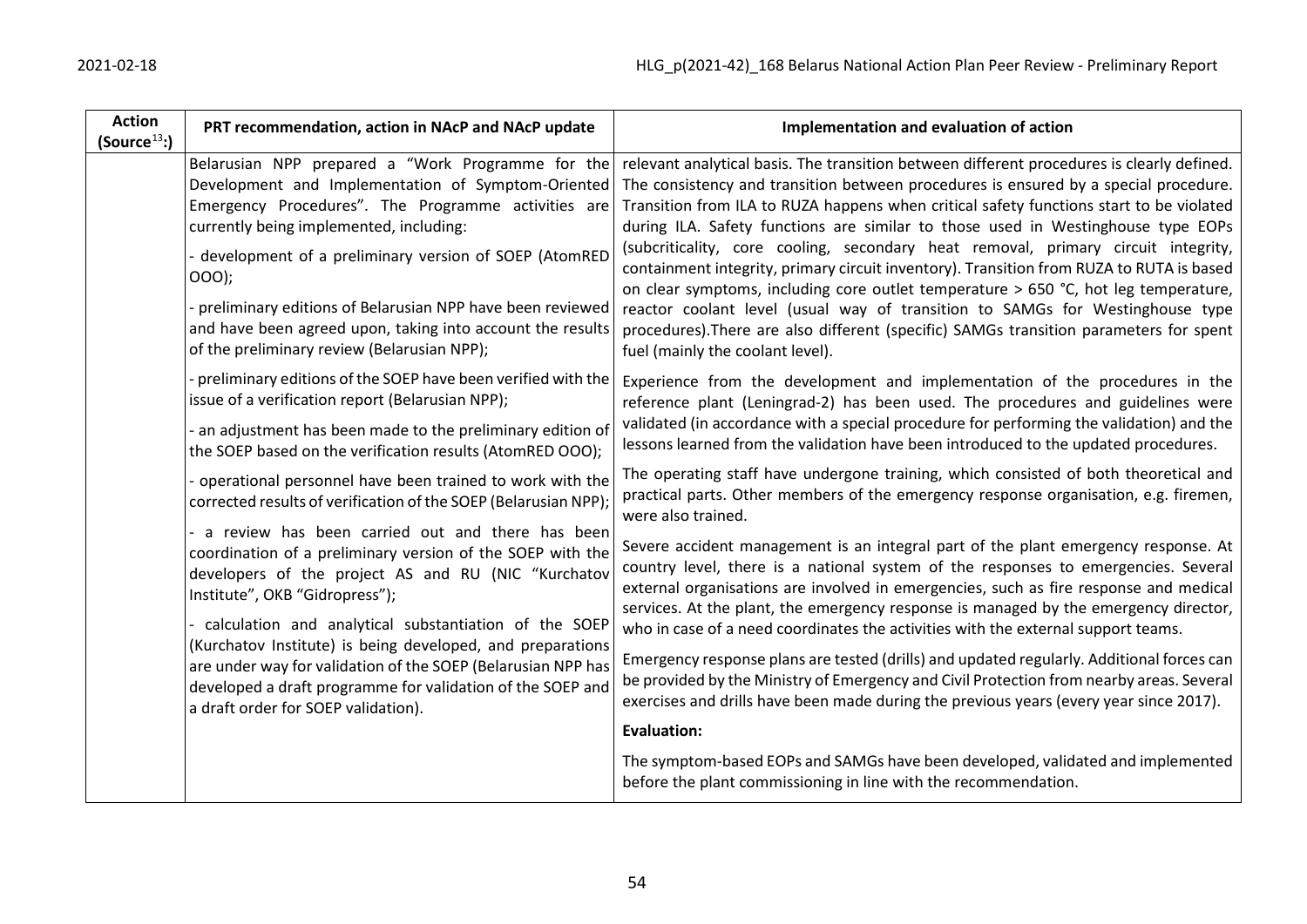| <b>Action</b><br>(Source <sup>13</sup> ) | PRT recommendation, action in NAcP and NAcP update                                                                                                                                                                                                                                                                                                                                                                                                                                                                                                                                                                                                                                                                                                                                                                                                                               | Implementation and evaluation of action                                                                                                                                                                                                                                                                                                                                                                                                                                                                                                                                                                                                                                                                                                                                                                                                                                                                                                                                                                                                                                                                                                                                                                                                                                                                                                                                                               |
|------------------------------------------|----------------------------------------------------------------------------------------------------------------------------------------------------------------------------------------------------------------------------------------------------------------------------------------------------------------------------------------------------------------------------------------------------------------------------------------------------------------------------------------------------------------------------------------------------------------------------------------------------------------------------------------------------------------------------------------------------------------------------------------------------------------------------------------------------------------------------------------------------------------------------------|-------------------------------------------------------------------------------------------------------------------------------------------------------------------------------------------------------------------------------------------------------------------------------------------------------------------------------------------------------------------------------------------------------------------------------------------------------------------------------------------------------------------------------------------------------------------------------------------------------------------------------------------------------------------------------------------------------------------------------------------------------------------------------------------------------------------------------------------------------------------------------------------------------------------------------------------------------------------------------------------------------------------------------------------------------------------------------------------------------------------------------------------------------------------------------------------------------------------------------------------------------------------------------------------------------------------------------------------------------------------------------------------------------|
|                                          | Belarusian NPP prepared a "Work Programme for the<br>Development and Implementation of Symptom-Oriented<br>Emergency Procedures". The Programme activities are<br>currently being implemented, including:<br>development of a preliminary version of SOEP (AtomRED<br>000);<br>preliminary editions of Belarusian NPP have been reviewed<br>and have been agreed upon, taking into account the results<br>of the preliminary review (Belarusian NPP);                                                                                                                                                                                                                                                                                                                                                                                                                            | relevant analytical basis. The transition between different procedures is clearly defined.<br>The consistency and transition between procedures is ensured by a special procedure.<br>Transition from ILA to RUZA happens when critical safety functions start to be violated<br>during ILA. Safety functions are similar to those used in Westinghouse type EOPs<br>(subcriticality, core cooling, secondary heat removal, primary circuit integrity,<br>containment integrity, primary circuit inventory). Transition from RUZA to RUTA is based<br>on clear symptoms, including core outlet temperature > 650 °C, hot leg temperature,<br>reactor coolant level (usual way of transition to SAMGs for Westinghouse type<br>procedures). There are also different (specific) SAMGs transition parameters for spent<br>fuel (mainly the coolant level).                                                                                                                                                                                                                                                                                                                                                                                                                                                                                                                                              |
|                                          | preliminary editions of the SOEP have been verified with the<br>issue of a verification report (Belarusian NPP);<br>an adjustment has been made to the preliminary edition of<br>the SOEP based on the verification results (AtomRED OOO);<br>operational personnel have been trained to work with the<br>corrected results of verification of the SOEP (Belarusian NPP);<br>a review has been carried out and there has been<br>coordination of a preliminary version of the SOEP with the<br>developers of the project AS and RU (NIC "Kurchatov<br>Institute", OKB "Gidropress");<br>calculation and analytical substantiation of the SOEP<br>(Kurchatov Institute) is being developed, and preparations<br>are under way for validation of the SOEP (Belarusian NPP has<br>developed a draft programme for validation of the SOEP and<br>a draft order for SOEP validation). | Experience from the development and implementation of the procedures in the<br>reference plant (Leningrad-2) has been used. The procedures and guidelines were<br>validated (in accordance with a special procedure for performing the validation) and the<br>lessons learned from the validation have been introduced to the updated procedures.<br>The operating staff have undergone training, which consisted of both theoretical and<br>practical parts. Other members of the emergency response organisation, e.g. firemen,<br>were also trained.<br>Severe accident management is an integral part of the plant emergency response. At<br>country level, there is a national system of the responses to emergencies. Several<br>external organisations are involved in emergencies, such as fire response and medical<br>services. At the plant, the emergency response is managed by the emergency director,<br>who in case of a need coordinates the activities with the external support teams.<br>Emergency response plans are tested (drills) and updated regularly. Additional forces can<br>be provided by the Ministry of Emergency and Civil Protection from nearby areas. Several<br>exercises and drills have been made during the previous years (every year since 2017).<br><b>Evaluation:</b><br>The symptom-based EOPs and SAMGs have been developed, validated and implemented |
|                                          |                                                                                                                                                                                                                                                                                                                                                                                                                                                                                                                                                                                                                                                                                                                                                                                                                                                                                  | before the plant commissioning in line with the recommendation.                                                                                                                                                                                                                                                                                                                                                                                                                                                                                                                                                                                                                                                                                                                                                                                                                                                                                                                                                                                                                                                                                                                                                                                                                                                                                                                                       |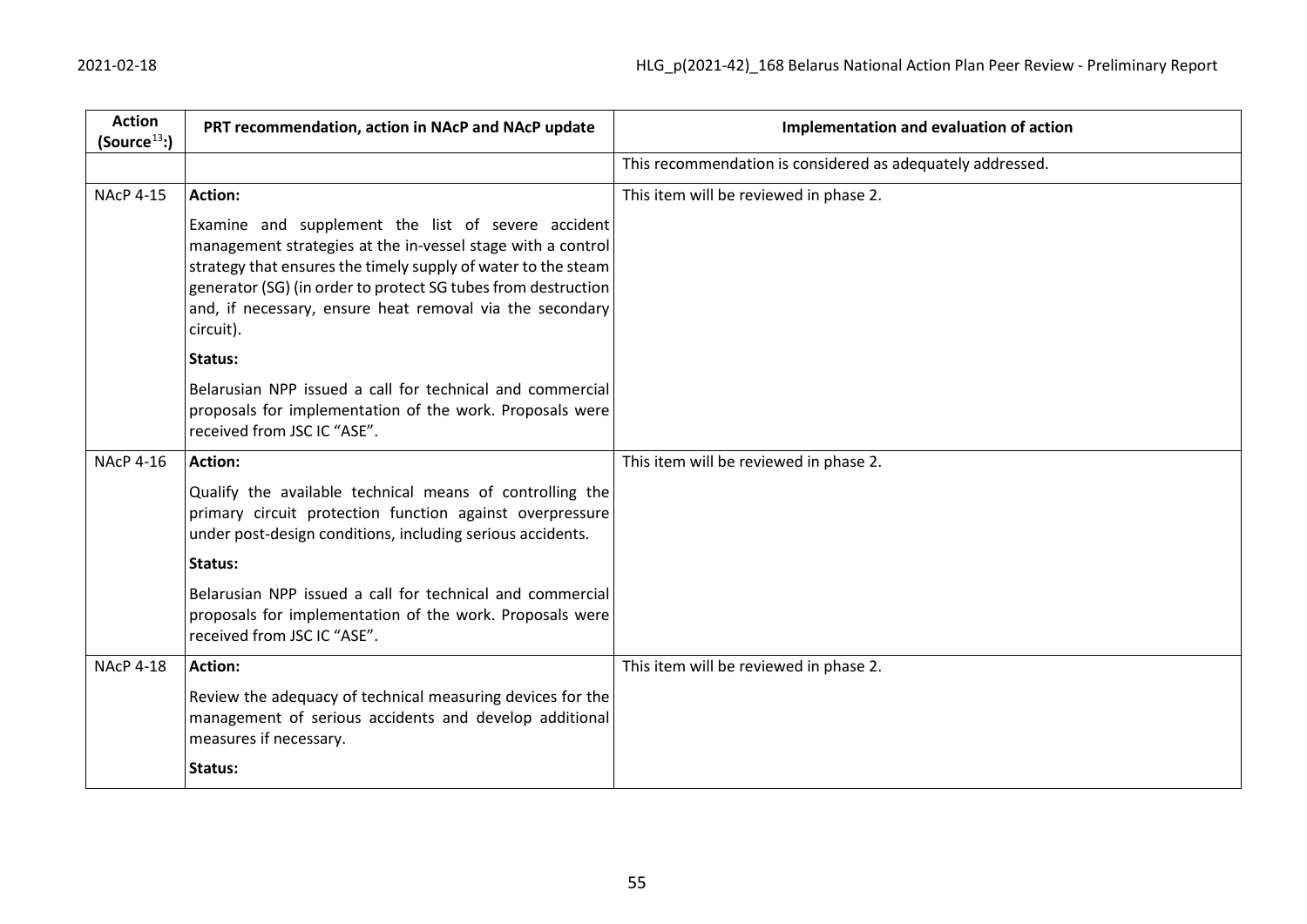| <b>Action</b><br>(Source <sup>13</sup> ) | PRT recommendation, action in NAcP and NAcP update                                                                                                                                                                                                                                                                           | Implementation and evaluation of action                    |
|------------------------------------------|------------------------------------------------------------------------------------------------------------------------------------------------------------------------------------------------------------------------------------------------------------------------------------------------------------------------------|------------------------------------------------------------|
|                                          |                                                                                                                                                                                                                                                                                                                              | This recommendation is considered as adequately addressed. |
| <b>NAcP 4-15</b>                         | Action:                                                                                                                                                                                                                                                                                                                      | This item will be reviewed in phase 2.                     |
|                                          | Examine and supplement the list of severe accident<br>management strategies at the in-vessel stage with a control<br>strategy that ensures the timely supply of water to the steam<br>generator (SG) (in order to protect SG tubes from destruction<br>and, if necessary, ensure heat removal via the secondary<br>circuit). |                                                            |
|                                          | Status:                                                                                                                                                                                                                                                                                                                      |                                                            |
|                                          | Belarusian NPP issued a call for technical and commercial<br>proposals for implementation of the work. Proposals were<br>received from JSC IC "ASE".                                                                                                                                                                         |                                                            |
| <b>NAcP 4-16</b>                         | <b>Action:</b>                                                                                                                                                                                                                                                                                                               | This item will be reviewed in phase 2.                     |
|                                          | Qualify the available technical means of controlling the<br>primary circuit protection function against overpressure<br>under post-design conditions, including serious accidents.                                                                                                                                           |                                                            |
|                                          | Status:                                                                                                                                                                                                                                                                                                                      |                                                            |
|                                          | Belarusian NPP issued a call for technical and commercial<br>proposals for implementation of the work. Proposals were<br>received from JSC IC "ASE".                                                                                                                                                                         |                                                            |
| <b>NAcP 4-18</b>                         | <b>Action:</b>                                                                                                                                                                                                                                                                                                               | This item will be reviewed in phase 2.                     |
|                                          | Review the adequacy of technical measuring devices for the<br>management of serious accidents and develop additional<br>measures if necessary.                                                                                                                                                                               |                                                            |
|                                          | Status:                                                                                                                                                                                                                                                                                                                      |                                                            |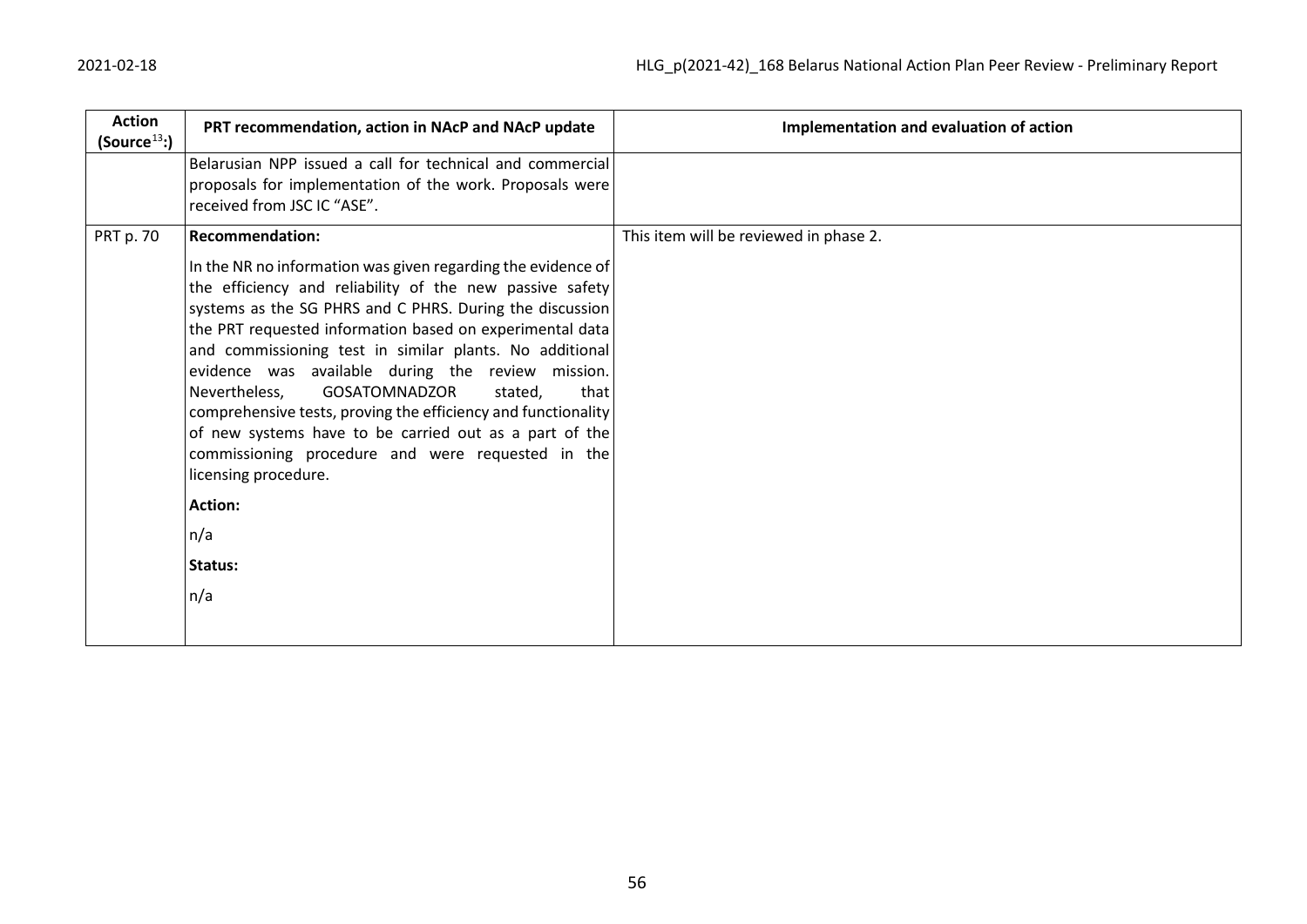| <b>Action</b><br>(Source <sup>13</sup> ) | PRT recommendation, action in NAcP and NAcP update                                                                                                                                                                                                                                                                                                                                                                                                                                                                                                                                                                                                             | Implementation and evaluation of action |
|------------------------------------------|----------------------------------------------------------------------------------------------------------------------------------------------------------------------------------------------------------------------------------------------------------------------------------------------------------------------------------------------------------------------------------------------------------------------------------------------------------------------------------------------------------------------------------------------------------------------------------------------------------------------------------------------------------------|-----------------------------------------|
|                                          | Belarusian NPP issued a call for technical and commercial<br>proposals for implementation of the work. Proposals were<br>received from JSC IC "ASE".                                                                                                                                                                                                                                                                                                                                                                                                                                                                                                           |                                         |
| PRT p. 70                                | <b>Recommendation:</b><br>In the NR no information was given regarding the evidence of<br>the efficiency and reliability of the new passive safety<br>systems as the SG PHRS and C PHRS. During the discussion<br>the PRT requested information based on experimental data<br>and commissioning test in similar plants. No additional<br>evidence was available during the review mission.<br><b>GOSATOMNADZOR</b><br>Nevertheless,<br>stated,<br>that<br>comprehensive tests, proving the efficiency and functionality<br>of new systems have to be carried out as a part of the<br>commissioning procedure and were requested in the<br>licensing procedure. | This item will be reviewed in phase 2.  |
|                                          | <b>Action:</b>                                                                                                                                                                                                                                                                                                                                                                                                                                                                                                                                                                                                                                                 |                                         |
|                                          | n/a                                                                                                                                                                                                                                                                                                                                                                                                                                                                                                                                                                                                                                                            |                                         |
|                                          | Status:                                                                                                                                                                                                                                                                                                                                                                                                                                                                                                                                                                                                                                                        |                                         |
|                                          | n/a                                                                                                                                                                                                                                                                                                                                                                                                                                                                                                                                                                                                                                                            |                                         |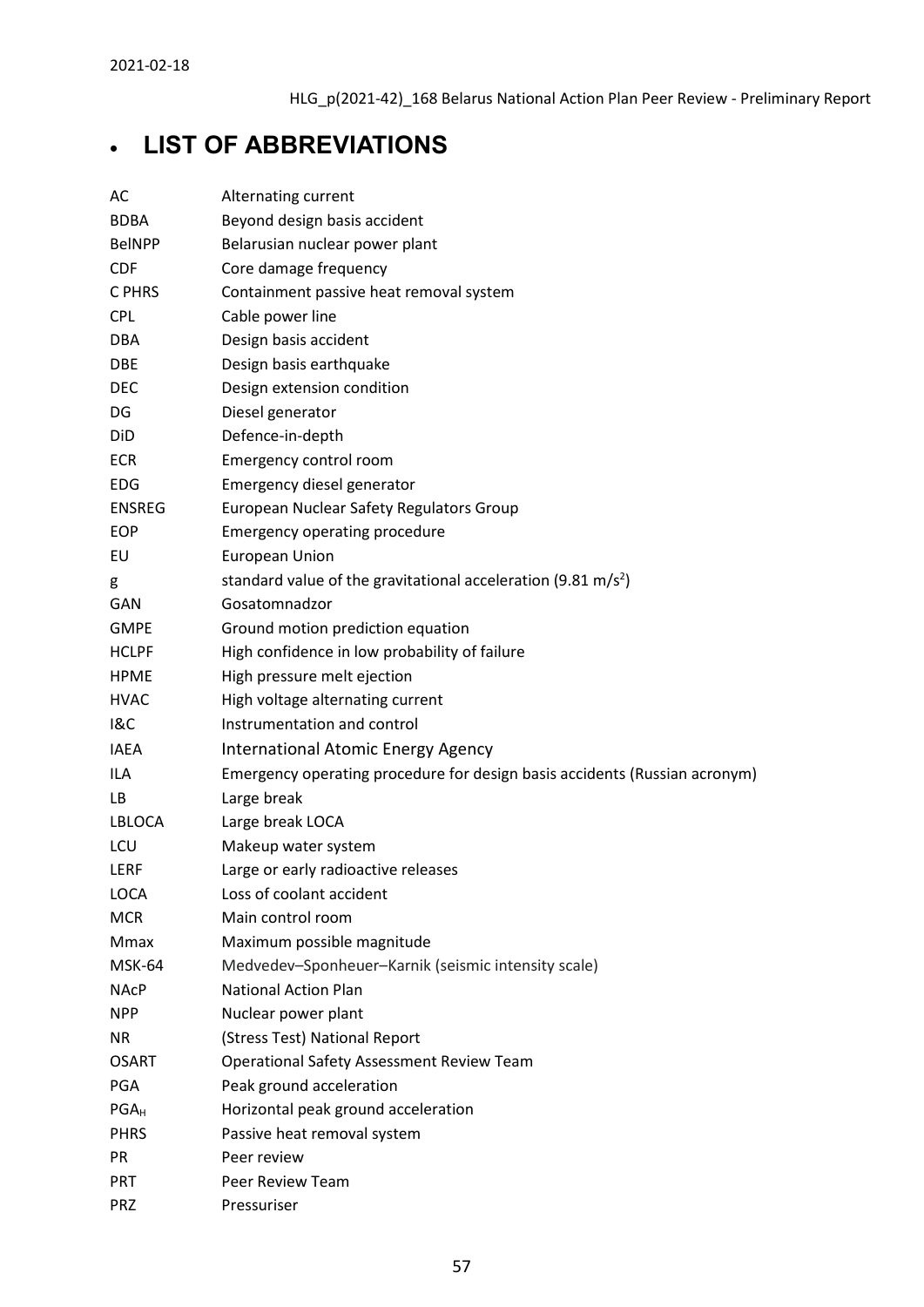# <span id="page-56-0"></span>• **LIST OF ABBREVIATIONS**

| AC            | Alternating current                                                        |
|---------------|----------------------------------------------------------------------------|
| <b>BDBA</b>   | Beyond design basis accident                                               |
| <b>BelNPP</b> | Belarusian nuclear power plant                                             |
| <b>CDF</b>    | Core damage frequency                                                      |
| C PHRS        | Containment passive heat removal system                                    |
| <b>CPL</b>    | Cable power line                                                           |
| <b>DBA</b>    | Design basis accident                                                      |
| <b>DBE</b>    | Design basis earthquake                                                    |
| <b>DEC</b>    | Design extension condition                                                 |
| DG            | Diesel generator                                                           |
| DiD           | Defence-in-depth                                                           |
| <b>ECR</b>    | Emergency control room                                                     |
| <b>EDG</b>    | Emergency diesel generator                                                 |
| <b>ENSREG</b> | European Nuclear Safety Regulators Group                                   |
| <b>EOP</b>    | <b>Emergency operating procedure</b>                                       |
| EU            | <b>European Union</b>                                                      |
| g             | standard value of the gravitational acceleration (9.81 m/s <sup>2</sup> )  |
| GAN           | Gosatomnadzor                                                              |
| <b>GMPE</b>   | Ground motion prediction equation                                          |
| <b>HCLPF</b>  | High confidence in low probability of failure                              |
| <b>HPME</b>   | High pressure melt ejection                                                |
| <b>HVAC</b>   | High voltage alternating current                                           |
| 18C           | Instrumentation and control                                                |
| <b>IAEA</b>   | International Atomic Energy Agency                                         |
| ILA           | Emergency operating procedure for design basis accidents (Russian acronym) |
| LB.           | Large break                                                                |
| LBLOCA        | Large break LOCA                                                           |
| LCU           | Makeup water system                                                        |
| LERF          | Large or early radioactive releases                                        |
| LOCA          | Loss of coolant accident                                                   |
| <b>MCR</b>    | Main control room                                                          |
| Mmax          | Maximum possible magnitude                                                 |
| MSK-64        | Medvedev-Sponheuer-Karnik (seismic intensity scale)                        |
| <b>NAcP</b>   | <b>National Action Plan</b>                                                |
| <b>NPP</b>    | Nuclear power plant                                                        |
| <b>NR</b>     | (Stress Test) National Report                                              |
| <b>OSART</b>  | <b>Operational Safety Assessment Review Team</b>                           |
| <b>PGA</b>    | Peak ground acceleration                                                   |
| $PGA_H$       | Horizontal peak ground acceleration                                        |
| <b>PHRS</b>   | Passive heat removal system                                                |
| <b>PR</b>     | Peer review                                                                |
| <b>PRT</b>    | Peer Review Team                                                           |
| <b>PRZ</b>    | Pressuriser                                                                |